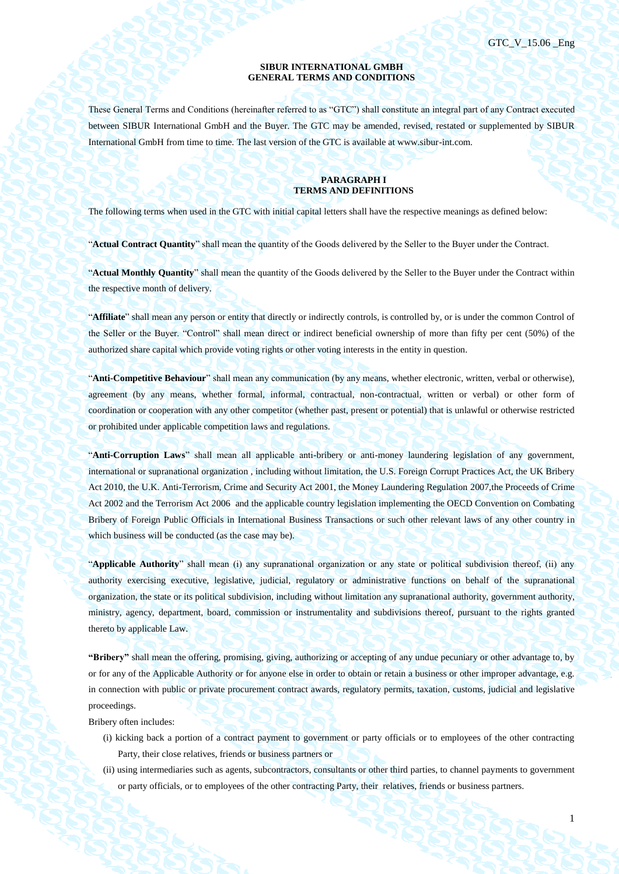### **SIBUR INTERNATIONAL GMBH GENERAL TERMS AND CONDITIONS**

These General Terms and Conditions (hereinafter referred to as "GTC") shall constitute an integral part of any Contract executed between SIBUR International GmbH and the Buyer. The GTC may be amended, revised, restated or supplemented by SIBUR International GmbH from time to time. The last version of the GTC is available at www.sibur-int.com.

### **PARAGRAPH I TERMS AND DEFINITIONS**

The following terms when used in the GTC with initial capital letters shall have the respective meanings as defined below:

"**Actual Contract Quantity**" shall mean the quantity of the Goods delivered by the Seller to the Buyer under the Contract.

"**Actual Monthly Quantity**" shall mean the quantity of the Goods delivered by the Seller to the Buyer under the Contract within the respective month of delivery.

"**Affiliate**" shall mean any person or entity that directly or indirectly controls, is controlled by, or is under the common Control of the Seller or the Buyer. "Control" shall mean direct or indirect beneficial ownership of more than fifty per cent (50%) of the authorized share capital which provide voting rights or other voting interests in the entity in question.

"**Anti-Competitive Behaviour**" shall mean any communication (by any means, whether electronic, written, verbal or otherwise), agreement (by any means, whether formal, informal, contractual, non-contractual, written or verbal) or other form of coordination or cooperation with any other competitor (whether past, present or potential) that is unlawful or otherwise restricted or prohibited under applicable competition laws and regulations.

"**Anti-Corruption Laws**" shall mean all applicable anti-bribery or anti-money laundering legislation of any government, international or supranational organization , including without limitation, the U.S. Foreign Corrupt Practices Act, the UK Bribery Act 2010, the U.K. Anti-Terrorism, Crime and Security Act 2001, the Money Laundering Regulation 2007,the Proceeds of Crime Act 2002 and the Terrorism Act 2006 and the applicable country legislation implementing the OECD Convention on Combating Bribery of Foreign Public Officials in International Business Transactions or such other relevant laws of any other country in which business will be conducted (as the case may be).

"**Applicable Authority**" shall mean (i) any supranational organization or any state or political subdivision thereof, (ii) any authority exercising executive, legislative, judicial, regulatory or administrative functions on behalf of the supranational organization, the state or its political subdivision, including without limitation any supranational authority, government authority, ministry, agency, department, board, commission or instrumentality and subdivisions thereof, pursuant to the rights granted thereto by applicable Law.

**"Bribery"** shall mean the offering, promising, giving, authorizing or accepting of any undue pecuniary or other advantage to, by or for any of the Applicable Authority or for anyone else in order to obtain or retain a business or other improper advantage, e.g. in connection with public or private procurement contract awards, regulatory permits, taxation, customs, judicial and legislative proceedings.

Bribery often includes:

- (i) kicking back a portion of a contract payment to government or party officials or to employees of the other contracting Party, their close relatives, friends or business partners or
- (ii) using intermediaries such as agents, subcontractors, consultants or other third parties, to channel payments to government or party officials, or to employees of the other contracting Party, their relatives, friends or business partners.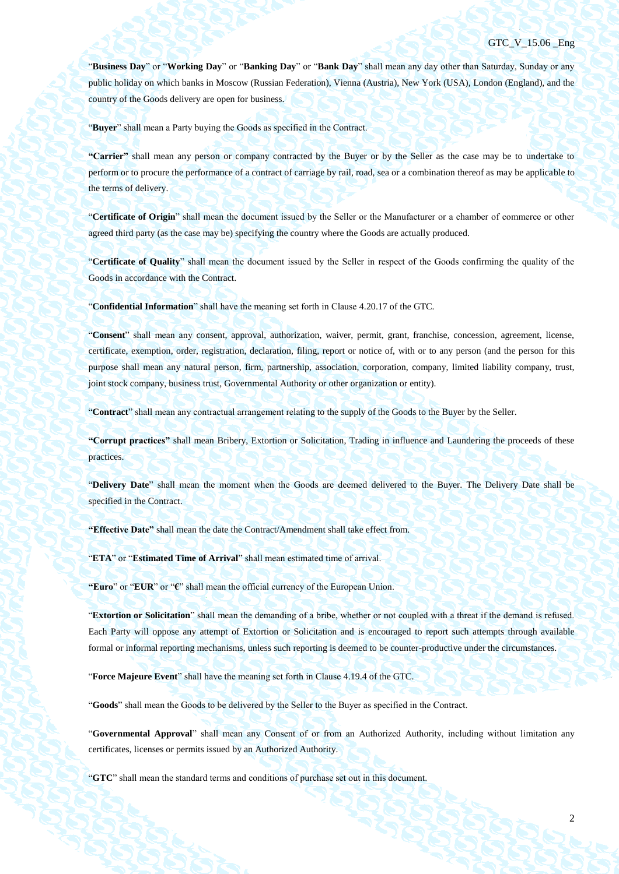"**Business Day**" or "**Working Day**" or "**Banking Day**" or "**Bank Day**" shall mean any day other than Saturday, Sunday or any public holiday on which banks in Moscow (Russian Federation), Vienna (Austria), New York (USA), London (England), and the country of the Goods delivery are open for business.

"**Buyer**" shall mean a Party buying the Goods as specified in the Contract.

**"Carrier"** shall mean any person or company contracted by the Buyer or by the Seller as the case may be to undertake to perform or to procure the performance of a contract of carriage by rail, road, sea or a combination thereof as may be applicable to the terms of delivery.

"**Certificate of Origin**" shall mean the document issued by the Seller or the Manufacturer or a chamber of commerce or other agreed third party (as the case may be) specifying the country where the Goods are actually produced.

"**Certificate of Quality**" shall mean the document issued by the Seller in respect of the Goods confirming the quality of the Goods in accordance with the Contract.

"**Confidential Information**" shall have the meaning set forth in Clause 4.20.17 of the GTC.

"**Consent**" shall mean any consent, approval, authorization, waiver, permit, grant, franchise, concession, agreement, license, certificate, exemption, order, registration, declaration, filing, report or notice of, with or to any person (and the person for this purpose shall mean any natural person, firm, partnership, association, corporation, company, limited liability company, trust, joint stock company, business trust, Governmental Authority or other organization or entity).

"**Contract**" shall mean any contractual arrangement relating to the supply of the Goods to the Buyer by the Seller.

**"Corrupt practices"** shall mean Bribery, Extortion or Solicitation, Trading in influence and Laundering the proceeds of these practices.

"**Delivery Date**" shall mean the moment when the Goods are deemed delivered to the Buyer. The Delivery Date shall be specified in the Contract.

**"Effective Date"** shall mean the date the Contract/Amendment shall take effect from.

"**ETA**" or "**Estimated Time of Arrival**" shall mean estimated time of arrival.

**"Euro**" or "**EUR**" or "**€**" shall mean the official currency of the European Union.

"**Extortion or Solicitation**" shall mean the demanding of a bribe, whether or not coupled with a threat if the demand is refused. Each Party will oppose any attempt of Extortion or Solicitation and is encouraged to report such attempts through available formal or informal reporting mechanisms, unless such reporting is deemed to be counter-productive under the circumstances.

"**Force Majeure Event**" shall have the meaning set forth in Claus[e 4.19.4](#page-44-0) of the GTC.

"**Goods**" shall mean the Goods to be delivered by the Seller to the Buyer as specified in the Contract.

"**Governmental Approval**" shall mean any Consent of or from an Authorized Authority, including without limitation any certificates, licenses or permits issued by an Authorized Authority.

"**GTC**" shall mean the standard terms and conditions of purchase set out in this document.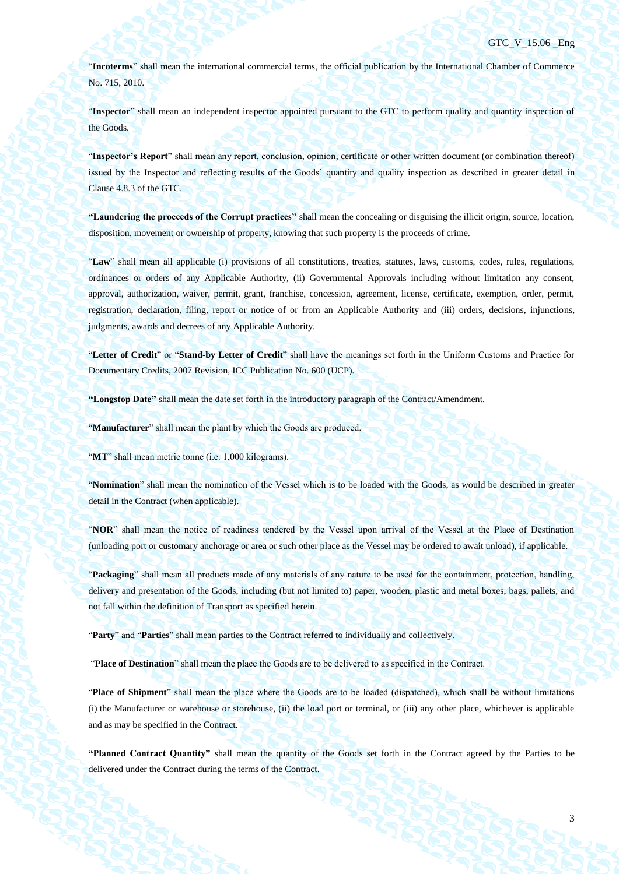"**Incoterms**" shall mean the international commercial terms, the official publication by the International Chamber of Commerce No. 715, 2010.

"**Inspector**" shall mean an independent inspector appointed pursuant to the GTC to perform quality and quantity inspection of the Goods.

"**Inspector's Report**" shall mean any report, conclusion, opinion, certificate or other written document (or combination thereof) issued by the Inspector and reflecting results of the Goods' quantity and quality inspection as described in greater detail in Clause [4.8.3](#page-35-0) of the GTC.

**"Laundering the proceeds of the Corrupt practices"** shall mean the concealing or disguising the illicit origin, source, location, disposition, movement or ownership of property, knowing that such property is the proceeds of crime.

"**Law**" shall mean all applicable (i) provisions of all constitutions, treaties, statutes, laws, customs, codes, rules, regulations, ordinances or orders of any Applicable Authority, (ii) Governmental Approvals including without limitation any consent, approval, authorization, waiver, permit, grant, franchise, concession, agreement, license, certificate, exemption, order, permit, registration, declaration, filing, report or notice of or from an Applicable Authority and (iii) orders, decisions, injunctions, judgments, awards and decrees of any Applicable Authority.

"**Letter of Credit**" or "**Stand-by Letter of Credit**" shall have the meanings set forth in the Uniform Customs and Practice for Documentary Credits, 2007 Revision, ICC Publication No. 600 (UCP).

**"Longstop Date"** shall mean the date set forth in the introductory paragraph of the Contract/Amendment.

"**Manufacturer**" shall mean the plant by which the Goods are produced.

"MT" shall mean metric tonne (i.e. 1,000 kilograms).

"**Nomination**" shall mean the nomination of the Vessel which is to be loaded with the Goods, as would be described in greater detail in the Contract (when applicable).

"**NOR**" shall mean the notice of readiness tendered by the Vessel upon arrival of the Vessel at the Place of Destination (unloading port or customary anchorage or area or such other place as the Vessel may be ordered to await unload), if applicable.

"**Packaging**" shall mean all products made of any materials of any nature to be used for the containment, protection, handling, delivery and presentation of the Goods, including (but not limited to) paper, wooden, plastic and metal boxes, bags, pallets, and not fall within the definition of Transport as specified herein.

"**Party**" and "**Parties**" shall mean parties to the Contract referred to individually and collectively.

"**Place of Destination**" shall mean the place the Goods are to be delivered to as specified in the Contract.

"**Place of Shipment**" shall mean the place where the Goods are to be loaded (dispatched), which shall be without limitations (i) the Manufacturer or warehouse or storehouse, (ii) the load port or terminal, or (iii) any other place, whichever is applicable and as may be specified in the Contract.

**"Planned Contract Quantity"** shall mean the quantity of the Goods set forth in the Contract agreed by the Parties to be delivered under the Contract during the terms of the Contract.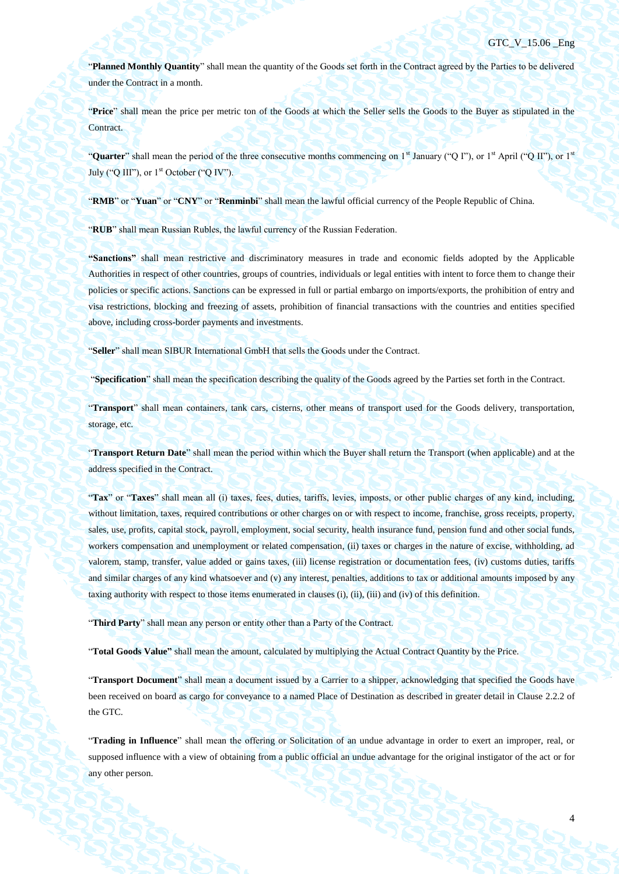"**Planned Monthly Quantity**" shall mean the quantity of the Goods set forth in the Contract agreed by the Parties to be delivered under the Contract in a month.

"**Price**" shall mean the price per metric ton of the Goods at which the Seller sells the Goods to the Buyer as stipulated in the Contract.

"**Quarter**" shall mean the period of the three consecutive months commencing on 1<sup>st</sup> January ("Q I"), or 1<sup>st</sup> April ("Q II"), or 1<sup>st</sup> July ("O III"), or  $1<sup>st</sup>$  October ("O IV").

"**RMB**" or "**Yuan**" or "**CNY**" or "**Renminbi**" shall mean the lawful official currency of the People Republic of China.

"**RUB**" shall mean Russian Rubles, the lawful currency of the Russian Federation.

**"Sanctions"** shall mean restrictive and discriminatory measures in trade and economic fields adopted by the Applicable Authorities in respect of other countries, groups of countries, individuals or legal entities with intent to force them to change their policies or specific actions. Sanctions can be expressed in full or partial embargo on imports/exports, the prohibition of entry and visa restrictions, blocking and freezing of assets, prohibition of financial transactions with the countries and entities specified above, including cross-border payments and investments.

"**Seller**" shall mean SIBUR International GmbH that sells the Goods under the Contract.

"**Specification**" shall mean the specification describing the quality of the Goods agreed by the Parties set forth in the Contract.

"**Transport**" shall mean containers, tank cars, cisterns, other means of transport used for the Goods delivery, transportation, storage, etc.

"**Transport Return Date**" shall mean the period within which the Buyer shall return the Transport (when applicable) and at the address specified in the Contract.

"**Tax**" or "**Taxes**" shall mean all (i) taxes, fees, duties, tariffs, levies, imposts, or other public charges of any kind, including, without limitation, taxes, required contributions or other charges on or with respect to income, franchise, gross receipts, property, sales, use, profits, capital stock, payroll, employment, social security, health insurance fund, pension fund and other social funds, workers compensation and unemployment or related compensation, (ii) taxes or charges in the nature of excise, withholding, ad valorem, stamp, transfer, value added or gains taxes, (iii) license registration or documentation fees, (iv) customs duties, tariffs and similar charges of any kind whatsoever and (v) any interest, penalties, additions to tax or additional amounts imposed by any taxing authority with respect to those items enumerated in clauses (i), (ii), (iii) and (iv) of this definition.

"**Third Party**" shall mean any person or entity other than a Party of the Contract.

"**Total Goods Value"** shall mean the amount, calculated by multiplying the Actual Contract Quantity by the Price.

"**Transport Document**" shall mean a document issued by a Carrier to a shipper, acknowledging that specified the Goods have been received on board as cargo for conveyance to a named Place of Destination as described in greater detail in Clause 2.2.2 of the GTC.

"**Trading in Influence**" shall mean the offering or Solicitation of an undue advantage in order to exert an improper, real, or supposed influence with a view of obtaining from a public official an undue advantage for the original instigator of the act or for any other person.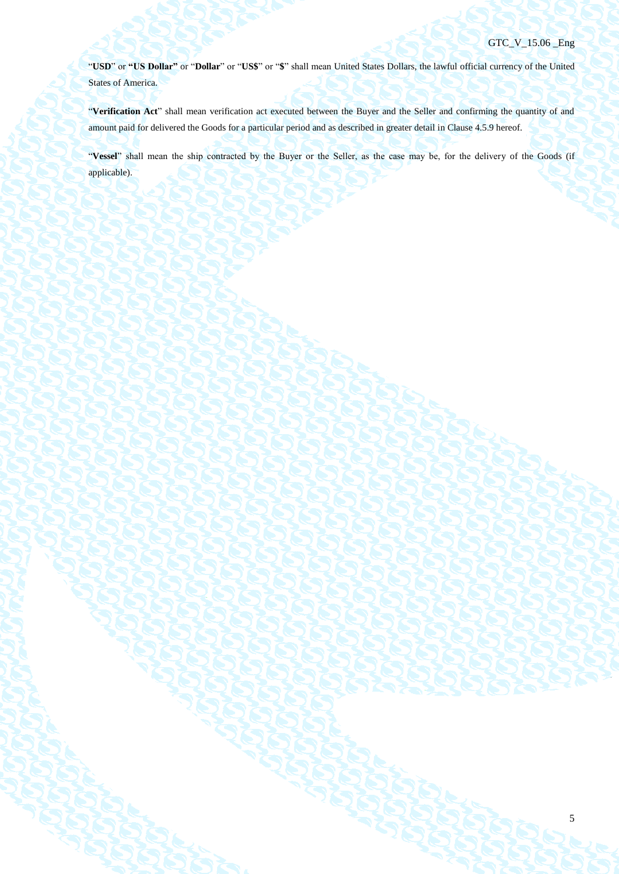5

"**USD**" or **"US Dollar"** or "**Dollar**" or "**US\$**" or "**\$**" shall mean United States Dollars, the lawful official currency of the United States of America.

"**Verification Act**" shall mean verification act executed between the Buyer and the Seller and confirming the quantity of and amount paid for delivered the Goods for a particular period and as described in greater detail in Clause [4.5.9](#page-29-0) hereof.

"**Vessel**" shall mean the ship contracted by the Buyer or the Seller, as the case may be, for the delivery of the Goods (if applicable).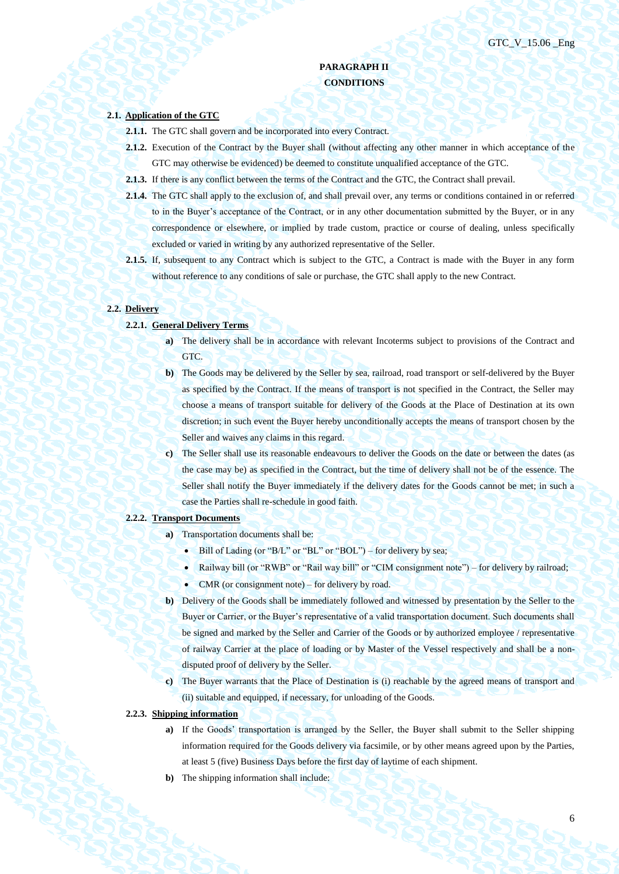# **PARAGRAPH II CONDITIONS**

# **2.1. Application of the GTC**

- **2.1.1.** The GTC shall govern and be incorporated into every Contract.
- **2.1.2.** Execution of the Contract by the Buyer shall (without affecting any other manner in which acceptance of the GTC may otherwise be evidenced) be deemed to constitute unqualified acceptance of the GTC.
- **2.1.3.** If there is any conflict between the terms of the Contract and the GTC, the Contract shall prevail.
- **2.1.4.** The GTC shall apply to the exclusion of, and shall prevail over, any terms or conditions contained in or referred to in the Buyer's acceptance of the Contract, or in any other documentation submitted by the Buyer, or in any correspondence or elsewhere, or implied by trade custom, practice or course of dealing, unless specifically excluded or varied in writing by any authorized representative of the Seller.
- **2.1.5.** If, subsequent to any Contract which is subject to the GTC, a Contract is made with the Buyer in any form without reference to any conditions of sale or purchase, the GTC shall apply to the new Contract.

### **2.2. Delivery**

- **2.2.1. General Delivery Terms**
	- **a**) The delivery shall be in accordance with relevant Incoterms subject to provisions of the Contract and GTC.
	- **b)** The Goods may be delivered by the Seller by sea, railroad, road transport or self-delivered by the Buyer as specified by the Contract. If the means of transport is not specified in the Contract, the Seller may choose a means of transport suitable for delivery of the Goods at the Place of Destination at its own discretion; in such event the Buyer hereby unconditionally accepts the means of transport chosen by the Seller and waives any claims in this regard.
	- **c)** The Seller shall use its reasonable endeavours to deliver the Goods on the date or between the dates (as the case may be) as specified in the Contract, but the time of delivery shall not be of the essence. The Seller shall notify the Buyer immediately if the delivery dates for the Goods cannot be met; in such a case the Parties shall re-schedule in good faith.

### **2.2.2. Transport Documents**

- **a)** Transportation documents shall be:
	- $\bullet$  Bill of Lading (or "B/L" or "BL" or "BOL") for delivery by sea;
	- Railway bill (or "RWB" or "Rail way bill" or "CIM consignment note") for delivery by railroad;
	- CMR (or consignment note) for delivery by road.
- **b)** Delivery of the Goods shall be immediately followed and witnessed by presentation by the Seller to the Buyer or Carrier, or the Buyer's representative of a valid transportation document. Such documents shall be signed and marked by the Seller and Carrier of the Goods or by authorized employee / representative of railway Carrier at the place of loading or by Master of the Vessel respectively and shall be a nondisputed proof of delivery by the Seller.
- **c)** The Buyer warrants that the Place of Destination is (i) reachable by the agreed means of transport and (ii) suitable and equipped, if necessary, for unloading of the Goods.
- **2.2.3. Shipping information**
	- **a**) If the Goods' transportation is arranged by the Seller, the Buyer shall submit to the Seller shipping information required for the Goods delivery via facsimile, or by other means agreed upon by the Parties, at least 5 (five) Business Days before the first day of laytime of each shipment.
	- **b)** The shipping information shall include: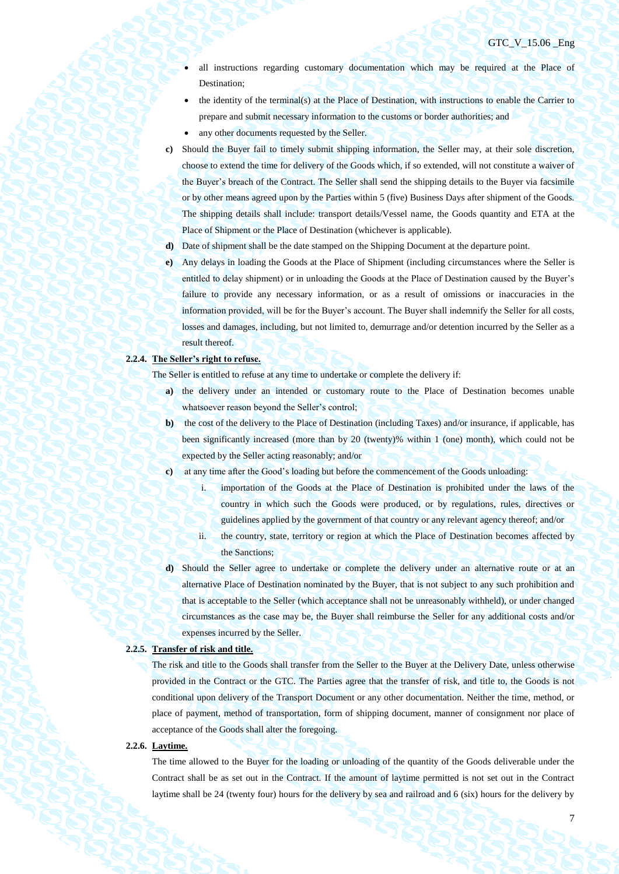- all instructions regarding customary documentation which may be required at the Place of Destination;
- the identity of the terminal(s) at the Place of Destination, with instructions to enable the Carrier to prepare and submit necessary information to the customs or border authorities; and
- any other documents requested by the Seller.
- **c)** Should the Buyer fail to timely submit shipping information, the Seller may, at their sole discretion, choose to extend the time for delivery of the Goods which, if so extended, will not constitute a waiver of the Buyer's breach of the Contract. The Seller shall send the shipping details to the Buyer via facsimile or by other means agreed upon by the Parties within 5 (five) Business Days after shipment of the Goods. The shipping details shall include: transport details/Vessel name, the Goods quantity and ETA at the Place of Shipment or the Place of Destination (whichever is applicable).
- **d)** Date of shipment shall be the date stamped on the Shipping Document at the departure point.
- **e)** Any delays in loading the Goods at the Place of Shipment (including circumstances where the Seller is entitled to delay shipment) or in unloading the Goods at the Place of Destination caused by the Buyer's failure to provide any necessary information, or as a result of omissions or inaccuracies in the information provided, will be for the Buyer's account. The Buyer shall indemnify the Seller for all costs, losses and damages, including, but not limited to, demurrage and/or detention incurred by the Seller as a result thereof.

# **2.2.4. The Seller's right to refuse.**

The Seller is entitled to refuse at any time to undertake or complete the delivery if:

- **a)** the delivery under an intended or customary route to the Place of Destination becomes unable whatsoever reason beyond the Seller's control;
- **b)** the cost of the delivery to the Place of Destination (including Taxes) and/or insurance, if applicable, has been significantly increased (more than by 20 (twenty)% within 1 (one) month), which could not be expected by the Seller acting reasonably; and/or
- **c)** at any time after the Good's loading but before the commencement of the Goods unloading:
	- i. importation of the Goods at the Place of Destination is prohibited under the laws of the country in which such the Goods were produced, or by regulations, rules, directives or guidelines applied by the government of that country or any relevant agency thereof; and/or
	- ii. the country, state, territory or region at which the Place of Destination becomes affected by the Sanctions;
- **d)** Should the Seller agree to undertake or complete the delivery under an alternative route or at an alternative Place of Destination nominated by the Buyer, that is not subject to any such prohibition and that is acceptable to the Seller (which acceptance shall not be unreasonably withheld), or under changed circumstances as the case may be, the Buyer shall reimburse the Seller for any additional costs and/or expenses incurred by the Seller.

#### **2.2.5. Transfer of risk and title.**

The risk and title to the Goods shall transfer from the Seller to the Buyer at the Delivery Date, unless otherwise provided in the Contract or the GTC. The Parties agree that the transfer of risk, and title to, the Goods is not conditional upon delivery of the Transport Document or any other documentation. Neither the time, method, or place of payment, method of transportation, form of shipping document, manner of consignment nor place of acceptance of the Goods shall alter the foregoing.

### **2.2.6. Laytime.**

The time allowed to the Buyer for the loading or unloading of the quantity of the Goods deliverable under the Contract shall be as set out in the Contract. If the amount of laytime permitted is not set out in the Contract laytime shall be 24 (twenty four) hours for the delivery by sea and railroad and 6 (six) hours for the delivery by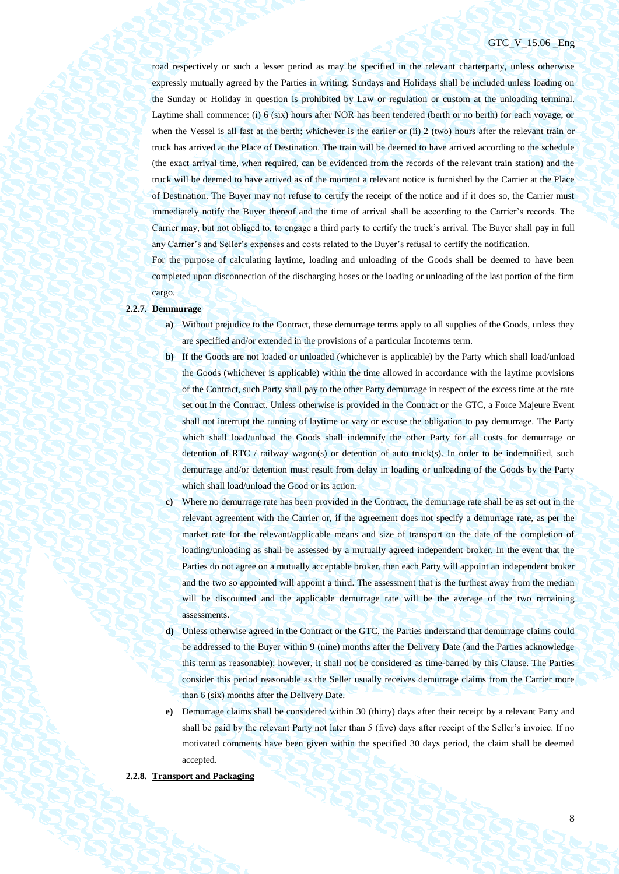## GTC V 15.06 Eng

road respectively or such a lesser period as may be specified in the relevant charterparty, unless otherwise expressly mutually agreed by the Parties in writing. Sundays and Holidays shall be included unless loading on the Sunday or Holiday in question is prohibited by Law or regulation or custom at the unloading terminal. Laytime shall commence: (i) 6 (six) hours after NOR has been tendered (berth or no berth) for each voyage; or when the Vessel is all fast at the berth; whichever is the earlier or (ii) 2 (two) hours after the relevant train or truck has arrived at the Place of Destination. The train will be deemed to have arrived according to the schedule (the exact arrival time, when required, can be evidenced from the records of the relevant train station) and the truck will be deemed to have arrived as of the moment a relevant notice is furnished by the Carrier at the Place of Destination. The Buyer may not refuse to certify the receipt of the notice and if it does so, the Carrier must immediately notify the Buyer thereof and the time of arrival shall be according to the Carrier's records. The Carrier may, but not obliged to, to engage a third party to certify the truck's arrival. The Buyer shall pay in full any Carrier's and Seller's expenses and costs related to the Buyer's refusal to certify the notification.

For the purpose of calculating laytime, loading and unloading of the Goods shall be deemed to have been completed upon disconnection of the discharging hoses or the loading or unloading of the last portion of the firm cargo.

#### **2.2.7. Demmurage**

- **a)** Without prejudice to the Contract, these demurrage terms apply to all supplies of the Goods, unless they are specified and/or extended in the provisions of a particular Incoterms term.
- **b)** If the Goods are not loaded or unloaded (whichever is applicable) by the Party which shall load/unload the Goods (whichever is applicable) within the time allowed in accordance with the laytime provisions of the Contract, such Party shall pay to the other Party demurrage in respect of the excess time at the rate set out in the Contract. Unless otherwise is provided in the Contract or the GTC, a Force Majeure Event shall not interrupt the running of laytime or vary or excuse the obligation to pay demurrage. The Party which shall load/unload the Goods shall indemnify the other Party for all costs for demurrage or detention of RTC / railway wagon(s) or detention of auto truck(s). In order to be indemnified, such demurrage and/or detention must result from delay in loading or unloading of the Goods by the Party which shall load/unload the Good or its action.
- **c)** Where no demurrage rate has been provided in the Contract, the demurrage rate shall be as set out in the relevant agreement with the Carrier or, if the agreement does not specify a demurrage rate, as per the market rate for the relevant/applicable means and size of transport on the date of the completion of loading/unloading as shall be assessed by a mutually agreed independent broker. In the event that the Parties do not agree on a mutually acceptable broker, then each Party will appoint an independent broker and the two so appointed will appoint a third. The assessment that is the furthest away from the median will be discounted and the applicable demurrage rate will be the average of the two remaining assessments.
- **d)** Unless otherwise agreed in the Contract or the GTC, the Parties understand that demurrage claims could be addressed to the Buyer within 9 (nine) months after the Delivery Date (and the Parties acknowledge this term as reasonable); however, it shall not be considered as time-barred by this Clause. The Parties consider this period reasonable as the Seller usually receives demurrage claims from the Carrier more than 6 (six) months after the Delivery Date.
- **e)** Demurrage claims shall be considered within 30 (thirty) days after their receipt by a relevant Party and shall be paid by the relevant Party not later than 5 (five) days after receipt of the Seller's invoice. If no motivated comments have been given within the specified 30 days period, the claim shall be deemed accepted.

### **2.2.8. Transport and Packaging**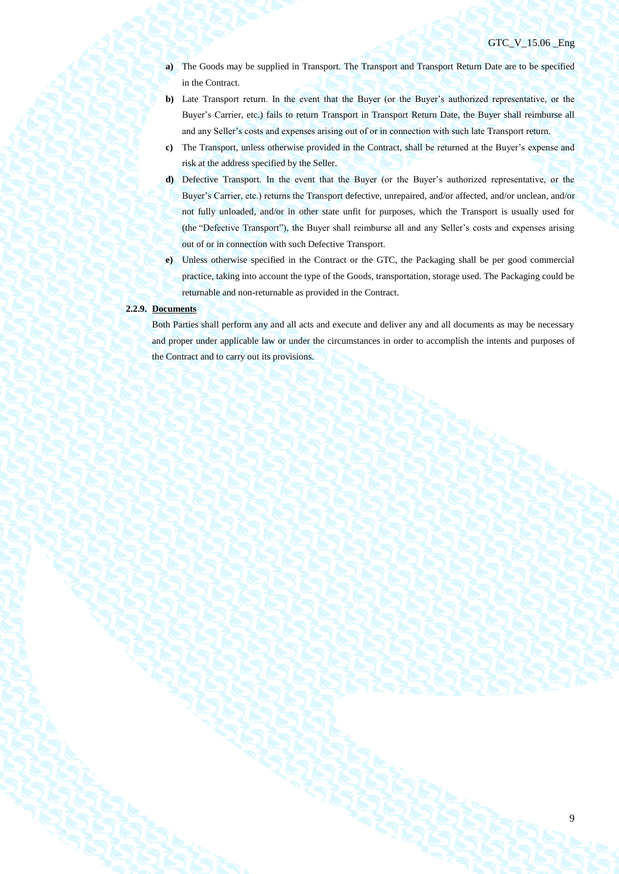## GTC\_V\_15.06 \_Eng

- **a)** The Goods may be supplied in Transport. The Transport and Transport Return Date are to be specified in the Contract.
- **b)** Late Transport return. In the event that the Buyer (or the Buyer's authorized representative, or the Buyer's Carrier, etc.) fails to return Transport in Transport Return Date, the Buyer shall reimburse all and any Seller's costs and expenses arising out of or in connection with such late Transport return.
- **c)** The Transport, unless otherwise provided in the Contract, shall be returned at the Buyer's expense and risk at the address specified by the Seller.
- **d)** Defective Transport. In the event that the Buyer (or the Buyer's authorized representative, or the Buyer's Carrier, etc.) returns the Transport defective, unrepaired, and/or affected, and/or unclean, and/or not fully unloaded, and/or in other state unfit for purposes, which the Transport is usually used for (the "Defective Transport"), the Buyer shall reimburse all and any Seller's costs and expenses arising out of or in connection with such Defective Transport.
- **e)** Unless otherwise specified in the Contract or the GTC, the Packaging shall be per good commercial practice, taking into account the type of the Goods, transportation, storage used. The Packaging could be returnable and non-returnable as provided in the Contract.

#### **2.2.9. Documents**

Both Parties shall perform any and all acts and execute and deliver any and all documents as may be necessary and proper under applicable law or under the circumstances in order to accomplish the intents and purposes of the Contract and to carry out its provisions.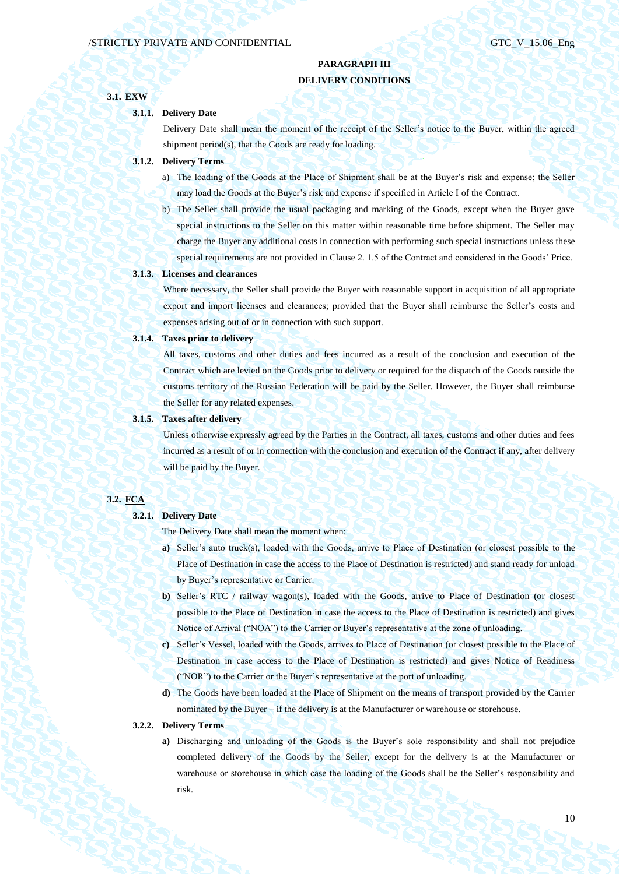# **PARAGRAPH III DELIVERY CONDITIONS**

# **3.1. EXW**

### **3.1.1. Delivery Date**

Delivery Date shall mean the moment of the receipt of the Seller's notice to the Buyer, within the agreed shipment period(s), that the Goods are ready for loading.

## **3.1.2. Delivery Terms**

- a) The loading of the Goods at the Place of Shipment shall be at the Buyer's risk and expense; the Seller may load the Goods at the Buyer's risk and expense if specified in Article I of the Contract.
- b) The Seller shall provide the usual packaging and marking of the Goods, except when the Buyer gave special instructions to the Seller on this matter within reasonable time before shipment. The Seller may charge the Buyer any additional costs in connection with performing such special instructions unless these special requirements are not provided in Clause 2. 1.5 of the Contract and considered in the Goods' Price.

### **3.1.3. Licenses and clearances**

Where necessary, the Seller shall provide the Buyer with reasonable support in acquisition of all appropriate export and import licenses and clearances; provided that the Buyer shall reimburse the Seller's costs and expenses arising out of or in connection with such support.

### **3.1.4. Taxes prior to delivery**

All taxes, customs and other duties and fees incurred as a result of the conclusion and execution of the Contract which are levied on the Goods prior to delivery or required for the dispatch of the Goods outside the customs territory of the Russian Federation will be paid by the Seller. However, the Buyer shall reimburse the Seller for any related expenses.

### **3.1.5. Taxes after delivery**

Unless otherwise expressly agreed by the Parties in the Contract, all taxes, customs and other duties and fees incurred as a result of or in connection with the conclusion and execution of the Contract if any, after delivery will be paid by the Buyer.

## **3.2. FCA**

# **3.2.1. Delivery Date**

The Delivery Date shall mean the moment when:

- **a)** Seller's auto truck(s), loaded with the Goods, arrive to Place of Destination (or closest possible to the Place of Destination in case the access to the Place of Destination is restricted) and stand ready for unload by Buyer's representative or Carrier.
- **b)** Seller's RTC / railway wagon(s), loaded with the Goods, arrive to Place of Destination (or closest possible to the Place of Destination in case the access to the Place of Destination is restricted) and gives Notice of Arrival ("NOA") to the Carrier or Buyer's representative at the zone of unloading.
- **c)** Seller's Vessel, loaded with the Goods, arrives to Place of Destination (or closest possible to the Place of Destination in case access to the Place of Destination is restricted) and gives Notice of Readiness ("NOR") to the Carrier or the Buyer's representative at the port of unloading.
- **d)** The Goods have been loaded at the Place of Shipment on the means of transport provided by the Carrier nominated by the Buyer – if the delivery is at the Manufacturer or warehouse or storehouse.

#### **3.2.2. Delivery Terms**

**a)** Discharging and unloading of the Goods is the Buyer's sole responsibility and shall not prejudice completed delivery of the Goods by the Seller, except for the delivery is at the Manufacturer or warehouse or storehouse in which case the loading of the Goods shall be the Seller's responsibility and risk.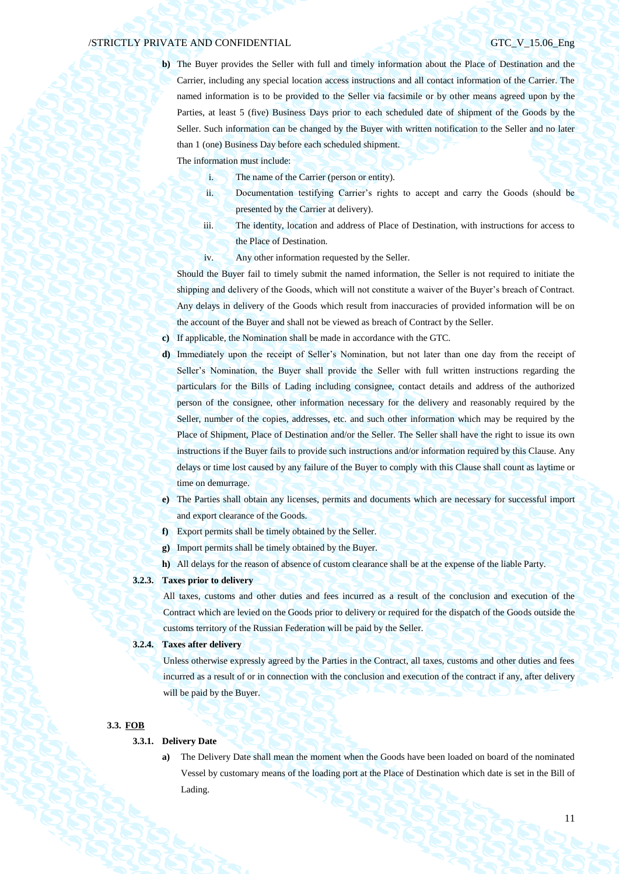**b)** The Buyer provides the Seller with full and timely information about the Place of Destination and the Carrier, including any special location access instructions and all contact information of the Carrier. The named information is to be provided to the Seller via facsimile or by other means agreed upon by the Parties, at least 5 (five) Business Days prior to each scheduled date of shipment of the Goods by the Seller. Such information can be changed by the Buyer with written notification to the Seller and no later than 1 (one) Business Day before each scheduled shipment.

The information must include:

- i. The name of the Carrier (person or entity).
- ii. Documentation testifying Carrier's rights to accept and carry the Goods (should be presented by the Carrier at delivery).
- iii. The identity, location and address of Place of Destination, with instructions for access to the Place of Destination.
- iv. Any other information requested by the Seller.

Should the Buyer fail to timely submit the named information, the Seller is not required to initiate the shipping and delivery of the Goods, which will not constitute a waiver of the Buyer's breach of Contract. Any delays in delivery of the Goods which result from inaccuracies of provided information will be on the account of the Buyer and shall not be viewed as breach of Contract by the Seller.

**c)** If applicable, the Nomination shall be made in accordance with the GTC.

- **d)** Immediately upon the receipt of Seller's Nomination, but not later than one day from the receipt of Seller's Nomination, the Buyer shall provide the Seller with full written instructions regarding the particulars for the Bills of Lading including consignee, contact details and address of the authorized person of the consignee, other information necessary for the delivery and reasonably required by the Seller, number of the copies, addresses, etc. and such other information which may be required by the Place of Shipment, Place of Destination and/or the Seller. The Seller shall have the right to issue its own instructions if the Buyer fails to provide such instructions and/or information required by this Clause. Any delays or time lost caused by any failure of the Buyer to comply with this Clause shall count as laytime or time on demurrage.
- **e)** The Parties shall obtain any licenses, permits and documents which are necessary for successful import and export clearance of the Goods.
- **f)** Export permits shall be timely obtained by the Seller.
- **g)** Import permits shall be timely obtained by the Buyer.
- **h)** All delays for the reason of absence of custom clearance shall be at the expense of the liable Party.

# **3.2.3. Taxes prior to delivery**

All taxes, customs and other duties and fees incurred as a result of the conclusion and execution of the Contract which are levied on the Goods prior to delivery or required for the dispatch of the Goods outside the customs territory of the Russian Federation will be paid by the Seller.

#### **3.2.4. Taxes after delivery**

Unless otherwise expressly agreed by the Parties in the Contract, all taxes, customs and other duties and fees incurred as a result of or in connection with the conclusion and execution of the contract if any, after delivery will be paid by the Buyer.

#### **3.3. FOB**

## **3.3.1. Delivery Date**

**a)** The Delivery Date shall mean the moment when the Goods have been loaded on board of the nominated Vessel by customary means of the loading port at the Place of Destination which date is set in the Bill of Lading.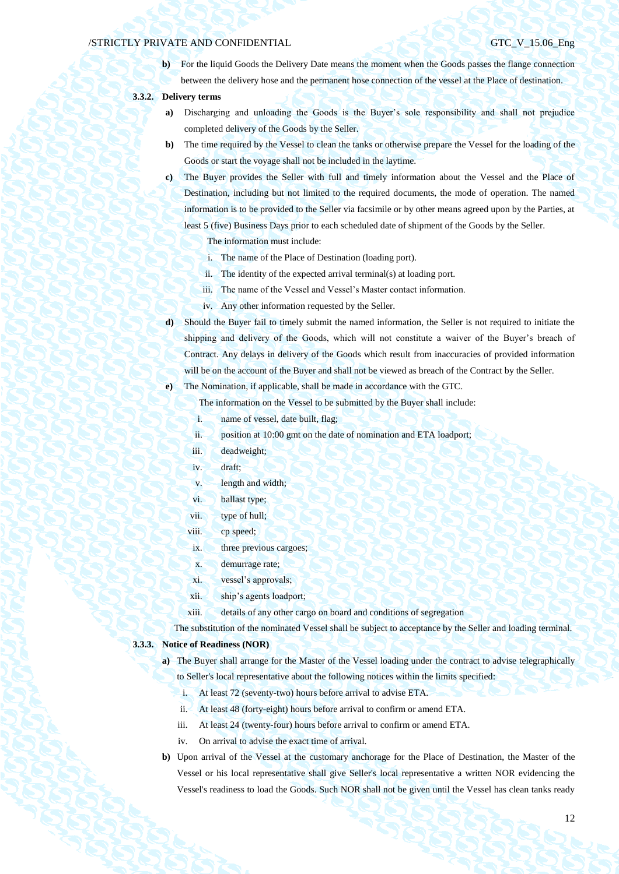**b**) For the liquid Goods the Delivery Date means the moment when the Goods passes the flange connection between the delivery hose and the permanent hose connection of the vessel at the Place of destination.

## **3.3.2. Delivery terms**

- **a)** Discharging and unloading the Goods is the Buyer's sole responsibility and shall not prejudice completed delivery of the Goods by the Seller.
- **b)** The time required by the Vessel to clean the tanks or otherwise prepare the Vessel for the loading of the Goods or start the voyage shall not be included in the laytime.
- **c)** The Buyer provides the Seller with full and timely information about the Vessel and the Place of Destination, including but not limited to the required documents, the mode of operation. The named information is to be provided to the Seller via facsimile or by other means agreed upon by the Parties, at least 5 (five) Business Days prior to each scheduled date of shipment of the Goods by the Seller.

The information must include:

- i. The name of the Place of Destination (loading port).
- ii. The identity of the expected arrival terminal(s) at loading port.
- iii. The name of the Vessel and Vessel's Master contact information.
- iv. Any other information requested by the Seller.
- **d)** Should the Buyer fail to timely submit the named information, the Seller is not required to initiate the shipping and delivery of the Goods, which will not constitute a waiver of the Buyer's breach of Contract. Any delays in delivery of the Goods which result from inaccuracies of provided information will be on the account of the Buyer and shall not be viewed as breach of the Contract by the Seller.

**e)** The Nomination, if applicable, shall be made in accordance with the GTC.

The information on the Vessel to be submitted by the Buyer shall include:

- i. name of vessel, date built, flag;
- ii. position at 10:00 gmt on the date of nomination and ETA loadport;
- iii. deadweight;
- iv. draft;
- v. length and width;
- vi. ballast type;
- vii. type of hull;
- viii. cp speed;
- ix. three previous cargoes;
- x. demurrage rate;
- xi. vessel's approvals;
- xii. ship's agents loadport;
- xiii. details of any other cargo on board and conditions of segregation

The substitution of the nominated Vessel shall be subject to acceptance by the Seller and loading terminal.

### **3.3.3. Notice of Readiness (NOR)**

- **a)** The Buyer shall arrange for the Master of the Vessel loading under the contract to advise telegraphically to Seller's local representative about the following notices within the limits specified:
	- i. At least 72 (seventy-two) hours before arrival to advise ETA.
	- ii. At least 48 (forty-eight) hours before arrival to confirm or amend ETA.
	- iii. At least 24 (twenty-four) hours before arrival to confirm or amend ETA.
	- iv. On arrival to advise the exact time of arrival.
- **b)** Upon arrival of the Vessel at the customary anchorage for the Place of Destination, the Master of the Vessel or his local representative shall give Seller's local representative a written NOR evidencing the Vessel's readiness to load the Goods. Such NOR shall not be given until the Vessel has clean tanks ready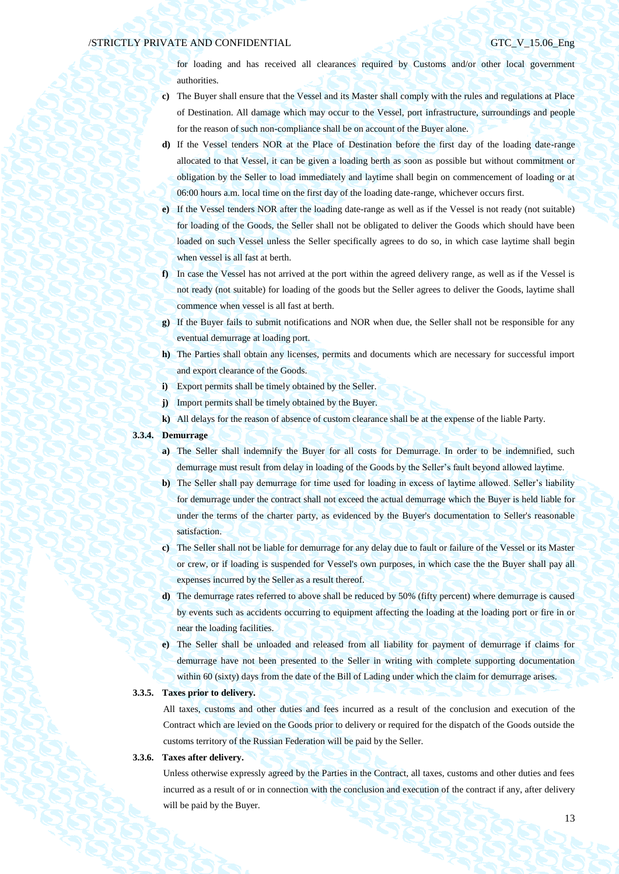for loading and has received all clearances required by Customs and/or other local government authorities.

- **c)** The Buyer shall ensure that the Vessel and its Master shall comply with the rules and regulations at Place of Destination. All damage which may occur to the Vessel, port infrastructure, surroundings and people for the reason of such non-compliance shall be on account of the Buyer alone.
- **d)** If the Vessel tenders NOR at the Place of Destination before the first day of the loading date-range allocated to that Vessel, it can be given a loading berth as soon as possible but without commitment or obligation by the Seller to load immediately and laytime shall begin on commencement of loading or at 06:00 hours a.m. local time on the first day of the loading date-range, whichever occurs first.
- **e)** If the Vessel tenders NOR after the loading date-range as well as if the Vessel is not ready (not suitable) for loading of the Goods, the Seller shall not be obligated to deliver the Goods which should have been loaded on such Vessel unless the Seller specifically agrees to do so, in which case laytime shall begin when vessel is all fast at berth.
- **f)** In case the Vessel has not arrived at the port within the agreed delivery range, as well as if the Vessel is not ready (not suitable) for loading of the goods but the Seller agrees to deliver the Goods, laytime shall commence when vessel is all fast at berth.
- **g)** If the Buyer fails to submit notifications and NOR when due, the Seller shall not be responsible for any eventual demurrage at loading port.
- **h)** The Parties shall obtain any licenses, permits and documents which are necessary for successful import and export clearance of the Goods.
- **i)** Export permits shall be timely obtained by the Seller.
- **j)** Import permits shall be timely obtained by the Buyer.
- **k)** All delays for the reason of absence of custom clearance shall be at the expense of the liable Party.

# **3.3.4. Demurrage**

- **a)** The Seller shall indemnify the Buyer for all costs for Demurrage. In order to be indemnified, such demurrage must result from delay in loading of the Goods by the Seller's fault beyond allowed laytime.
- **b)** The Seller shall pay demurrage for time used for loading in excess of laytime allowed. Seller's liability for demurrage under the contract shall not exceed the actual demurrage which the Buyer is held liable for under the terms of the charter party, as evidenced by the Buyer's documentation to Seller's reasonable satisfaction.
- **c)** The Seller shall not be liable for demurrage for any delay due to fault or failure of the Vessel or its Master or crew, or if loading is suspended for Vessel's own purposes, in which case the the Buyer shall pay all expenses incurred by the Seller as a result thereof.
- **d)** The demurrage rates referred to above shall be reduced by 50% (fifty percent) where demurrage is caused by events such as accidents occurring to equipment affecting the loading at the loading port or fire in or near the loading facilities.
- **e)** The Seller shall be unloaded and released from all liability for payment of demurrage if claims for demurrage have not been presented to the Seller in writing with complete supporting documentation within 60 (sixty) days from the date of the Bill of Lading under which the claim for demurrage arises.

## **3.3.5. Taxes prior to delivery.**

All taxes, customs and other duties and fees incurred as a result of the conclusion and execution of the Contract which are levied on the Goods prior to delivery or required for the dispatch of the Goods outside the customs territory of the Russian Federation will be paid by the Seller.

### **3.3.6. Taxes after delivery.**

Unless otherwise expressly agreed by the Parties in the Contract, all taxes, customs and other duties and fees incurred as a result of or in connection with the conclusion and execution of the contract if any, after delivery will be paid by the Buyer.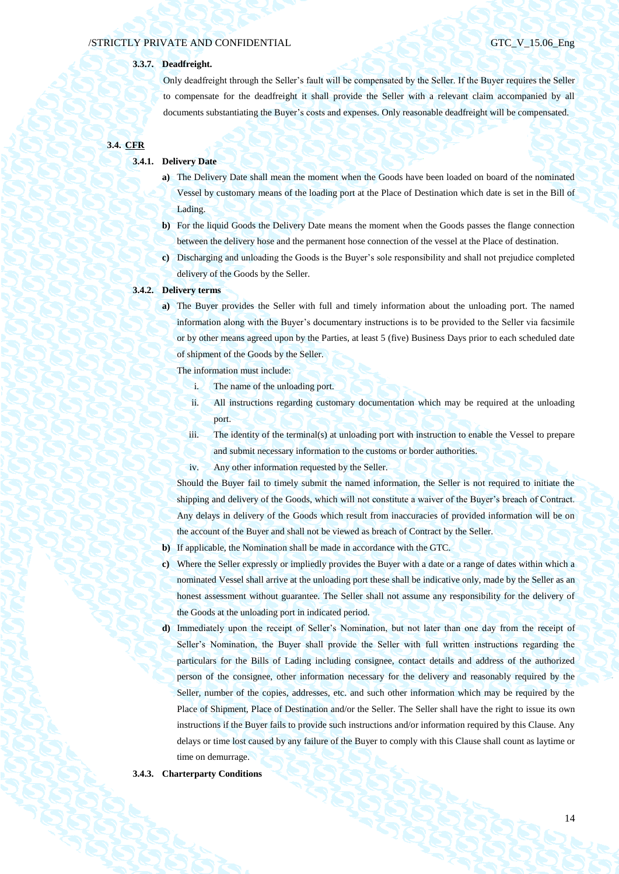## **3.3.7. Deadfreight.**

Only deadfreight through the Seller's fault will be compensated by the Seller. If the Buyer requires the Seller to compensate for the deadfreight it shall provide the Seller with a relevant claim accompanied by all documents substantiating the Buyer's costs and expenses. Only reasonable deadfreight will be compensated.

# **3.4. CFR**

### **3.4.1. Delivery Date**

- **a)** The Delivery Date shall mean the moment when the Goods have been loaded on board of the nominated Vessel by customary means of the loading port at the Place of Destination which date is set in the Bill of Lading.
- **b)** For the liquid Goods the Delivery Date means the moment when the Goods passes the flange connection between the delivery hose and the permanent hose connection of the vessel at the Place of destination.
- **c)** Discharging and unloading the Goods is the Buyer's sole responsibility and shall not prejudice completed delivery of the Goods by the Seller.

### **3.4.2. Delivery terms**

**a)** The Buyer provides the Seller with full and timely information about the unloading port. The named information along with the Buyer's documentary instructions is to be provided to the Seller via facsimile or by other means agreed upon by the Parties, at least 5 (five) Business Days prior to each scheduled date of shipment of the Goods by the Seller.

The information must include:

- i. The name of the unloading port.
- ii. All instructions regarding customary documentation which may be required at the unloading port.
- iii. The identity of the terminal(s) at unloading port with instruction to enable the Vessel to prepare and submit necessary information to the customs or border authorities.
- iv. Any other information requested by the Seller.

Should the Buyer fail to timely submit the named information, the Seller is not required to initiate the shipping and delivery of the Goods, which will not constitute a waiver of the Buyer's breach of Contract. Any delays in delivery of the Goods which result from inaccuracies of provided information will be on the account of the Buyer and shall not be viewed as breach of Contract by the Seller.

- **b)** If applicable, the Nomination shall be made in accordance with the GTC.
- **c)** Where the Seller expressly or impliedly provides the Buyer with a date or a range of dates within which a nominated Vessel shall arrive at the unloading port these shall be indicative only, made by the Seller as an honest assessment without guarantee. The Seller shall not assume any responsibility for the delivery of the Goods at the unloading port in indicated period.
- **d)** Immediately upon the receipt of Seller's Nomination, but not later than one day from the receipt of Seller's Nomination, the Buyer shall provide the Seller with full written instructions regarding the particulars for the Bills of Lading including consignee, contact details and address of the authorized person of the consignee, other information necessary for the delivery and reasonably required by the Seller, number of the copies, addresses, etc. and such other information which may be required by the Place of Shipment, Place of Destination and/or the Seller. The Seller shall have the right to issue its own instructions if the Buyer fails to provide such instructions and/or information required by this Clause. Any delays or time lost caused by any failure of the Buyer to comply with this Clause shall count as laytime or time on demurrage.

#### **3.4.3. Charterparty Conditions**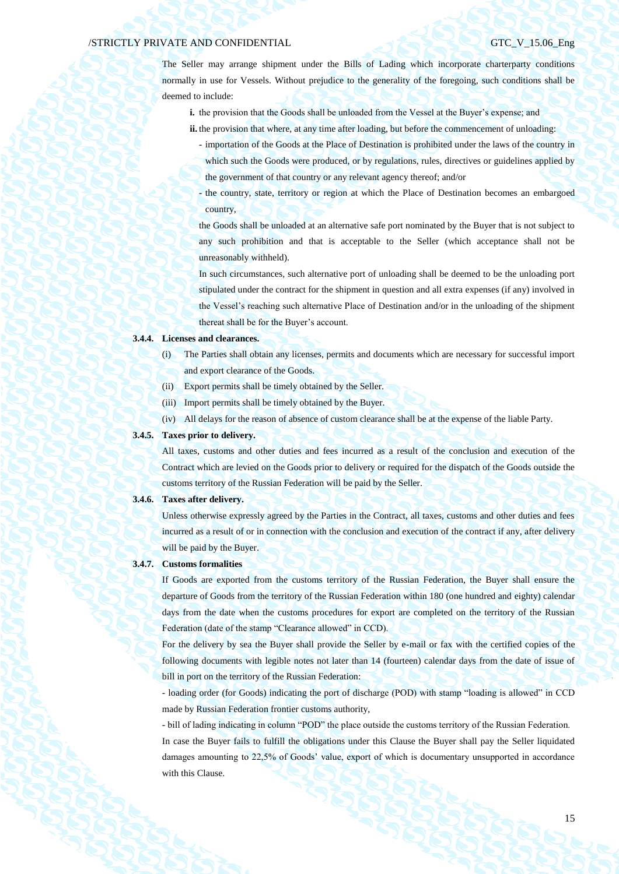The Seller may arrange shipment under the Bills of Lading which incorporate charterparty conditions normally in use for Vessels. Without prejudice to the generality of the foregoing, such conditions shall be deemed to include:

- **i.** the provision that the Goods shall be unloaded from the Vessel at the Buyer's expense; and
- **ii.** the provision that where, at any time after loading, but before the commencement of unloading:
	- importation of the Goods at the Place of Destination is prohibited under the laws of the country in which such the Goods were produced, or by regulations, rules, directives or guidelines applied by the government of that country or any relevant agency thereof; and/or
	- the country, state, territory or region at which the Place of Destination becomes an embargoed country,

the Goods shall be unloaded at an alternative safe port nominated by the Buyer that is not subject to any such prohibition and that is acceptable to the Seller (which acceptance shall not be unreasonably withheld).

In such circumstances, such alternative port of unloading shall be deemed to be the unloading port stipulated under the contract for the shipment in question and all extra expenses (if any) involved in the Vessel's reaching such alternative Place of Destination and/or in the unloading of the shipment thereat shall be for the Buyer's account.

## **3.4.4. Licenses and clearances.**

- (i) The Parties shall obtain any licenses, permits and documents which are necessary for successful import and export clearance of the Goods.
- (ii) Export permits shall be timely obtained by the Seller.
- (iii) Import permits shall be timely obtained by the Buyer.
- (iv) All delays for the reason of absence of custom clearance shall be at the expense of the liable Party.

## **3.4.5. Taxes prior to delivery.**

All taxes, customs and other duties and fees incurred as a result of the conclusion and execution of the Contract which are levied on the Goods prior to delivery or required for the dispatch of the Goods outside the customs territory of the Russian Federation will be paid by the Seller.

#### **3.4.6. Taxes after delivery.**

Unless otherwise expressly agreed by the Parties in the Contract, all taxes, customs and other duties and fees incurred as a result of or in connection with the conclusion and execution of the contract if any, after delivery will be paid by the Buyer.

### **3.4.7. Customs formalities**

If Goods are exported from the customs territory of the Russian Federation, the Buyer shall ensure the departure of Goods from the territory of the Russian Federation within 180 (one hundred and eighty) calendar days from the date when the customs procedures for export are completed on the territory of the Russian Federation (date of the stamp "Clearance allowed" in CCD).

For the delivery by sea the Buyer shall provide the Seller by e-mail or fax with the certified copies of the following documents with legible notes not later than 14 (fourteen) calendar days from the date of issue of bill in port on the territory of the Russian Federation:

- loading order (for Goods) indicating the port of discharge (POD) with stamp "loading is allowed" in CCD made by Russian Federation frontier customs authority,

- bill of lading indicating in column "POD" the place outside the customs territory of the Russian Federation. In case the Buyer fails to fulfill the obligations under this Clause the Buyer shall pay the Seller liquidated damages amounting to 22,5% of Goods' value, export of which is documentary unsupported in accordance with this Clause.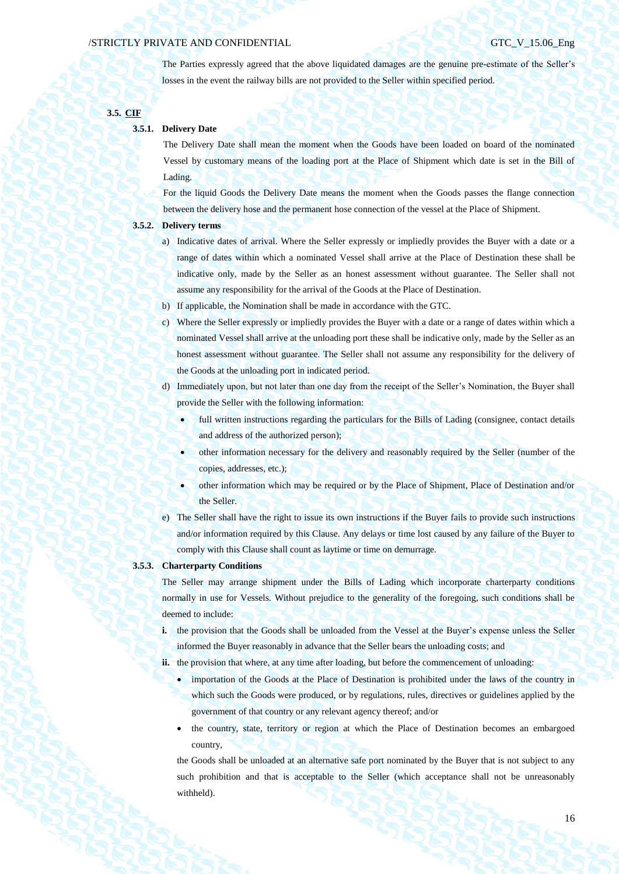The Parties expressly agreed that the above liquidated damages are the genuine pre-estimate of the Seller's losses in the event the railway bills are not provided to the Seller within specified period.

## **3.5. CIF**

## **3.5.1. Delivery Date**

The Delivery Date shall mean the moment when the Goods have been loaded on board of the nominated Vessel by customary means of the loading port at the Place of Shipment which date is set in the Bill of Lading.

For the liquid Goods the Delivery Date means the moment when the Goods passes the flange connection between the delivery hose and the permanent hose connection of the vessel at the Place of Shipment.

## **3.5.2. Delivery terms**

- a) Indicative dates of arrival. Where the Seller expressly or impliedly provides the Buyer with a date or a range of dates within which a nominated Vessel shall arrive at the Place of Destination these shall be indicative only, made by the Seller as an honest assessment without guarantee. The Seller shall not assume any responsibility for the arrival of the Goods at the Place of Destination.
- b) If applicable, the Nomination shall be made in accordance with the GTC.
- c) Where the Seller expressly or impliedly provides the Buyer with a date or a range of dates within which a nominated Vessel shall arrive at the unloading port these shall be indicative only, made by the Seller as an honest assessment without guarantee. The Seller shall not assume any responsibility for the delivery of the Goods at the unloading port in indicated period.
- d) Immediately upon, but not later than one day from the receipt of the Seller's Nomination, the Buyer shall provide the Seller with the following information:
	- full written instructions regarding the particulars for the Bills of Lading (consignee, contact details and address of the authorized person);
	- other information necessary for the delivery and reasonably required by the Seller (number of the copies, addresses, etc.);
	- other information which may be required or by the Place of Shipment, Place of Destination and/or the Seller.
- e) The Seller shall have the right to issue its own instructions if the Buyer fails to provide such instructions and/or information required by this Clause. Any delays or time lost caused by any failure of the Buyer to comply with this Clause shall count as laytime or time on demurrage.

## **3.5.3. Charterparty Conditions**

The Seller may arrange shipment under the Bills of Lading which incorporate charterparty conditions normally in use for Vessels. Without prejudice to the generality of the foregoing, such conditions shall be deemed to include:

**i.** the provision that the Goods shall be unloaded from the Vessel at the Buyer's expense unless the Seller informed the Buyer reasonably in advance that the Seller bears the unloading costs; and

ii. the provision that where, at any time after loading, but before the commencement of unloading:

- importation of the Goods at the Place of Destination is prohibited under the laws of the country in which such the Goods were produced, or by regulations, rules, directives or guidelines applied by the government of that country or any relevant agency thereof; and/or
- the country, state, territory or region at which the Place of Destination becomes an embargoed country,

the Goods shall be unloaded at an alternative safe port nominated by the Buyer that is not subject to any such prohibition and that is acceptable to the Seller (which acceptance shall not be unreasonably withheld).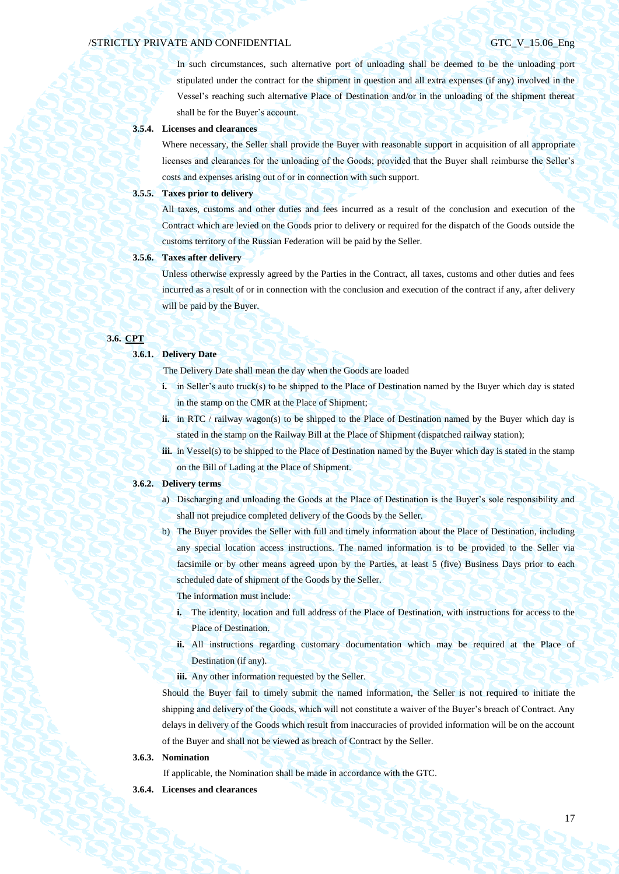In such circumstances, such alternative port of unloading shall be deemed to be the unloading port stipulated under the contract for the shipment in question and all extra expenses (if any) involved in the Vessel's reaching such alternative Place of Destination and/or in the unloading of the shipment thereat shall be for the Buyer's account.

### **3.5.4. Licenses and clearances**

Where necessary, the Seller shall provide the Buyer with reasonable support in acquisition of all appropriate licenses and clearances for the unloading of the Goods; provided that the Buyer shall reimburse the Seller's costs and expenses arising out of or in connection with such support.

#### **3.5.5. Taxes prior to delivery**

All taxes, customs and other duties and fees incurred as a result of the conclusion and execution of the Contract which are levied on the Goods prior to delivery or required for the dispatch of the Goods outside the customs territory of the Russian Federation will be paid by the Seller.

## **3.5.6. Taxes after delivery**

Unless otherwise expressly agreed by the Parties in the Contract, all taxes, customs and other duties and fees incurred as a result of or in connection with the conclusion and execution of the contract if any, after delivery will be paid by the Buyer.

## **3.6. CPT**

#### **3.6.1. Delivery Date**

The Delivery Date shall mean the day when the Goods are loaded

- **i.** in Seller's auto truck(s) to be shipped to the Place of Destination named by the Buyer which day is stated in the stamp on the CMR at the Place of Shipment;
- **ii.** in RTC / railway wagon(s) to be shipped to the Place of Destination named by the Buyer which day is stated in the stamp on the Railway Bill at the Place of Shipment (dispatched railway station);
- **iii.** in Vessel(s) to be shipped to the Place of Destination named by the Buyer which day is stated in the stamp on the Bill of Lading at the Place of Shipment.

### **3.6.2. Delivery terms**

- a) Discharging and unloading the Goods at the Place of Destination is the Buyer's sole responsibility and shall not prejudice completed delivery of the Goods by the Seller.
- b) The Buyer provides the Seller with full and timely information about the Place of Destination, including any special location access instructions. The named information is to be provided to the Seller via facsimile or by other means agreed upon by the Parties, at least 5 (five) Business Days prior to each scheduled date of shipment of the Goods by the Seller.

The information must include:

- **i.** The identity, location and full address of the Place of Destination, with instructions for access to the Place of Destination.
- **ii.** All instructions regarding customary documentation which may be required at the Place of Destination (if any).
- **iii.** Any other information requested by the Seller.

Should the Buyer fail to timely submit the named information, the Seller is not required to initiate the shipping and delivery of the Goods, which will not constitute a waiver of the Buyer's breach of Contract. Any delays in delivery of the Goods which result from inaccuracies of provided information will be on the account of the Buyer and shall not be viewed as breach of Contract by the Seller.

### **3.6.3. Nomination**

If applicable, the Nomination shall be made in accordance with the GTC.

**3.6.4. Licenses and clearances**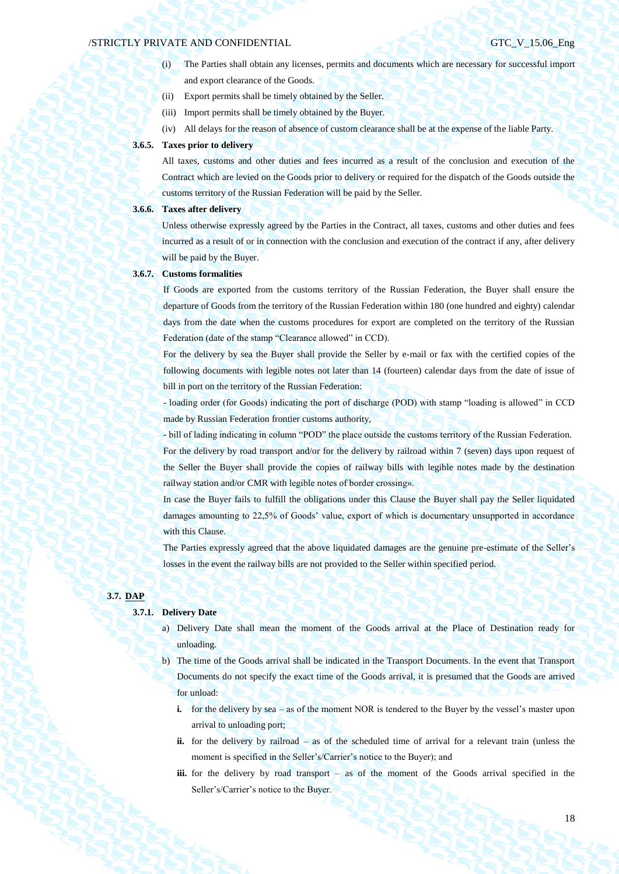- (i) The Parties shall obtain any licenses, permits and documents which are necessary for successful import and export clearance of the Goods.
- (ii) Export permits shall be timely obtained by the Seller.
- (iii) Import permits shall be timely obtained by the Buyer.
- (iv) All delays for the reason of absence of custom clearance shall be at the expense of the liable Party.

### **3.6.5. Taxes prior to delivery**

All taxes, customs and other duties and fees incurred as a result of the conclusion and execution of the Contract which are levied on the Goods prior to delivery or required for the dispatch of the Goods outside the customs territory of the Russian Federation will be paid by the Seller.

## **3.6.6. Taxes after delivery**

Unless otherwise expressly agreed by the Parties in the Contract, all taxes, customs and other duties and fees incurred as a result of or in connection with the conclusion and execution of the contract if any, after delivery will be paid by the Buyer.

#### **3.6.7. Customs formalities**

If Goods are exported from the customs territory of the Russian Federation, the Buyer shall ensure the departure of Goods from the territory of the Russian Federation within 180 (one hundred and eighty) calendar days from the date when the customs procedures for export are completed on the territory of the Russian Federation (date of the stamp "Clearance allowed" in CCD).

For the delivery by sea the Buyer shall provide the Seller by e-mail or fax with the certified copies of the following documents with legible notes not later than 14 (fourteen) calendar days from the date of issue of bill in port on the territory of the Russian Federation:

- loading order (for Goods) indicating the port of discharge (POD) with stamp "loading is allowed" in CCD made by Russian Federation frontier customs authority,

- bill of lading indicating in column "POD" the place outside the customs territory of the Russian Federation. For the delivery by road transport and/or for the delivery by railroad within 7 (seven) days upon request of the Seller the Buyer shall provide the copies of railway bills with legible notes made by the destination railway station and/or CMR with legible notes of border crossing».

In case the Buyer fails to fulfill the obligations under this Clause the Buyer shall pay the Seller liquidated damages amounting to 22,5% of Goods' value, export of which is documentary unsupported in accordance with this Clause.

The Parties expressly agreed that the above liquidated damages are the genuine pre-estimate of the Seller's losses in the event the railway bills are not provided to the Seller within specified period.

### **3.7. DAP**

# **3.7.1. Delivery Date**

- a) Delivery Date shall mean the moment of the Goods arrival at the Place of Destination ready for unloading.
- b) The time of the Goods arrival shall be indicated in the Transport Documents. In the event that Transport Documents do not specify the exact time of the Goods arrival, it is presumed that the Goods are arrived for unload:
	- **i.** for the delivery by sea as of the moment NOR is tendered to the Buyer by the vessel's master upon arrival to unloading port;
	- **ii.** for the delivery by railroad as of the scheduled time of arrival for a relevant train (unless the moment is specified in the Seller's/Carrier's notice to the Buyer); and
	- **iii.** for the delivery by road transport as of the moment of the Goods arrival specified in the Seller's/Carrier's notice to the Buyer.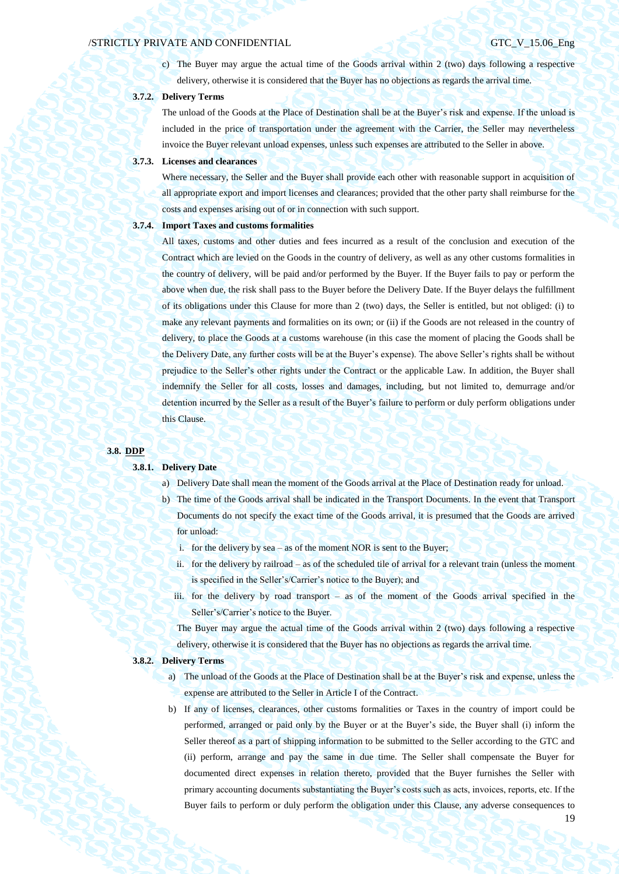19

c) The Buyer may argue the actual time of the Goods arrival within 2 (two) days following a respective delivery, otherwise it is considered that the Buyer has no objections as regards the arrival time.

## **3.7.2. Delivery Terms**

The unload of the Goods at the Place of Destination shall be at the Buyer's risk and expense. If the unload is included in the price of transportation under the agreement with the Carrier, the Seller may nevertheless invoice the Buyer relevant unload expenses, unless such expenses are attributed to the Seller in above.

#### **3.7.3. Licenses and clearances**

Where necessary, the Seller and the Buyer shall provide each other with reasonable support in acquisition of all appropriate export and import licenses and clearances; provided that the other party shall reimburse for the costs and expenses arising out of or in connection with such support.

### **3.7.4. Import Taxes and customs formalities**

All taxes, customs and other duties and fees incurred as a result of the conclusion and execution of the Contract which are levied on the Goods in the country of delivery, as well as any other customs formalities in the country of delivery, will be paid and/or performed by the Buyer. If the Buyer fails to pay or perform the above when due, the risk shall pass to the Buyer before the Delivery Date. If the Buyer delays the fulfillment of its obligations under this Clause for more than 2 (two) days, the Seller is entitled, but not obliged: (i) to make any relevant payments and formalities on its own; or (ii) if the Goods are not released in the country of delivery, to place the Goods at a customs warehouse (in this case the moment of placing the Goods shall be the Delivery Date, any further costs will be at the Buyer's expense). The above Seller's rights shall be without prejudice to the Seller's other rights under the Contract or the applicable Law. In addition, the Buyer shall indemnify the Seller for all costs, losses and damages, including, but not limited to, demurrage and/or detention incurred by the Seller as a result of the Buyer's failure to perform or duly perform obligations under this Clause.

#### **3.8. DDP**

#### **3.8.1. Delivery Date**

- a) Delivery Date shall mean the moment of the Goods arrival at the Place of Destination ready for unload.
- b) The time of the Goods arrival shall be indicated in the Transport Documents. In the event that Transport Documents do not specify the exact time of the Goods arrival, it is presumed that the Goods are arrived for unload:
	- i. for the delivery by sea as of the moment NOR is sent to the Buyer;
	- ii. for the delivery by railroad as of the scheduled tile of arrival for a relevant train (unless the moment is specified in the Seller's/Carrier's notice to the Buyer); and
	- iii. for the delivery by road transport as of the moment of the Goods arrival specified in the Seller's/Carrier's notice to the Buyer.

The Buyer may argue the actual time of the Goods arrival within 2 (two) days following a respective delivery, otherwise it is considered that the Buyer has no objections as regards the arrival time.

#### **3.8.2. Delivery Terms**

- a) The unload of the Goods at the Place of Destination shall be at the Buyer's risk and expense, unless the expense are attributed to the Seller in Article I of the Contract.
- b) If any of licenses, clearances, other customs formalities or Taxes in the country of import could be performed, arranged or paid only by the Buyer or at the Buyer's side, the Buyer shall (i) inform the Seller thereof as a part of shipping information to be submitted to the Seller according to the GTC and (ii) perform, arrange and pay the same in due time. The Seller shall compensate the Buyer for documented direct expenses in relation thereto, provided that the Buyer furnishes the Seller with primary accounting documents substantiating the Buyer's costs such as acts, invoices, reports, etc. If the Buyer fails to perform or duly perform the obligation under this Clause, any adverse consequences to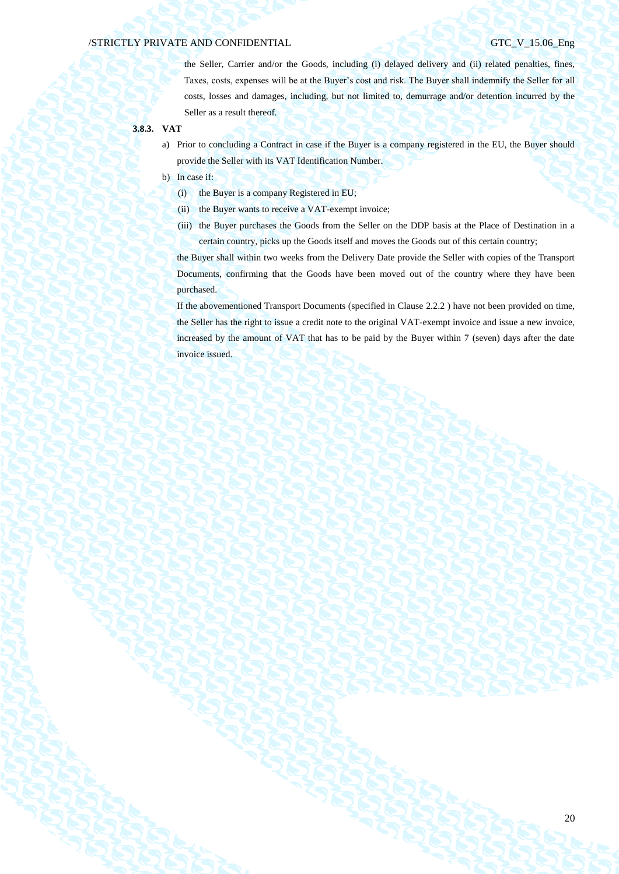the Seller, Carrier and/or the Goods, including (i) delayed delivery and (ii) related penalties, fines, Taxes, costs, expenses will be at the Buyer's cost and risk. The Buyer shall indemnify the Seller for all costs, losses and damages, including, but not limited to, demurrage and/or detention incurred by the Seller as a result thereof.

### **3.8.3. VAT**

- a) Prior to concluding a Contract in case if the Buyer is a company registered in the EU, the Buyer should provide the Seller with its VAT Identification Number.
- b) In case if:
	- (i) the Buyer is a company Registered in EU;
	- (ii) the Buyer wants to receive a VAT-exempt invoice;
	- (iii) the Buyer purchases the Goods from the Seller on the DDP basis at the Place of Destination in a certain country, picks up the Goods itself and moves the Goods out of this certain country;

the Buyer shall within two weeks from the Delivery Date provide the Seller with copies of the Transport Documents, confirming that the Goods have been moved out of the country where they have been purchased.

If the abovementioned Transport Documents (specified in Clause 2.2.2 ) have not been provided on time, the Seller has the right to issue a credit note to the original VAT-exempt invoice and issue a new invoice, increased by the amount of VAT that has to be paid by the Buyer within 7 (seven) days after the date invoice issued.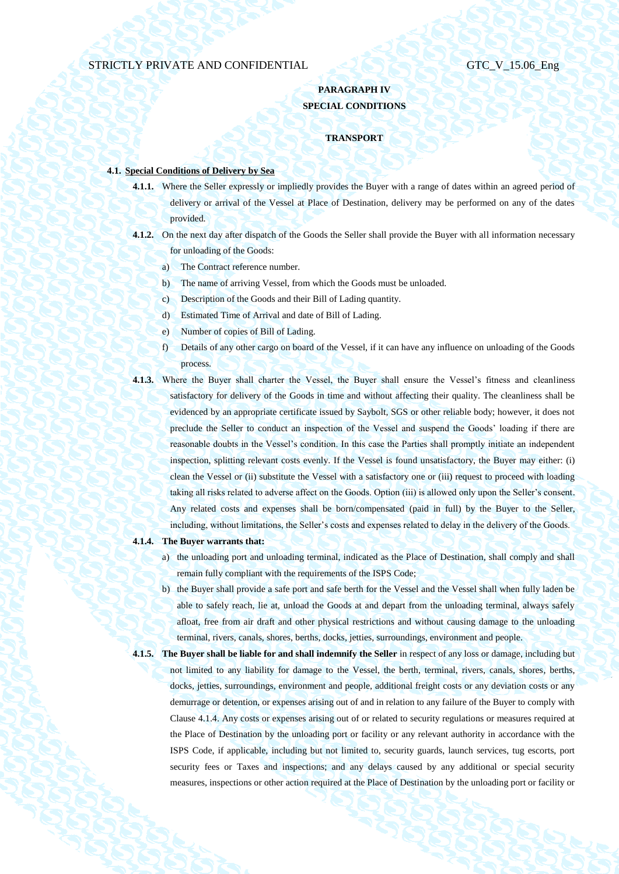# **PARAGRAPH IV SPECIAL CONDITIONS**

## **TRANSPORT**

# **4.1. Special Conditions of Delivery by Sea**

- **4.1.1.** Where the Seller expressly or impliedly provides the Buyer with a range of dates within an agreed period of delivery or arrival of the Vessel at Place of Destination, delivery may be performed on any of the dates provided.
- **4.1.2.** On the next day after dispatch of the Goods the Seller shall provide the Buyer with all information necessary for unloading of the Goods:
	- a) The Contract reference number.
	- b) The name of arriving Vessel, from which the Goods must be unloaded.
	- c) Description of the Goods and their Bill of Lading quantity.
	- d) Estimated Time of Arrival and date of Bill of Lading.
	- e) Number of copies of Bill of Lading.
	- f) Details of any other cargo on board of the Vessel, if it can have any influence on unloading of the Goods process.
- **4.1.3.** Where the Buyer shall charter the Vessel, the Buyer shall ensure the Vessel's fitness and cleanliness satisfactory for delivery of the Goods in time and without affecting their quality. The cleanliness shall be evidenced by an appropriate certificate issued by Saybolt, SGS or other reliable body; however, it does not preclude the Seller to conduct an inspection of the Vessel and suspend the Goods' loading if there are reasonable doubts in the Vessel's condition. In this case the Parties shall promptly initiate an independent inspection, splitting relevant costs evenly. If the Vessel is found unsatisfactory, the Buyer may either: (i) clean the Vessel or (ii) substitute the Vessel with a satisfactory one or (iii) request to proceed with loading taking all risks related to adverse affect on the Goods. Option (iii) is allowed only upon the Seller's consent. Any related costs and expenses shall be born/compensated (paid in full) by the Buyer to the Seller, including, without limitations, the Seller's costs and expenses related to delay in the delivery of the Goods.

#### <span id="page-20-0"></span>**4.1.4. The Buyer warrants that:**

- a) the unloading port and unloading terminal, indicated as the Place of Destination, shall comply and shall remain fully compliant with the requirements of the ISPS Code;
- b) the Buyer shall provide a safe port and safe berth for the Vessel and the Vessel shall when fully laden be able to safely reach, lie at, unload the Goods at and depart from the unloading terminal, always safely afloat, free from air draft and other physical restrictions and without causing damage to the unloading terminal, rivers, canals, shores, berths, docks, jetties, surroundings, environment and people.
- **4.1.5. The Buyer shall be liable for and shall indemnify the Seller** in respect of any loss or damage, including but not limited to any liability for damage to the Vessel, the berth, terminal, rivers, canals, shores, berths, docks, jetties, surroundings, environment and people, additional freight costs or any deviation costs or any demurrage or detention, or expenses arising out of and in relation to any failure of the Buyer to comply with Claus[e 4.1.4.](#page-20-0) Any costs or expenses arising out of or related to security regulations or measures required at the Place of Destination by the unloading port or facility or any relevant authority in accordance with the ISPS Code, if applicable, including but not limited to, security guards, launch services, tug escorts, port security fees or Taxes and inspections; and any delays caused by any additional or special security measures, inspections or other action required at the Place of Destination by the unloading port or facility or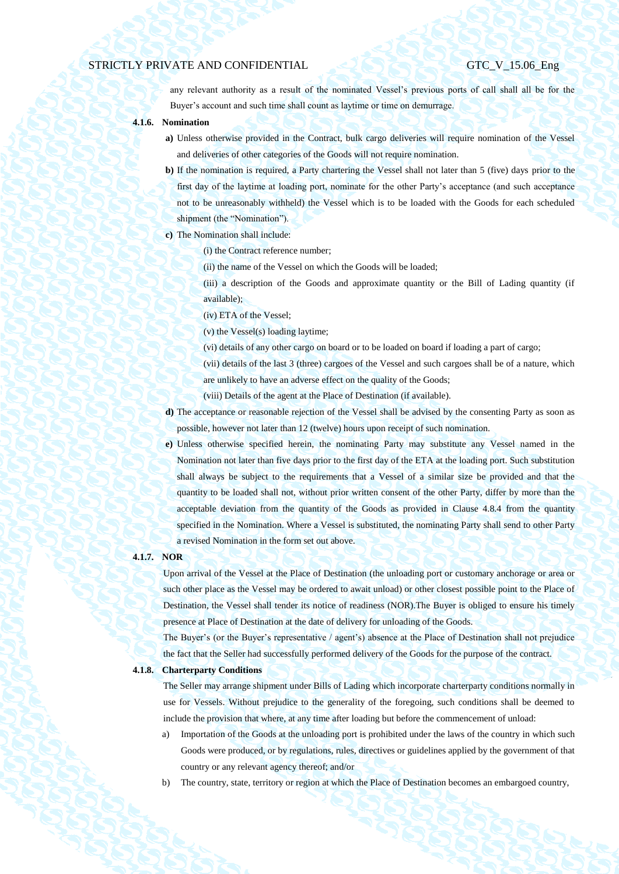any relevant authority as a result of the nominated Vessel's previous ports of call shall all be for the Buyer's account and such time shall count as laytime or time on demurrage.

- **4.1.6. Nomination**
	- **a)** Unless otherwise provided in the Contract, bulk cargo deliveries will require nomination of the Vessel and deliveries of other categories of the Goods will not require nomination.
	- **b)** If the nomination is required, a Party chartering the Vessel shall not later than 5 (five) days prior to the first day of the laytime at loading port, nominate for the other Party's acceptance (and such acceptance not to be unreasonably withheld) the Vessel which is to be loaded with the Goods for each scheduled shipment (the "Nomination").
	- **c)** The Nomination shall include:
		- (i) the Contract reference number;
			- (ii) the name of the Vessel on which the Goods will be loaded;
		- (iii) a description of the Goods and approximate quantity or the Bill of Lading quantity (if available);
			- (iv) ETA of the Vessel;
			- (v) the Vessel(s) loading laytime;
			- (vi) details of any other cargo on board or to be loaded on board if loading a part of cargo;
		- (vii) details of the last 3 (three) cargoes of the Vessel and such cargoes shall be of a nature, which are unlikely to have an adverse effect on the quality of the Goods;
		- (viii) Details of the agent at the Place of Destination (if available).
	- **d)** The acceptance or reasonable rejection of the Vessel shall be advised by the consenting Party as soon as possible, however not later than 12 (twelve) hours upon receipt of such nomination.
	- **e)** Unless otherwise specified herein, the nominating Party may substitute any Vessel named in the Nomination not later than five days prior to the first day of the ETA at the loading port. Such substitution shall always be subject to the requirements that a Vessel of a similar size be provided and that the quantity to be loaded shall not, without prior written consent of the other Party, differ by more than the acceptable deviation from the quantity of the Goods as provided in Clause [4.8.4](#page-36-0) from the quantity specified in the Nomination. Where a Vessel is substituted, the nominating Party shall send to other Party a revised Nomination in the form set out above.

## **4.1.7. NOR**

Upon arrival of the Vessel at the Place of Destination (the unloading port or customary anchorage or area or such other place as the Vessel may be ordered to await unload) or other closest possible point to the Place of Destination, the Vessel shall tender its notice of readiness (NOR).The Buyer is obliged to ensure his timely presence at Place of Destination at the date of delivery for unloading of the Goods.

The Buyer's (or the Buyer's representative / agent's) absence at the Place of Destination shall not prejudice the fact that the Seller had successfully performed delivery of the Goods for the purpose of the contract.

#### **4.1.8. Charterparty Conditions**

The Seller may arrange shipment under Bills of Lading which incorporate charterparty conditions normally in use for Vessels. Without prejudice to the generality of the foregoing, such conditions shall be deemed to include the provision that where, at any time after loading but before the commencement of unload:

- a) Importation of the Goods at the unloading port is prohibited under the laws of the country in which such Goods were produced, or by regulations, rules, directives or guidelines applied by the government of that country or any relevant agency thereof; and/or
- b) The country, state, territory or region at which the Place of Destination becomes an embargoed country,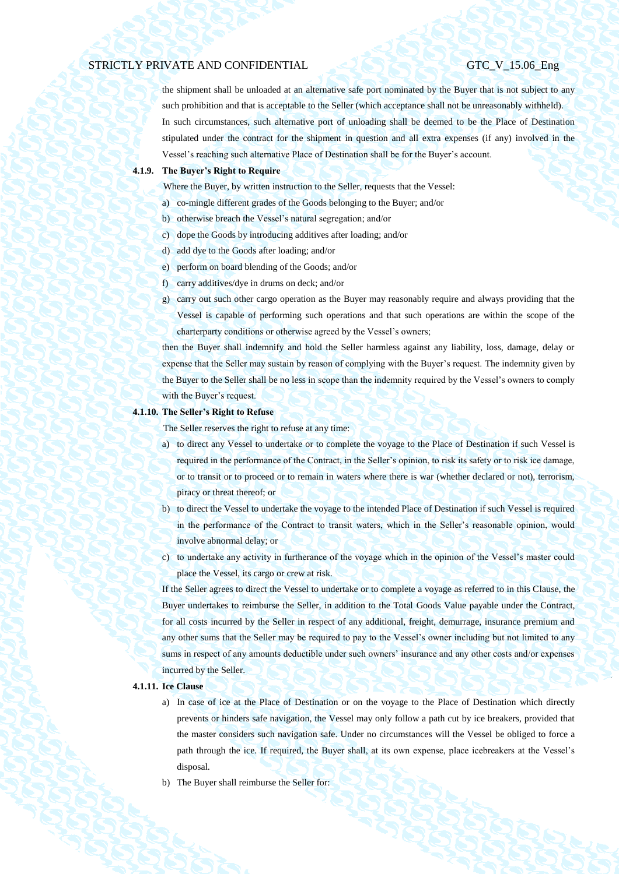the shipment shall be unloaded at an alternative safe port nominated by the Buyer that is not subject to any such prohibition and that is acceptable to the Seller (which acceptance shall not be unreasonably withheld). In such circumstances, such alternative port of unloading shall be deemed to be the Place of Destination stipulated under the contract for the shipment in question and all extra expenses (if any) involved in the Vessel's reaching such alternative Place of Destination shall be for the Buyer's account.

### **4.1.9. The Buyer's Right to Require**

Where the Buyer, by written instruction to the Seller, requests that the Vessel:

- a) co-mingle different grades of the Goods belonging to the Buyer; and/or
- b) otherwise breach the Vessel's natural segregation; and/or
- c) dope the Goods by introducing additives after loading; and/or
- d) add dye to the Goods after loading; and/or
- e) perform on board blending of the Goods; and/or
- f) carry additives/dye in drums on deck; and/or
- g) carry out such other cargo operation as the Buyer may reasonably require and always providing that the Vessel is capable of performing such operations and that such operations are within the scope of the charterparty conditions or otherwise agreed by the Vessel's owners;

then the Buyer shall indemnify and hold the Seller harmless against any liability, loss, damage, delay or expense that the Seller may sustain by reason of complying with the Buyer's request. The indemnity given by the Buyer to the Seller shall be no less in scope than the indemnity required by the Vessel's owners to comply with the Buyer's request.

#### **4.1.10. The Seller's Right to Refuse**

The Seller reserves the right to refuse at any time:

- a) to direct any Vessel to undertake or to complete the voyage to the Place of Destination if such Vessel is required in the performance of the Contract, in the Seller's opinion, to risk its safety or to risk ice damage, or to transit or to proceed or to remain in waters where there is war (whether declared or not), terrorism, piracy or threat thereof; or
- b) to direct the Vessel to undertake the voyage to the intended Place of Destination if such Vessel is required in the performance of the Contract to transit waters, which in the Seller's reasonable opinion, would involve abnormal delay; or
- c) to undertake any activity in furtherance of the voyage which in the opinion of the Vessel's master could place the Vessel, its cargo or crew at risk.

If the Seller agrees to direct the Vessel to undertake or to complete a voyage as referred to in this Clause, the Buyer undertakes to reimburse the Seller, in addition to the Total Goods Value payable under the Contract, for all costs incurred by the Seller in respect of any additional, freight, demurrage, insurance premium and any other sums that the Seller may be required to pay to the Vessel's owner including but not limited to any sums in respect of any amounts deductible under such owners' insurance and any other costs and/or expenses incurred by the Seller.

## **4.1.11. Ice Clause**

- a) In case of ice at the Place of Destination or on the voyage to the Place of Destination which directly prevents or hinders safe navigation, the Vessel may only follow a path cut by ice breakers, provided that the master considers such navigation safe. Under no circumstances will the Vessel be obliged to force a path through the ice. If required, the Buyer shall, at its own expense, place icebreakers at the Vessel's disposal.
- b) The Buyer shall reimburse the Seller for: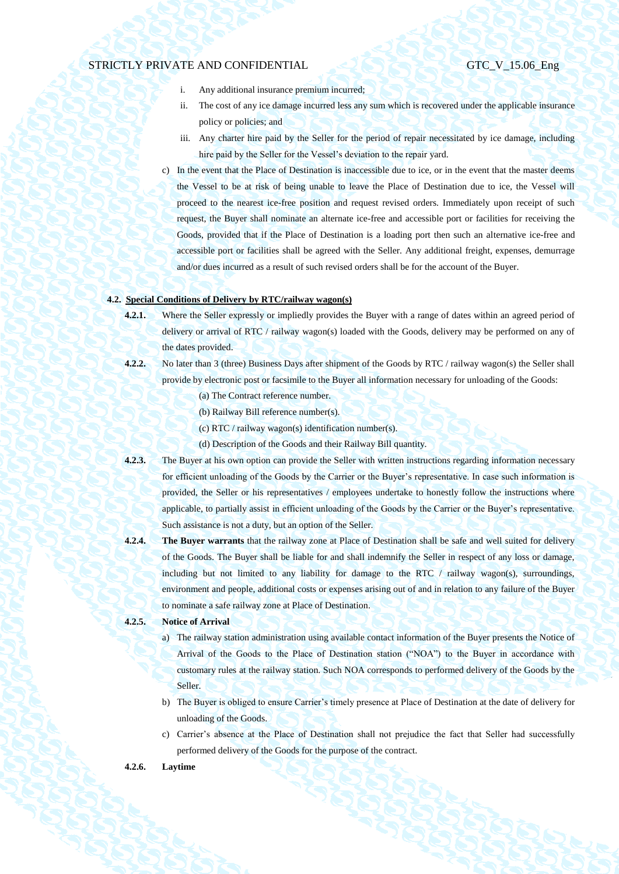- i. Any additional insurance premium incurred;
- ii. The cost of any ice damage incurred less any sum which is recovered under the applicable insurance policy or policies; and
- iii. Any charter hire paid by the Seller for the period of repair necessitated by ice damage, including hire paid by the Seller for the Vessel's deviation to the repair yard.
- c) In the event that the Place of Destination is inaccessible due to ice, or in the event that the master deems the Vessel to be at risk of being unable to leave the Place of Destination due to ice, the Vessel will proceed to the nearest ice-free position and request revised orders. Immediately upon receipt of such request, the Buyer shall nominate an alternate ice-free and accessible port or facilities for receiving the Goods, provided that if the Place of Destination is a loading port then such an alternative ice-free and accessible port or facilities shall be agreed with the Seller. Any additional freight, expenses, demurrage and/or dues incurred as a result of such revised orders shall be for the account of the Buyer.

## **4.2. Special Conditions of Delivery by RTC/railway wagon(s)**

- **4.2.1.** Where the Seller expressly or impliedly provides the Buyer with a range of dates within an agreed period of delivery or arrival of RTC / railway wagon(s) loaded with the Goods, delivery may be performed on any of the dates provided.
- **4.2.2.** No later than 3 (three) Business Days after shipment of the Goods by RTC / railway wagon(s) the Seller shall provide by electronic post or facsimile to the Buyer all information necessary for unloading of the Goods:
	- (a) The Contract reference number.
	- (b) Railway Bill reference number(s).
	- (c) RTC / railway wagon(s) identification number(s).
	- (d) Description of the Goods and their Railway Bill quantity.
- **4.2.3.** The Buyer at his own option can provide the Seller with written instructions regarding information necessary for efficient unloading of the Goods by the Carrier or the Buyer's representative. In case such information is provided, the Seller or his representatives / employees undertake to honestly follow the instructions where applicable, to partially assist in efficient unloading of the Goods by the Carrier or the Buyer's representative. Such assistance is not a duty, but an option of the Seller.
- **4.2.4. The Buyer warrants** that the railway zone at Place of Destination shall be safe and well suited for delivery of the Goods. The Buyer shall be liable for and shall indemnify the Seller in respect of any loss or damage, including but not limited to any liability for damage to the RTC  $/$  railway wagon(s), surroundings, environment and people, additional costs or expenses arising out of and in relation to any failure of the Buyer to nominate a safe railway zone at Place of Destination.

## **4.2.5. Notice of Arrival**

- a) The railway station administration using available contact information of the Buyer presents the Notice of Arrival of the Goods to the Place of Destination station ("NOA") to the Buyer in accordance with customary rules at the railway station. Such NOA corresponds to performed delivery of the Goods by the Seller.
- b) The Buyer is obliged to ensure Carrier's timely presence at Place of Destination at the date of delivery for unloading of the Goods.
- c) Carrier's absence at the Place of Destination shall not prejudice the fact that Seller had successfully performed delivery of the Goods for the purpose of the contract.

## **4.2.6. Laytime**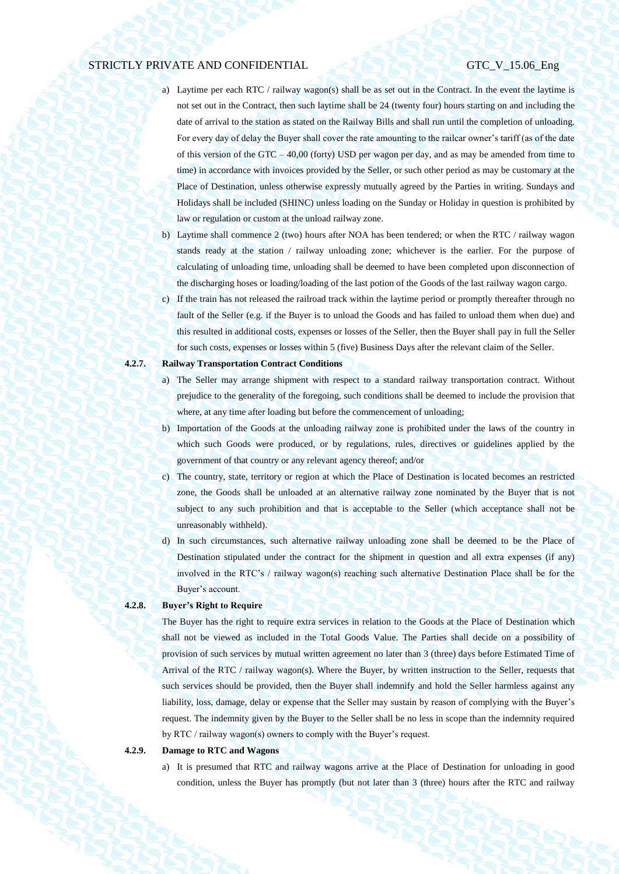- a) Laytime per each RTC / railway wagon(s) shall be as set out in the Contract. In the event the laytime is not set out in the Contract, then such laytime shall be 24 (twenty four) hours starting on and including the date of arrival to the station as stated on the Railway Bills and shall run until the completion of unloading. For every day of delay the Buyer shall cover the rate amounting to the railcar owner's tariff (as of the date of this version of the GTC – 40,00 (forty) USD per wagon per day, and as may be amended from time to time) in accordance with invoices provided by the Seller, or such other period as may be customary at the Place of Destination, unless otherwise expressly mutually agreed by the Parties in writing. Sundays and Holidays shall be included (SHINC) unless loading on the Sunday or Holiday in question is prohibited by law or regulation or custom at the unload railway zone.
- b) Laytime shall commence 2 (two) hours after NOA has been tendered; or when the RTC / railway wagon stands ready at the station / railway unloading zone; whichever is the earlier. For the purpose of calculating of unloading time, unloading shall be deemed to have been completed upon disconnection of the discharging hoses or loading/loading of the last potion of the Goods of the last railway wagon cargo.
- c) If the train has not released the railroad track within the laytime period or promptly thereafter through no fault of the Seller (e.g. if the Buyer is to unload the Goods and has failed to unload them when due) and this resulted in additional costs, expenses or losses of the Seller, then the Buyer shall pay in full the Seller for such costs, expenses or losses within 5 (five) Business Days after the relevant claim of the Seller.

# **4.2.7. Railway Transportation Contract Conditions**

- a) The Seller may arrange shipment with respect to a standard railway transportation contract. Without prejudice to the generality of the foregoing, such conditions shall be deemed to include the provision that where, at any time after loading but before the commencement of unloading;
- b) Importation of the Goods at the unloading railway zone is prohibited under the laws of the country in which such Goods were produced, or by regulations, rules, directives or guidelines applied by the government of that country or any relevant agency thereof; and/or
- c) The country, state, territory or region at which the Place of Destination is located becomes an restricted zone, the Goods shall be unloaded at an alternative railway zone nominated by the Buyer that is not subject to any such prohibition and that is acceptable to the Seller (which acceptance shall not be unreasonably withheld).
- d) In such circumstances, such alternative railway unloading zone shall be deemed to be the Place of Destination stipulated under the contract for the shipment in question and all extra expenses (if any) involved in the RTC's / railway wagon(s) reaching such alternative Destination Place shall be for the Buyer's account.

## **4.2.8. Buyer's Right to Require**

The Buyer has the right to require extra services in relation to the Goods at the Place of Destination which shall not be viewed as included in the Total Goods Value. The Parties shall decide on a possibility of provision of such services by mutual written agreement no later than 3 (three) days before Estimated Time of Arrival of the RTC / railway wagon(s). Where the Buyer, by written instruction to the Seller, requests that such services should be provided, then the Buyer shall indemnify and hold the Seller harmless against any liability, loss, damage, delay or expense that the Seller may sustain by reason of complying with the Buyer's request. The indemnity given by the Buyer to the Seller shall be no less in scope than the indemnity required by RTC / railway wagon(s) owners to comply with the Buyer's request.

#### **4.2.9. Damage to RTC and Wagons**

a) It is presumed that RTC and railway wagons arrive at the Place of Destination for unloading in good condition, unless the Buyer has promptly (but not later than 3 (three) hours after the RTC and railway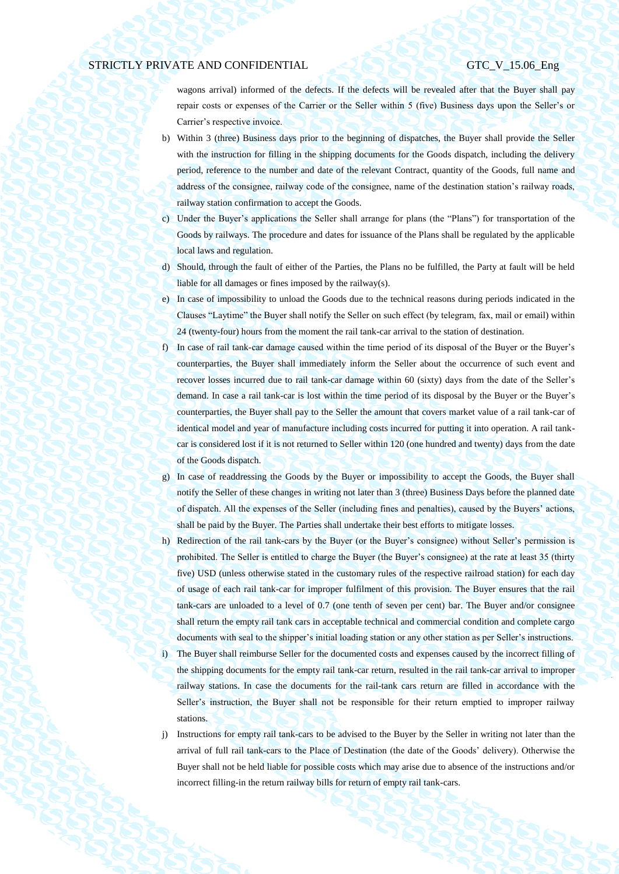wagons arrival) informed of the defects. If the defects will be revealed after that the Buyer shall pay repair costs or expenses of the Carrier or the Seller within 5 (five) Business days upon the Seller's or Carrier's respective invoice.

- b) Within 3 (three) Business days prior to the beginning of dispatches, the Buyer shall provide the Seller with the instruction for filling in the shipping documents for the Goods dispatch, including the delivery period, reference to the number and date of the relevant Contract, quantity of the Goods, full name and address of the consignee, railway code of the consignee, name of the destination station's railway roads, railway station confirmation to accept the Goods.
- c) Under the Buyer's applications the Seller shall arrange for plans (the "Plans") for transportation of the Goods by railways. The procedure and dates for issuance of the Plans shall be regulated by the applicable local laws and regulation.
- d) Should, through the fault of either of the Parties, the Plans no be fulfilled, the Party at fault will be held liable for all damages or fines imposed by the railway(s).
- e) In case of impossibility to unload the Goods due to the technical reasons during periods indicated in the Clauses "Laytime" the Buyer shall notify the Seller on such effect (by telegram, fax, mail or email) within 24 (twenty-four) hours from the moment the rail tank-car arrival to the station of destination.
- f) In case of rail tank-car damage caused within the time period of its disposal of the Buyer or the Buyer's counterparties, the Buyer shall immediately inform the Seller about the occurrence of such event and recover losses incurred due to rail tank-car damage within 60 (sixty) days from the date of the Seller's demand. In case a rail tank-car is lost within the time period of its disposal by the Buyer or the Buyer's counterparties, the Buyer shall pay to the Seller the amount that covers market value of a rail tank-car of identical model and year of manufacture including costs incurred for putting it into operation. A rail tankcar is considered lost if it is not returned to Seller within 120 (one hundred and twenty) days from the date of the Goods dispatch.
- g) In case of readdressing the Goods by the Buyer or impossibility to accept the Goods, the Buyer shall notify the Seller of these changes in writing not later than 3 (three) Business Days before the planned date of dispatch. All the expenses of the Seller (including fines and penalties), caused by the Buyers' actions, shall be paid by the Buyer. The Parties shall undertake their best efforts to mitigate losses.
- h) Redirection of the rail tank-cars by the Buyer (or the Buyer's consignee) without Seller's permission is prohibited. The Seller is entitled to charge the Buyer (the Buyer's consignee) at the rate at least 35 (thirty five) USD (unless otherwise stated in the customary rules of the respective railroad station) for each day of usage of each rail tank-car for improper fulfilment of this provision. The Buyer ensures that the rail tank-cars are unloaded to a level of 0.7 (one tenth of seven per cent) bar. The Buyer and/or consignee shall return the empty rail tank cars in acceptable technical and commercial condition and complete cargo documents with seal to the shipper's initial loading station or any other station as per Seller's instructions. i) The Buyer shall reimburse Seller for the documented costs and expenses caused by the incorrect filling of the shipping documents for the empty rail tank-car return, resulted in the rail tank-car arrival to improper railway stations. In case the documents for the rail-tank cars return are filled in accordance with the Seller's instruction, the Buyer shall not be responsible for their return emptied to improper railway stations.
- j) Instructions for empty rail tank-cars to be advised to the Buyer by the Seller in writing not later than the arrival of full rail tank-cars to the Place of Destination (the date of the Goods' delivery). Otherwise the Buyer shall not be held liable for possible costs which may arise due to absence of the instructions and/or incorrect filling-in the return railway bills for return of empty rail tank-cars.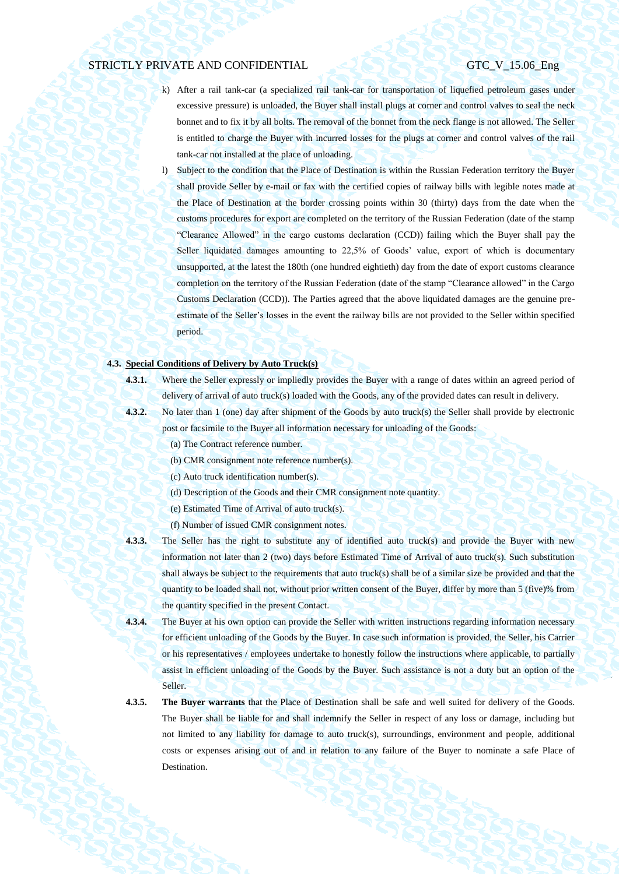- k) After a rail tank-car (a specialized rail tank-car for transportation of liquefied petroleum gases under excessive pressure) is unloaded, the Buyer shall install plugs at corner and control valves to seal the neck bonnet and to fix it by all bolts. The removal of the bonnet from the neck flange is not allowed. The Seller is entitled to charge the Buyer with incurred losses for the plugs at corner and control valves of the rail tank-car not installed at the place of unloading.
- l) Subject to the condition that the Place of Destination is within the Russian Federation territory the Buyer shall provide Seller by e-mail or fax with the certified copies of railway bills with legible notes made at the Place of Destination at the border crossing points within 30 (thirty) days from the date when the customs procedures for export are completed on the territory of the Russian Federation (date of the stamp "Clearance Allowed" in the cargo customs declaration (CCD)) failing which the Buyer shall pay the Seller liquidated damages amounting to 22,5% of Goods' value, export of which is documentary unsupported, at the latest the 180th (one hundred eightieth) day from the date of export customs clearance completion on the territory of the Russian Federation (date of the stamp "Clearance allowed" in the Cargo Customs Declaration (CCD)). The Parties agreed that the above liquidated damages are the genuine preestimate of the Seller's losses in the event the railway bills are not provided to the Seller within specified period.

## **4.3. Special Conditions of Delivery by Auto Truck(s)**

- **4.3.1.** Where the Seller expressly or impliedly provides the Buyer with a range of dates within an agreed period of delivery of arrival of auto truck(s) loaded with the Goods, any of the provided dates can result in delivery.
- 
- **4.3.2.** No later than 1 (one) day after shipment of the Goods by auto truck(s) the Seller shall provide by electronic post or facsimile to the Buyer all information necessary for unloading of the Goods:
	- (a) The Contract reference number.
	- (b) CMR consignment note reference number(s).
	- (c) Auto truck identification number(s).
	- (d) Description of the Goods and their CMR consignment note quantity.
	- (e) Estimated Time of Arrival of auto truck(s).
	- (f) Number of issued CMR consignment notes.
- **4.3.3.** The Seller has the right to substitute any of identified auto truck(s) and provide the Buyer with new information not later than 2 (two) days before Estimated Time of Arrival of auto truck(s). Such substitution shall always be subject to the requirements that auto truck(s) shall be of a similar size be provided and that the quantity to be loaded shall not, without prior written consent of the Buyer, differ by more than 5 (five)% from the quantity specified in the present Contact.
- **4.3.4.** The Buyer at his own option can provide the Seller with written instructions regarding information necessary for efficient unloading of the Goods by the Buyer. In case such information is provided, the Seller, his Carrier or his representatives / employees undertake to honestly follow the instructions where applicable, to partially assist in efficient unloading of the Goods by the Buyer. Such assistance is not a duty but an option of the Seller.
- **4.3.5. The Buyer warrants** that the Place of Destination shall be safe and well suited for delivery of the Goods. The Buyer shall be liable for and shall indemnify the Seller in respect of any loss or damage, including but not limited to any liability for damage to auto truck(s), surroundings, environment and people, additional costs or expenses arising out of and in relation to any failure of the Buyer to nominate a safe Place of Destination.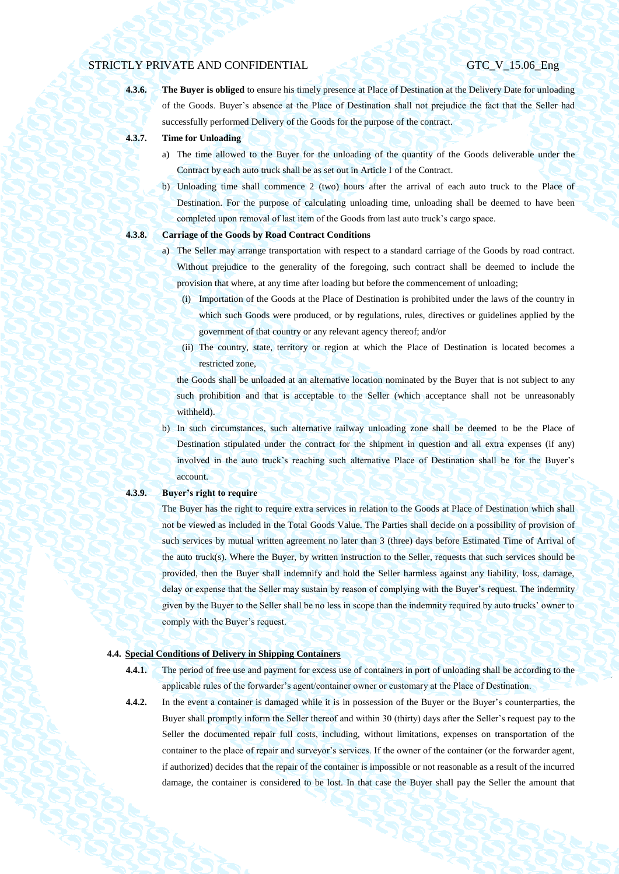**4.3.6. The Buyer is obliged** to ensure his timely presence at Place of Destination at the Delivery Date for unloading of the Goods. Buyer's absence at the Place of Destination shall not prejudice the fact that the Seller had successfully performed Delivery of the Goods for the purpose of the contract.

- **4.3.7. Time for Unloading**
	- a) The time allowed to the Buyer for the unloading of the quantity of the Goods deliverable under the Contract by each auto truck shall be as set out in Article I of the Contract.
	- b) Unloading time shall commence 2 (two) hours after the arrival of each auto truck to the Place of Destination. For the purpose of calculating unloading time, unloading shall be deemed to have been completed upon removal of last item of the Goods from last auto truck's cargo space.

## **4.3.8. Carriage of the Goods by Road Contract Conditions**

- a) The Seller may arrange transportation with respect to a standard carriage of the Goods by road contract. Without prejudice to the generality of the foregoing, such contract shall be deemed to include the provision that where, at any time after loading but before the commencement of unloading;
	- (i) Importation of the Goods at the Place of Destination is prohibited under the laws of the country in which such Goods were produced, or by regulations, rules, directives or guidelines applied by the government of that country or any relevant agency thereof; and/or
	- (ii) The country, state, territory or region at which the Place of Destination is located becomes a restricted zone,

the Goods shall be unloaded at an alternative location nominated by the Buyer that is not subject to any such prohibition and that is acceptable to the Seller (which acceptance shall not be unreasonably withheld).

b) In such circumstances, such alternative railway unloading zone shall be deemed to be the Place of Destination stipulated under the contract for the shipment in question and all extra expenses (if any) involved in the auto truck's reaching such alternative Place of Destination shall be for the Buyer's account.

#### **4.3.9. Buyer's right to require**

The Buyer has the right to require extra services in relation to the Goods at Place of Destination which shall not be viewed as included in the Total Goods Value. The Parties shall decide on a possibility of provision of such services by mutual written agreement no later than 3 (three) days before Estimated Time of Arrival of the auto truck(s). Where the Buyer, by written instruction to the Seller, requests that such services should be provided, then the Buyer shall indemnify and hold the Seller harmless against any liability, loss, damage, delay or expense that the Seller may sustain by reason of complying with the Buyer's request. The indemnity given by the Buyer to the Seller shall be no less in scope than the indemnity required by auto trucks' owner to comply with the Buyer's request.

## <span id="page-27-0"></span>**4.4. Special Conditions of Delivery in Shipping Containers**

**4.4.1.** The period of free use and payment for excess use of containers in port of unloading shall be according to the applicable rules of the forwarder's agent/container owner or customary at the Place of Destination.

damage, the container is considered to be lost. In that case the Buyer shall pay the Seller the amount that

**4.4.2.** In the event a container is damaged while it is in possession of the Buyer or the Buyer's counterparties, the Buyer shall promptly inform the Seller thereof and within 30 (thirty) days after the Seller's request pay to the Seller the documented repair full costs, including, without limitations, expenses on transportation of the container to the place of repair and surveyor's services. If the owner of the container (or the forwarder agent, if authorized) decides that the repair of the container is impossible or not reasonable as a result of the incurred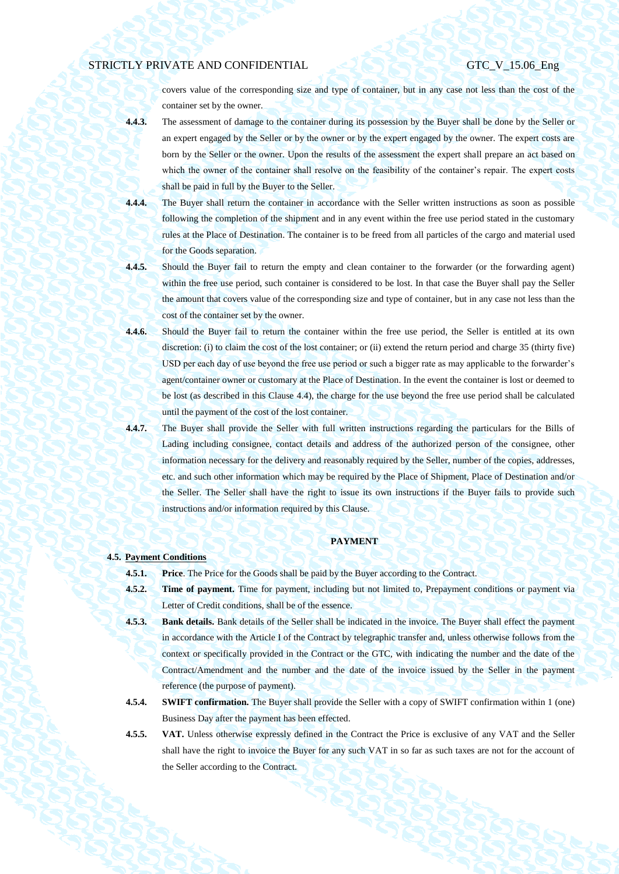covers value of the corresponding size and type of container, but in any case not less than the cost of the container set by the owner.

- **4.4.3.** The assessment of damage to the container during its possession by the Buyer shall be done by the Seller or an expert engaged by the Seller or by the owner or by the expert engaged by the owner. The expert costs are born by the Seller or the owner. Upon the results of the assessment the expert shall prepare an act based on which the owner of the container shall resolve on the feasibility of the container's repair. The expert costs shall be paid in full by the Buyer to the Seller.
- **4.4.4.** The Buyer shall return the container in accordance with the Seller written instructions as soon as possible following the completion of the shipment and in any event within the free use period stated in the customary rules at the Place of Destination. The container is to be freed from all particles of the cargo and material used for the Goods separation.
- **4.4.5.** Should the Buyer fail to return the empty and clean container to the forwarder (or the forwarding agent) within the free use period, such container is considered to be lost. In that case the Buyer shall pay the Seller the amount that covers value of the corresponding size and type of container, but in any case not less than the cost of the container set by the owner.
- **4.4.6.** Should the Buyer fail to return the container within the free use period, the Seller is entitled at its own discretion: (i) to claim the cost of the lost container; or (ii) extend the return period and charge 35 (thirty five) USD per each day of use beyond the free use period or such a bigger rate as may applicable to the forwarder's agent/container owner or customary at the Place of Destination. In the event the container is lost or deemed to be lost (as described in this Clause [4.4\)](#page-27-0), the charge for the use beyond the free use period shall be calculated until the payment of the cost of the lost container.
- **4.4.7.** The Buyer shall provide the Seller with full written instructions regarding the particulars for the Bills of Lading including consignee, contact details and address of the authorized person of the consignee, other information necessary for the delivery and reasonably required by the Seller, number of the copies, addresses, etc. and such other information which may be required by the Place of Shipment, Place of Destination and/or the Seller. The Seller shall have the right to issue its own instructions if the Buyer fails to provide such instructions and/or information required by this Clause.

#### **PAYMENT**

### **4.5. Payment Conditions**

**4.5.1. Price**. The Price for the Goods shall be paid by the Buyer according to the Contract.

- **4.5.2. Time of payment.** Time for payment, including but not limited to, Prepayment conditions or payment via Letter of Credit conditions, shall be of the essence.
- **4.5.3. Bank details.** Bank details of the Seller shall be indicated in the invoice. The Buyer shall effect the payment in accordance with the Article I of the Contract by telegraphic transfer and, unless otherwise follows from the context or specifically provided in the Contract or the GTC, with indicating the number and the date of the Contract/Amendment and the number and the date of the invoice issued by the Seller in the payment reference (the purpose of payment).
- **4.5.4. SWIFT confirmation.** The Buyer shall provide the Seller with a copy of SWIFT confirmation within 1 (one) Business Day after the payment has been effected.
- **4.5.5. VAT.** Unless otherwise expressly defined in the Contract the Price is exclusive of any VAT and the Seller shall have the right to invoice the Buyer for any such VAT in so far as such taxes are not for the account of the Seller according to the Contract.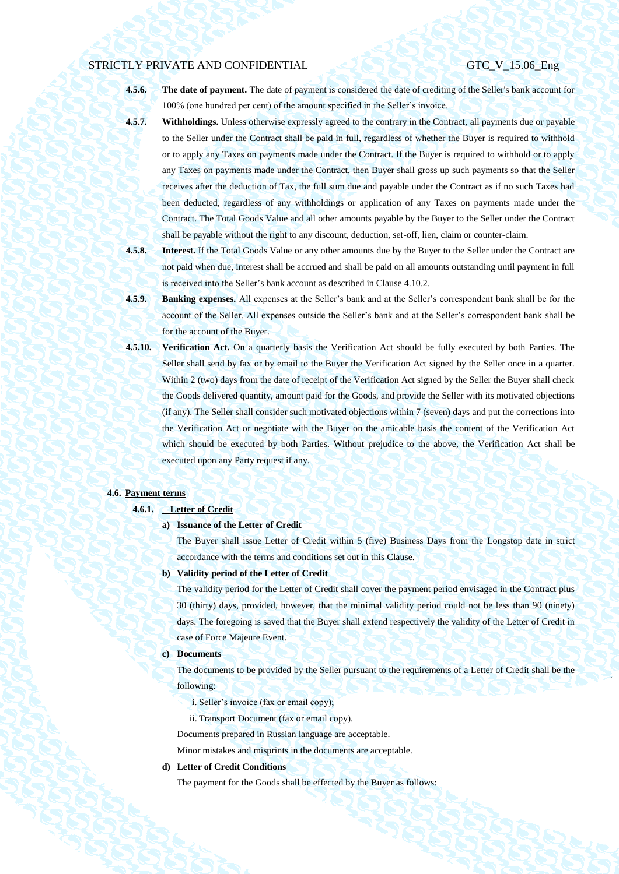**4.5.6. The date of payment.** The date of payment is considered the date of crediting of the Seller's bank account for 100% (one hundred per cent) of the amount specified in the Seller's invoice.

**4.5.7. Withholdings.** Unless otherwise expressly agreed to the contrary in the Contract, all payments due or payable to the Seller under the Contract shall be paid in full, regardless of whether the Buyer is required to withhold or to apply any Taxes on payments made under the Contract. If the Buyer is required to withhold or to apply any Taxes on payments made under the Contract, then Buyer shall gross up such payments so that the Seller receives after the deduction of Tax, the full sum due and payable under the Contract as if no such Taxes had been deducted, regardless of any withholdings or application of any Taxes on payments made under the Contract. The Total Goods Value and all other amounts payable by the Buyer to the Seller under the Contract shall be payable without the right to any discount, deduction, set-off, lien, claim or counter-claim.

- **4.5.8. Interest.** If the Total Goods Value or any other amounts due by the Buyer to the Seller under the Contract are not paid when due, interest shall be accrued and shall be paid on all amounts outstanding until payment in full is received into the Seller's bank account as described in Clause 4.10.2.
- **4.5.9. Banking expenses.** All expenses at the Seller's bank and at the Seller's correspondent bank shall be for the account of the Seller. All expenses outside the Seller's bank and at the Seller's correspondent bank shall be for the account of the Buyer.
- <span id="page-29-0"></span>**4.5.10. Verification Act.** On a quarterly basis the Verification Act should be fully executed by both Parties. The Seller shall send by fax or by email to the Buyer the Verification Act signed by the Seller once in a quarter. Within 2 (two) days from the date of receipt of the Verification Act signed by the Seller the Buyer shall check the Goods delivered quantity, amount paid for the Goods, and provide the Seller with its motivated objections (if any). The Seller shall consider such motivated objections within 7 (seven) days and put the corrections into the Verification Act or negotiate with the Buyer on the amicable basis the content of the Verification Act which should be executed by both Parties. Without prejudice to the above, the Verification Act shall be executed upon any Party request if any.

## <span id="page-29-1"></span>**4.6. Payment terms**

#### **4.6.1. Letter of Credit**

### **a) Issuance of the Letter of Credit**

The Buyer shall issue Letter of Credit within 5 (five) Business Days from the Longstop date in strict accordance with the terms and conditions set out in this Clause.

#### **b) Validity period of the Letter of Credit**

The validity period for the Letter of Credit shall cover the payment period envisaged in the Contract plus 30 (thirty) days, provided, however, that the minimal validity period could not be less than 90 (ninety) days. The foregoing is saved that the Buyer shall extend respectively the validity of the Letter of Credit in case of Force Majeure Event.

### **c) Documents**

The documents to be provided by the Seller pursuant to the requirements of a Letter of Credit shall be the following:

- i. Seller's invoice (fax or email copy);
- ii. Transport Document (fax or email copy).

Documents prepared in Russian language are acceptable.

Minor mistakes and misprints in the documents are acceptable.

## **d) Letter of Credit Conditions**

The payment for the Goods shall be effected by the Buyer as follows: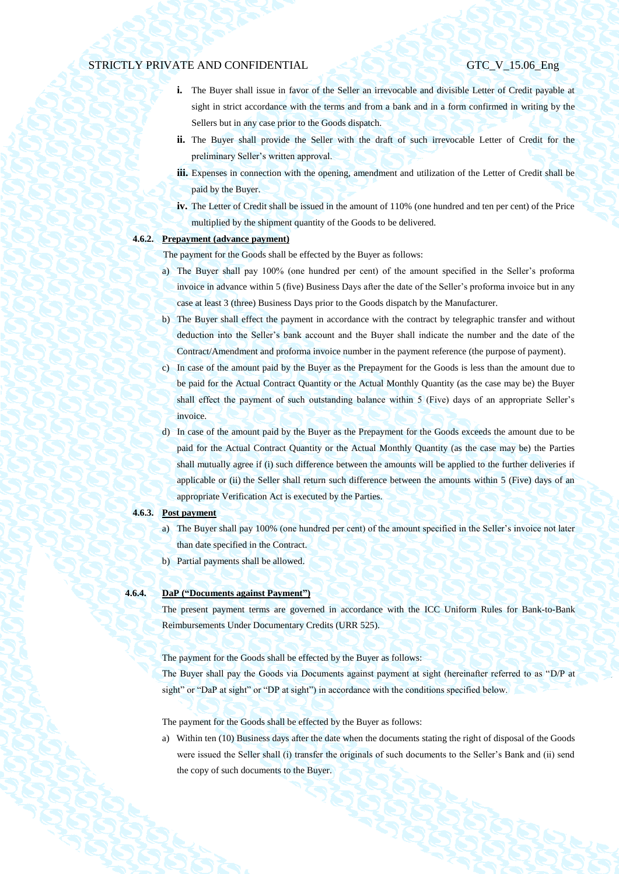- **i.** The Buyer shall issue in favor of the Seller an irrevocable and divisible Letter of Credit payable at sight in strict accordance with the terms and from a bank and in a form confirmed in writing by the Sellers but in any case prior to the Goods dispatch.
- **ii.** The Buyer shall provide the Seller with the draft of such irrevocable Letter of Credit for the preliminary Seller's written approval.
- **iii.** Expenses in connection with the opening, amendment and utilization of the Letter of Credit shall be paid by the Buyer.
- **iv.** The Letter of Credit shall be issued in the amount of 110% (one hundred and ten per cent) of the Price multiplied by the shipment quantity of the Goods to be delivered.

# <span id="page-30-0"></span>**4.6.2. Prepayment (advance payment)**

The payment for the Goods shall be effected by the Buyer as follows:

- a) The Buyer shall pay 100% (one hundred per cent) of the amount specified in the Seller's proforma invoice in advance within 5 (five) Business Days after the date of the Seller's proforma invoice but in any case at least 3 (three) Business Days prior to the Goods dispatch by the Manufacturer.
- b) The Buyer shall effect the payment in accordance with the contract by telegraphic transfer and without deduction into the Seller's bank account and the Buyer shall indicate the number and the date of the Contract/Amendment and proforma invoice number in the payment reference (the purpose of payment).
- c) In case of the amount paid by the Buyer as the Prepayment for the Goods is less than the amount due to be paid for the Actual Contract Quantity or the Actual Monthly Quantity (as the case may be) the Buyer shall effect the payment of such outstanding balance within 5 (Five) days of an appropriate Seller's invoice.
- d) In case of the amount paid by the Buyer as the Prepayment for the Goods exceeds the amount due to be paid for the Actual Contract Quantity or the Actual Monthly Quantity (as the case may be) the Parties shall mutually agree if (i) such difference between the amounts will be applied to the further deliveries if applicable or (ii) the Seller shall return such difference between the amounts within 5 (Five) days of an appropriate Verification Act is executed by the Parties.

#### **4.6.3. Post payment**

- a) The Buyer shall pay 100% (one hundred per cent) of the amount specified in the Seller's invoice not later than date specified in the Contract.
- b) Partial payments shall be allowed.

# **4.6.4. DaP ("Documents against Payment")**

The present payment terms are governed in accordance with the ICC Uniform Rules for Bank-to-Bank Reimbursements Under Documentary Credits (URR 525).

The payment for the Goods shall be effected by the Buyer as follows:

The Buyer shall pay the Goods via Documents against payment at sight (hereinafter referred to as "D/P at sight" or "DaP at sight" or "DP at sight") in accordance with the conditions specified below.

The payment for the Goods shall be effected by the Buyer as follows:

a) Within ten (10) Business days after the date when the documents stating the right of disposal of the Goods were issued the Seller shall (i) transfer the originals of such documents to the Seller's Bank and (ii) send the copy of such documents to the Buyer.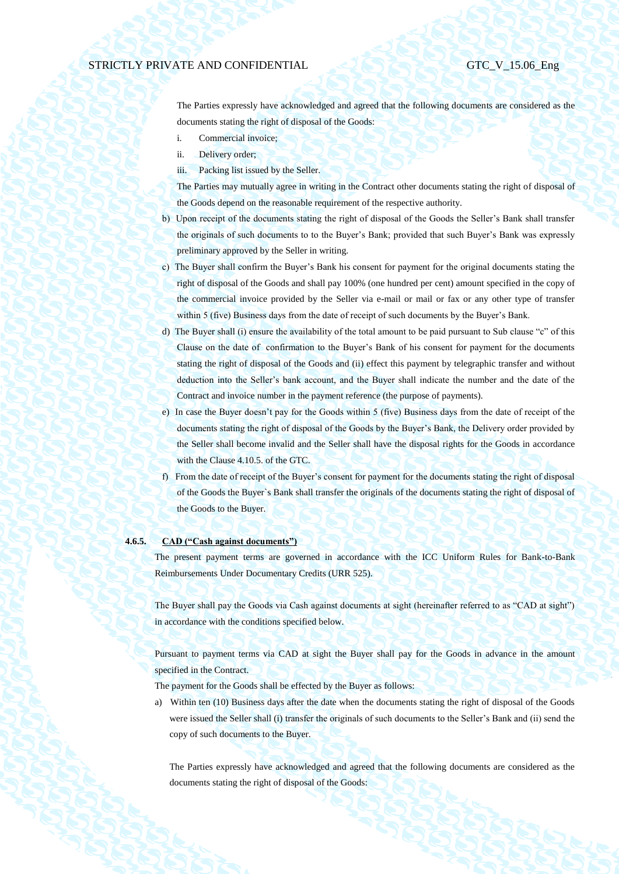The Parties expressly have acknowledged and agreed that the following documents are considered as the documents stating the right of disposal of the Goods:

- i. Commercial invoice;
- ii. Delivery order;
- iii. Packing list issued by the Seller.

The Parties may mutually agree in writing in the Contract other documents stating the right of disposal of the Goods depend on the reasonable requirement of the respective authority.

- b) Upon receipt of the documents stating the right of disposal of the Goods the Seller's Bank shall transfer the originals of such documents to to the Buyer's Bank; provided that such Buyer's Bank was expressly preliminary approved by the Seller in writing.
- c) The Buyer shall confirm the Buyer's Bank his consent for payment for the original documents stating the right of disposal of the Goods and shall pay 100% (one hundred per cent) amount specified in the copy of the commercial invoice provided by the Seller via e-mail or mail or fax or any other type of transfer within 5 (five) Business days from the date of receipt of such documents by the Buyer's Bank.
- d) The Buyer shall (i) ensure the availability of the total amount to be paid pursuant to Sub clause "c" of this Clause on the date of confirmation to the Buyer's Bank of his consent for payment for the documents stating the right of disposal of the Goods and (ii) effect this payment by telegraphic transfer and without deduction into the Seller's bank account, and the Buyer shall indicate the number and the date of the Contract and invoice number in the payment reference (the purpose of payments).
- e) In case the Buyer doesn't pay for the Goods within 5 (five) Business days from the date of receipt of the documents stating the right of disposal of the Goods by the Buyer's Bank, the Delivery order provided by the Seller shall become invalid and the Seller shall have the disposal rights for the Goods in accordance with the Clause 4.10.5. of the GTC.
- f) From the date of receipt of the Buyer's consent for payment for the documents stating the right of disposal of the Goods the Buyer`s Bank shall transfer the originals of the documents stating the right of disposal of the Goods to the Buyer.

## **4.6.5. CAD ("Cash against documents")**

The present payment terms are governed in accordance with the ICC Uniform Rules for Bank-to-Bank Reimbursements Under Documentary Credits (URR 525).

The Buyer shall pay the Goods via Cash against documents at sight (hereinafter referred to as "CAD at sight") in accordance with the conditions specified below.

Pursuant to payment terms via CAD at sight the Buyer shall pay for the Goods in advance in the amount specified in the Contract.

The payment for the Goods shall be effected by the Buyer as follows:

a) Within ten (10) Business days after the date when the documents stating the right of disposal of the Goods were issued the Seller shall (i) transfer the originals of such documents to the Seller's Bank and (ii) send the copy of such documents to the Buyer.

The Parties expressly have acknowledged and agreed that the following documents are considered as the documents stating the right of disposal of the Goods: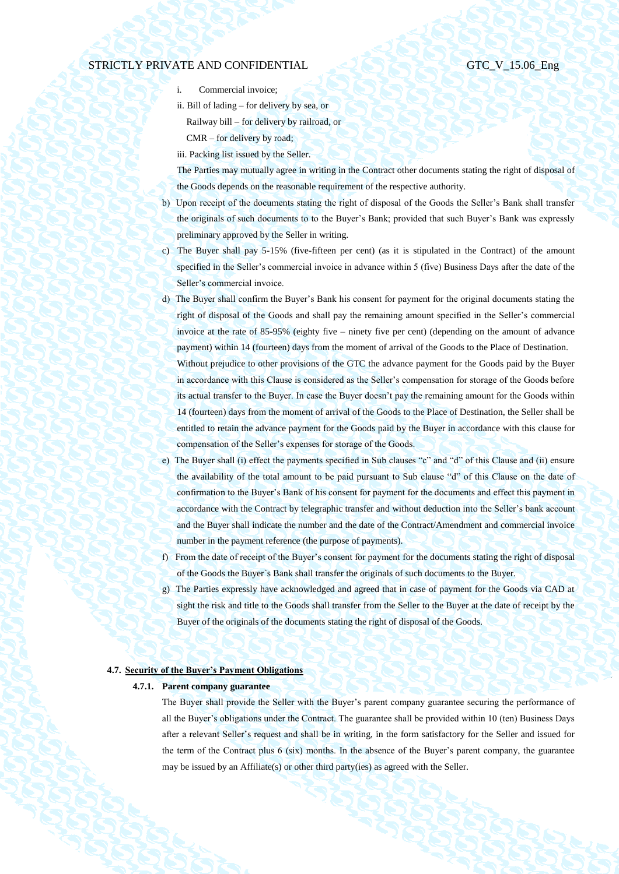- i. Commercial invoice;
- ii. Bill of lading for delivery by sea, or Railway bill – for delivery by railroad, or CMR – for delivery by road;
- iii. Packing list issued by the Seller.

The Parties may mutually agree in writing in the Contract other documents stating the right of disposal of the Goods depends on the reasonable requirement of the respective authority.

- b) Upon receipt of the documents stating the right of disposal of the Goods the Seller's Bank shall transfer the originals of such documents to to the Buyer's Bank; provided that such Buyer's Bank was expressly preliminary approved by the Seller in writing.
- c) The Buyer shall pay 5-15% (five-fifteen per cent) (as it is stipulated in the Contract) of the amount specified in the Seller's commercial invoice in advance within 5 (five) Business Days after the date of the Seller's commercial invoice.
- d) The Buyer shall confirm the Buyer's Bank his consent for payment for the original documents stating the right of disposal of the Goods and shall pay the remaining amount specified in the Seller's commercial invoice at the rate of 85-95% (eighty five – ninety five per cent) (depending on the amount of advance payment) within 14 (fourteen) days from the moment of arrival of the Goods to the Place of Destination. Without prejudice to other provisions of the GTC the advance payment for the Goods paid by the Buyer in accordance with this Clause is considered as the Seller's compensation for storage of the Goods before its actual transfer to the Buyer. In case the Buyer doesn't pay the remaining amount for the Goods within 14 (fourteen) days from the moment of arrival of the Goods to the Place of Destination, the Seller shall be entitled to retain the advance payment for the Goods paid by the Buyer in accordance with this clause for compensation of the Seller's expenses for storage of the Goods.
- e) The Buyer shall (i) effect the payments specified in Sub clauses "c" and "d" of this Clause and (ii) ensure the availability of the total amount to be paid pursuant to Sub clause "d" of this Clause on the date of confirmation to the Buyer's Bank of his consent for payment for the documents and effect this payment in accordance with the Contract by telegraphic transfer and without deduction into the Seller's bank account and the Buyer shall indicate the number and the date of the Contract/Amendment and commercial invoice number in the payment reference (the purpose of payments).
- f) From the date of receipt of the Buyer's consent for payment for the documents stating the right of disposal of the Goods the Buyer`s Bank shall transfer the originals of such documents to the Buyer.
- g) The Parties expressly have acknowledged and agreed that in case of payment for the Goods via CAD at sight the risk and title to the Goods shall transfer from the Seller to the Buyer at the date of receipt by the Buyer of the originals of the documents stating the right of disposal of the Goods.

## **4.7. Security of the Buyer's Payment Obligations**

### **4.7.1. Parent company guarantee**

The Buyer shall provide the Seller with the Buyer's parent company guarantee securing the performance of all the Buyer's obligations under the Contract. The guarantee shall be provided within 10 (ten) Business Days after a relevant Seller's request and shall be in writing, in the form satisfactory for the Seller and issued for the term of the Contract plus 6 (six) months. In the absence of the Buyer's parent company, the guarantee may be issued by an Affiliate(s) or other third party(ies) as agreed with the Seller.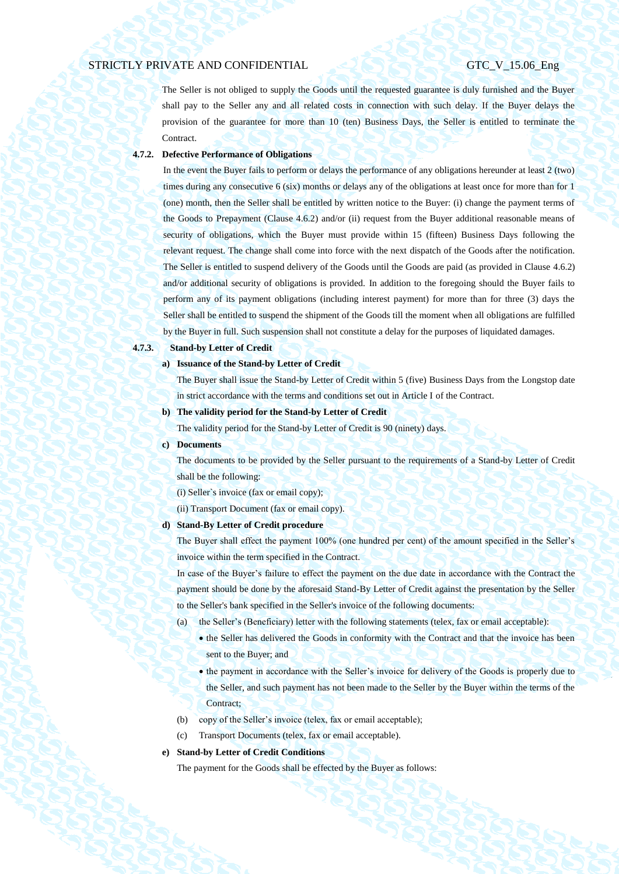The Seller is not obliged to supply the Goods until the requested guarantee is duly furnished and the Buyer shall pay to the Seller any and all related costs in connection with such delay. If the Buyer delays the provision of the guarantee for more than 10 (ten) Business Days, the Seller is entitled to terminate the Contract.

## **4.7.2. Defective Performance of Obligations**

In the event the Buyer fails to perform or delays the performance of any obligations hereunder at least 2 (two) times during any consecutive 6 (six) months or delays any of the obligations at least once for more than for 1 (one) month, then the Seller shall be entitled by written notice to the Buyer: (i) change the payment terms of the Goods to Prepayment (Clause [4.6.2\)](#page-30-0) and/or (ii) request from the Buyer additional reasonable means of security of obligations, which the Buyer must provide within 15 (fifteen) Business Days following the relevant request. The change shall come into force with the next dispatch of the Goods after the notification. The Seller is entitled to suspend delivery of the Goods until the Goods are paid (as provided in Clause [4.6.2\)](#page-30-0) and/or additional security of obligations is provided. In addition to the foregoing should the Buyer fails to perform any of its payment obligations (including interest payment) for more than for three (3) days the Seller shall be entitled to suspend the shipment of the Goods till the moment when all obligations are fulfilled by the Buyer in full. Such suspension shall not constitute a delay for the purposes of liquidated damages.

# **4.7.3. Stand-by Letter of Credit**

**a) Issuance of the Stand-by Letter of Credit**

The Buyer shall issue the Stand-by Letter of Credit within 5 (five) Business Days from the Longstop date in strict accordance with the terms and conditions set out in Article I of the Contract.

**b) The validity period for the Stand-by Letter of Credit**

The validity period for the Stand-by Letter of Credit is 90 (ninety) days.

**c) Documents**

The documents to be provided by the Seller pursuant to the requirements of a Stand-by Letter of Credit shall be the following:

(i) Seller`s invoice (fax or email copy);

(ii) Transport Document (fax or email copy).

### **d) Stand-By Letter of Credit procedure**

The Buyer shall effect the payment 100% (one hundred per cent) of the amount specified in the Seller's invoice within the term specified in the Contract.

In case of the Buyer's failure to effect the payment on the due date in accordance with the Contract the payment should be done by the aforesaid Stand-By Letter of Credit against the presentation by the Seller to the Seller's bank specified in the Seller's invoice of the following documents:

- (a) the Seller's (Beneficiary) letter with the following statements (telex, fax or email acceptable):
	- the Seller has delivered the Goods in conformity with the Contract and that the invoice has been sent to the Buyer; and
	- the payment in accordance with the Seller's invoice for delivery of the Goods is properly due to the Seller, and such payment has not been made to the Seller by the Buyer within the terms of the Contract;
- (b) copy of the Seller's invoice (telex, fax or email acceptable);
- (c) Transport Documents (telex, fax or email acceptable).

### **e) Stand-by Letter of Credit Conditions**

The payment for the Goods shall be effected by the Buyer as follows: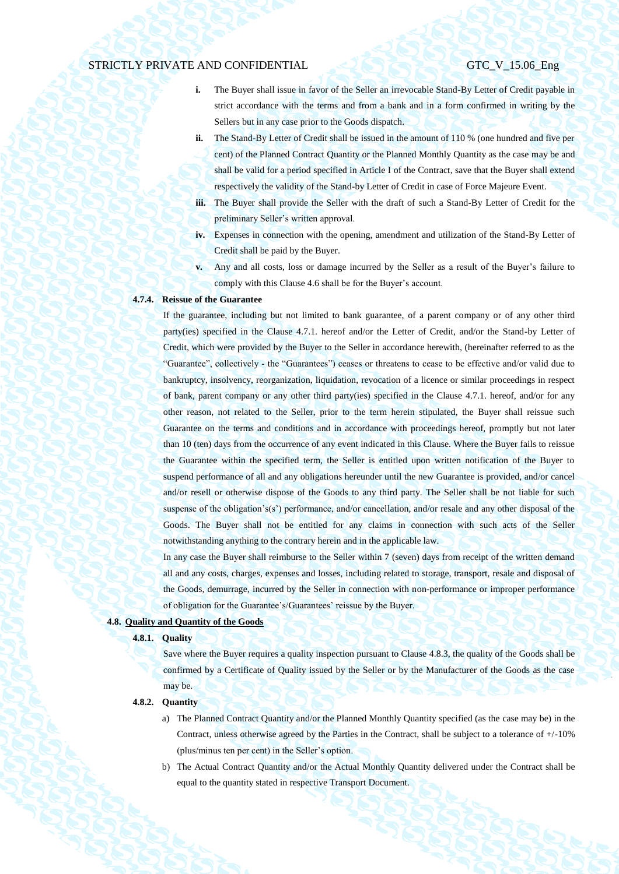- **i.** The Buyer shall issue in favor of the Seller an irrevocable Stand-By Letter of Credit payable in strict accordance with the terms and from a bank and in a form confirmed in writing by the Sellers but in any case prior to the Goods dispatch.
- **ii.** The Stand-By Letter of Credit shall be issued in the amount of 110 % (one hundred and five per cent) of the Planned Contract Quantity or the Planned Monthly Quantity as the case may be and shall be valid for a period specified in Article I of the Contract, save that the Buyer shall extend respectively the validity of the Stand-by Letter of Credit in case of Force Majeure Event.
- **iii.** The Buyer shall provide the Seller with the draft of such a Stand-By Letter of Credit for the preliminary Seller's written approval.
- **iv.** Expenses in connection with the opening, amendment and utilization of the Stand-By Letter of Credit shall be paid by the Buyer.
- **v.** Any and all costs, loss or damage incurred by the Seller as a result of the Buyer's failure to comply with this Claus[e 4.6](#page-29-1) shall be for the Buyer's account.

# **4.7.4. Reissue of the Guarantee**

If the guarantee, including but not limited to bank guarantee, of a parent company or of any other third party(ies) specified in the Clause 4.7.1. hereof and/or the Letter of Credit, and/or the Stand-by Letter of Credit, which were provided by the Buyer to the Seller in accordance herewith, (hereinafter referred to as the "Guarantee", collectively - the "Guarantees") ceases or threatens to cease to be effective and/or valid due to bankruptcy, insolvency, reorganization, liquidation, revocation of a licence or similar proceedings in respect of bank, parent company or any other third party(ies) specified in the Clause 4.7.1. hereof, and/or for any other reason, not related to the Seller, prior to the term herein stipulated, the Buyer shall reissue such Guarantee on the terms and conditions and in accordance with proceedings hereof, promptly but not later than 10 (ten) days from the occurrence of any event indicated in this Clause. Where the Buyer fails to reissue the Guarantee within the specified term, the Seller is entitled upon written notification of the Buyer to suspend performance of all and any obligations hereunder until the new Guarantee is provided, and/or cancel and/or resell or otherwise dispose of the Goods to any third party. The Seller shall be not liable for such suspense of the obligation's(s') performance, and/or cancellation, and/or resale and any other disposal of the Goods. The Buyer shall not be entitled for any claims in connection with such acts of the Seller notwithstanding anything to the contrary herein and in the applicable law.

In any case the Buyer shall reimburse to the Seller within 7 (seven) days from receipt of the written demand all and any costs, charges, expenses and losses, including related to storage, transport, resale and disposal of the Goods, demurrage, incurred by the Seller in connection with non-performance or improper performance of obligation for the Guarantee's/Guarantees' reissue by the Buyer.

### **4.8. Quality and Quantity of the Goods**

### **4.8.1. Quality**

Save where the Buyer requires a quality inspection pursuant to Clause [4.8.3,](#page-35-0) the quality of the Goods shall be confirmed by a Certificate of Quality issued by the Seller or by the Manufacturer of the Goods as the case may be.

## **4.8.2. Quantity**

- a) The Planned Contract Quantity and/or the Planned Monthly Quantity specified (as the case may be) in the Contract, unless otherwise agreed by the Parties in the Contract, shall be subject to a tolerance of +/-10% (plus/minus ten per cent) in the Seller's option.
- b) The Actual Contract Quantity and/or the Actual Monthly Quantity delivered under the Contract shall be equal to the quantity stated in respective Transport Document.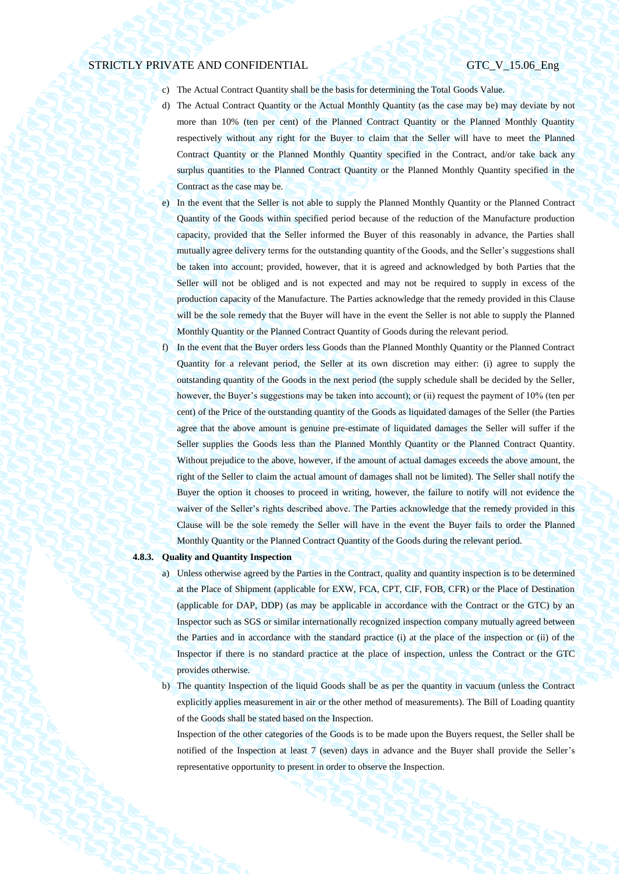- c) The Actual Contract Quantity shall be the basis for determining the Total Goods Value.
- d) The Actual Contract Quantity or the Actual Monthly Quantity (as the case may be) may deviate by not more than 10% (ten per cent) of the Planned Contract Quantity or the Planned Monthly Quantity respectively without any right for the Buyer to claim that the Seller will have to meet the Planned Contract Quantity or the Planned Monthly Quantity specified in the Contract, and/or take back any surplus quantities to the Planned Contract Quantity or the Planned Monthly Quantity specified in the Contract as the case may be.
- e) In the event that the Seller is not able to supply the Planned Monthly Quantity or the Planned Contract Quantity of the Goods within specified period because of the reduction of the Manufacture production capacity, provided that the Seller informed the Buyer of this reasonably in advance, the Parties shall mutually agree delivery terms for the outstanding quantity of the Goods, and the Seller's suggestions shall be taken into account; provided, however, that it is agreed and acknowledged by both Parties that the Seller will not be obliged and is not expected and may not be required to supply in excess of the production capacity of the Manufacture. The Parties acknowledge that the remedy provided in this Clause will be the sole remedy that the Buyer will have in the event the Seller is not able to supply the Planned Monthly Quantity or the Planned Contract Quantity of Goods during the relevant period.
- f) In the event that the Buyer orders less Goods than the Planned Monthly Quantity or the Planned Contract Quantity for a relevant period, the Seller at its own discretion may either: (i) agree to supply the outstanding quantity of the Goods in the next period (the supply schedule shall be decided by the Seller, however, the Buyer's suggestions may be taken into account); or (ii) request the payment of 10% (ten per cent) of the Price of the outstanding quantity of the Goods as liquidated damages of the Seller (the Parties agree that the above amount is genuine pre-estimate of liquidated damages the Seller will suffer if the Seller supplies the Goods less than the Planned Monthly Quantity or the Planned Contract Quantity. Without prejudice to the above, however, if the amount of actual damages exceeds the above amount, the right of the Seller to claim the actual amount of damages shall not be limited). The Seller shall notify the Buyer the option it chooses to proceed in writing, however, the failure to notify will not evidence the waiver of the Seller's rights described above. The Parties acknowledge that the remedy provided in this Clause will be the sole remedy the Seller will have in the event the Buyer fails to order the Planned Monthly Quantity or the Planned Contract Quantity of the Goods during the relevant period.

## <span id="page-35-1"></span><span id="page-35-0"></span>**4.8.3. Quality and Quantity Inspection**

- a) Unless otherwise agreed by the Parties in the Contract, quality and quantity inspection is to be determined at the Place of Shipment (applicable for EXW, FCA, CPT, CIF, FOB, CFR) or the Place of Destination (applicable for DAP, DDP) (as may be applicable in accordance with the Contract or the GTC) by an Inspector such as SGS or similar internationally recognized inspection company mutually agreed between the Parties and in accordance with the standard practice (i) at the place of the inspection or (ii) of the Inspector if there is no standard practice at the place of inspection, unless the Contract or the GTC provides otherwise.
- <span id="page-35-2"></span>b) The quantity Inspection of the liquid Goods shall be as per the quantity in vacuum (unless the Contract explicitly applies measurement in air or the other method of measurements). The Bill of Loading quantity of the Goods shall be stated based on the Inspection.

Inspection of the other categories of the Goods is to be made upon the Buyers request, the Seller shall be notified of the Inspection at least 7 (seven) days in advance and the Buyer shall provide the Seller's representative opportunity to present in order to observe the Inspection.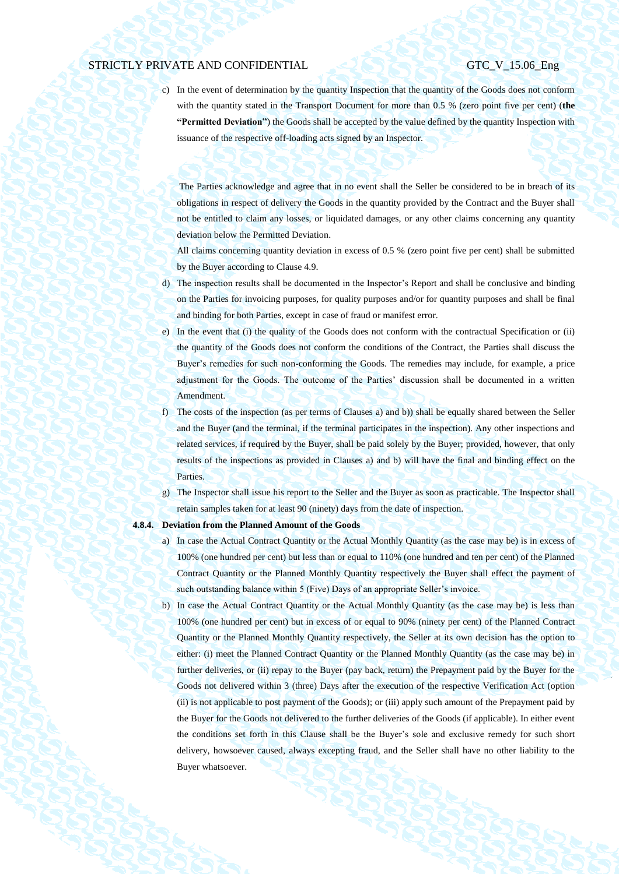c) In the event of determination by the quantity Inspection that the quantity of the Goods does not conform with the quantity stated in the Transport Document for more than 0.5 % (zero point five per cent) (**the "Permitted Deviation"**) the Goods shall be accepted by the value defined by the quantity Inspection with issuance of the respective off-loading acts signed by an Inspector.

The Parties acknowledge and agree that in no event shall the Seller be considered to be in breach of its obligations in respect of delivery the Goods in the quantity provided by the Contract and the Buyer shall not be entitled to claim any losses, or liquidated damages, or any other claims concerning any quantity deviation below the Permitted Deviation.

All claims concerning quantity deviation in excess of 0.5 % (zero point five per cent) shall be submitted by the Buyer according to Clause 4.9.

- d) The inspection results shall be documented in the Inspector's Report and shall be conclusive and binding on the Parties for invoicing purposes, for quality purposes and/or for quantity purposes and shall be final and binding for both Parties, except in case of fraud or manifest error.
- e) In the event that (i) the quality of the Goods does not conform with the contractual Specification or (ii) the quantity of the Goods does not conform the conditions of the Contract, the Parties shall discuss the Buyer's remedies for such non-conforming the Goods. The remedies may include, for example, a price adjustment for the Goods. The outcome of the Parties' discussion shall be documented in a written Amendment.
- f) The costs of the inspection (as per terms of Clauses [a\)](#page-35-1) an[d b\)\)](#page-35-2) shall be equally shared between the Seller and the Buyer (and the terminal, if the terminal participates in the inspection). Any other inspections and related services, if required by the Buyer, shall be paid solely by the Buyer; provided, however, that only results of the inspections as provided in Clauses [a\)](#page-35-1) and [b\)](#page-35-2) will have the final and binding effect on the Parties.
- g) The Inspector shall issue his report to the Seller and the Buyer as soon as practicable. The Inspector shall retain samples taken for at least 90 (ninety) days from the date of inspection.

### <span id="page-36-0"></span>**4.8.4. Deviation from the Planned Amount of the Goods**

- a) In case the Actual Contract Quantity or the Actual Monthly Quantity (as the case may be) is in excess of 100% (one hundred per cent) but less than or equal to 110% (one hundred and ten per cent) of the Planned Contract Quantity or the Planned Monthly Quantity respectively the Buyer shall effect the payment of such outstanding balance within 5 (Five) Days of an appropriate Seller's invoice.
- b) In case the Actual Contract Quantity or the Actual Monthly Quantity (as the case may be) is less than 100% (one hundred per cent) but in excess of or equal to 90% (ninety per cent) of the Planned Contract Quantity or the Planned Monthly Quantity respectively, the Seller at its own decision has the option to either: (i) meet the Planned Contract Quantity or the Planned Monthly Quantity (as the case may be) in further deliveries, or (ii) repay to the Buyer (pay back, return) the Prepayment paid by the Buyer for the Goods not delivered within 3 (three) Days after the execution of the respective Verification Act (option (ii) is not applicable to post payment of the Goods); or (iii) apply such amount of the Prepayment paid by the Buyer for the Goods not delivered to the further deliveries of the Goods (if applicable). In either event the conditions set forth in this Clause shall be the Buyer's sole and exclusive remedy for such short delivery, howsoever caused, always excepting fraud, and the Seller shall have no other liability to the Buyer whatsoever.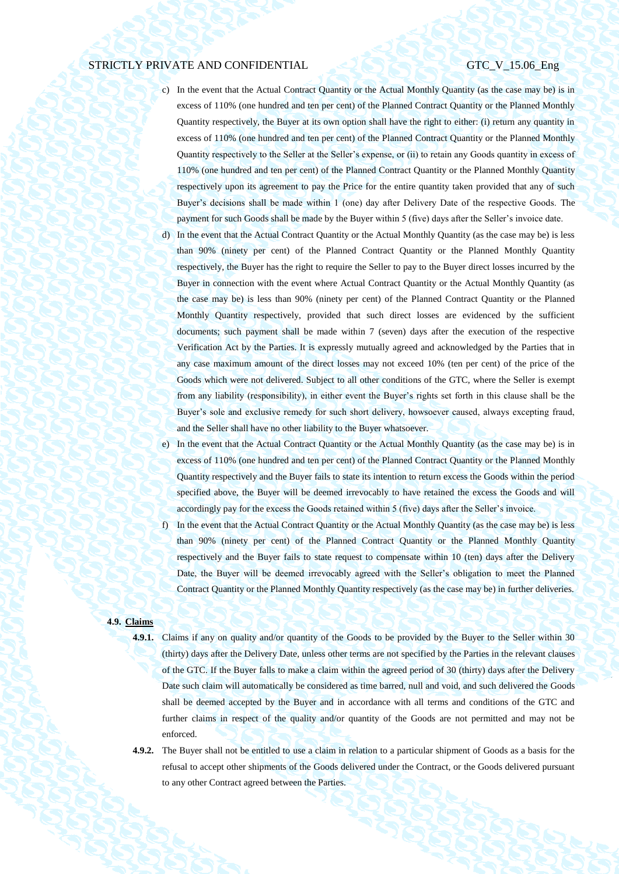- c) In the event that the Actual Contract Quantity or the Actual Monthly Quantity (as the case may be) is in excess of 110% (one hundred and ten per cent) of the Planned Contract Quantity or the Planned Monthly Quantity respectively, the Buyer at its own option shall have the right to either: (i) return any quantity in excess of 110% (one hundred and ten per cent) of the Planned Contract Quantity or the Planned Monthly Quantity respectively to the Seller at the Seller's expense, or (ii) to retain any Goods quantity in excess of 110% (one hundred and ten per cent) of the Planned Contract Quantity or the Planned Monthly Quantity respectively upon its agreement to pay the Price for the entire quantity taken provided that any of such Buyer's decisions shall be made within 1 (one) day after Delivery Date of the respective Goods. The payment for such Goods shall be made by the Buyer within 5 (five) days after the Seller's invoice date.
- d) In the event that the Actual Contract Quantity or the Actual Monthly Quantity (as the case may be) is less than 90% (ninety per cent) of the Planned Contract Quantity or the Planned Monthly Quantity respectively, the Buyer has the right to require the Seller to pay to the Buyer direct losses incurred by the Buyer in connection with the event where Actual Contract Quantity or the Actual Monthly Quantity (as the case may be) is less than 90% (ninety per cent) of the Planned Contract Quantity or the Planned Monthly Quantity respectively, provided that such direct losses are evidenced by the sufficient documents; such payment shall be made within 7 (seven) days after the execution of the respective Verification Act by the Parties. It is expressly mutually agreed and acknowledged by the Parties that in any case maximum amount of the direct losses may not exceed 10% (ten per cent) of the price of the Goods which were not delivered. Subject to all other conditions of the GTC, where the Seller is exempt from any liability (responsibility), in either event the Buyer's rights set forth in this clause shall be the Buyer's sole and exclusive remedy for such short delivery, howsoever caused, always excepting fraud, and the Seller shall have no other liability to the Buyer whatsoever.
- e) In the event that the Actual Contract Quantity or the Actual Monthly Quantity (as the case may be) is in excess of 110% (one hundred and ten per cent) of the Planned Contract Quantity or the Planned Monthly Quantity respectively and the Buyer fails to state its intention to return excess the Goods within the period specified above, the Buyer will be deemed irrevocably to have retained the excess the Goods and will accordingly pay for the excess the Goods retained within 5 (five) days after the Seller's invoice.
- f) In the event that the Actual Contract Quantity or the Actual Monthly Quantity (as the case may be) is less than 90% (ninety per cent) of the Planned Contract Quantity or the Planned Monthly Quantity respectively and the Buyer fails to state request to compensate within 10 (ten) days after the Delivery Date, the Buyer will be deemed irrevocably agreed with the Seller's obligation to meet the Planned Contract Quantity or the Planned Monthly Quantity respectively (as the case may be) in further deliveries.

### **4.9. Claims**

- <span id="page-37-0"></span>**4.9.1.** Claims if any on quality and/or quantity of the Goods to be provided by the Buyer to the Seller within 30 (thirty) days after the Delivery Date, unless other terms are not specified by the Parties in the relevant clauses of the GTC. If the Buyer falls to make a claim within the agreed period of 30 (thirty) days after the Delivery Date such claim will automatically be considered as time barred, null and void, and such delivered the Goods shall be deemed accepted by the Buyer and in accordance with all terms and conditions of the GTC and further claims in respect of the quality and/or quantity of the Goods are not permitted and may not be enforced.
- **4.9.2.** The Buyer shall not be entitled to use a claim in relation to a particular shipment of Goods as a basis for the refusal to accept other shipments of the Goods delivered under the Contract, or the Goods delivered pursuant to any other Contract agreed between the Parties.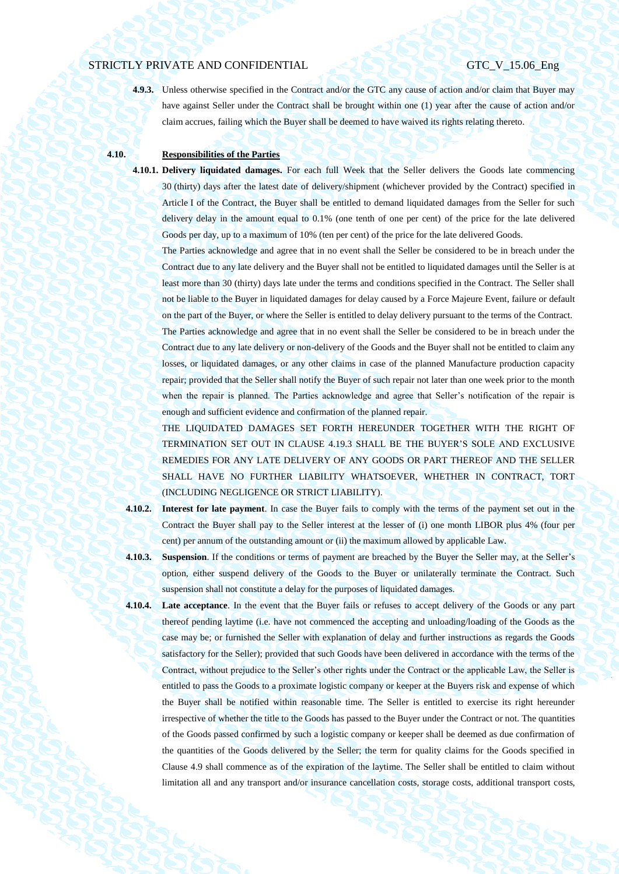**4.9.3.** Unless otherwise specified in the Contract and/or the GTC any cause of action and/or claim that Buyer may have against Seller under the Contract shall be brought within one (1) year after the cause of action and/or claim accrues, failing which the Buyer shall be deemed to have waived its rights relating thereto.

# **4.10. Responsibilities of the Parties**

**4.10.1. Delivery liquidated damages.** For each full Week that the Seller delivers the Goods late commencing 30 (thirty) days after the latest date of delivery/shipment (whichever provided by the Contract) specified in Article I of the Contract, the Buyer shall be entitled to demand liquidated damages from the Seller for such delivery delay in the amount equal to 0.1% (one tenth of one per cent) of the price for the late delivered Goods per day, up to a maximum of 10% (ten per cent) of the price for the late delivered Goods.

The Parties acknowledge and agree that in no event shall the Seller be considered to be in breach under the Contract due to any late delivery and the Buyer shall not be entitled to liquidated damages until the Seller is at least more than 30 (thirty) days late under the terms and conditions specified in the Contract. The Seller shall not be liable to the Buyer in liquidated damages for delay caused by a Force Majeure Event, failure or default on the part of the Buyer, or where the Seller is entitled to delay delivery pursuant to the terms of the Contract.

The Parties acknowledge and agree that in no event shall the Seller be considered to be in breach under the Contract due to any late delivery or non-delivery of the Goods and the Buyer shall not be entitled to claim any losses, or liquidated damages, or any other claims in case of the planned Manufacture production capacity repair; provided that the Seller shall notify the Buyer of such repair not later than one week prior to the month when the repair is planned. The Parties acknowledge and agree that Seller's notification of the repair is enough and sufficient evidence and confirmation of the planned repair.

THE LIQUIDATED DAMAGES SET FORTH HEREUNDER TOGETHER WITH THE RIGHT OF TERMINATION SET OUT IN CLAUSE [4.19.3](#page-44-1) SHALL BE THE BUYER'S SOLE AND EXCLUSIVE REMEDIES FOR ANY LATE DELIVERY OF ANY GOODS OR PART THEREOF AND THE SELLER SHALL HAVE NO FURTHER LIABILITY WHATSOEVER, WHETHER IN CONTRACT, TORT (INCLUDING NEGLIGENCE OR STRICT LIABILITY).

**4.10.2. Interest for late payment**. In case the Buyer fails to comply with the terms of the payment set out in the Contract the Buyer shall pay to the Seller interest at the lesser of (i) one month LIBOR plus 4% (four per cent) per annum of the outstanding amount or (ii) the maximum allowed by applicable Law.

**4.10.3. Suspension**. If the conditions or terms of payment are breached by the Buyer the Seller may, at the Seller's option, either suspend delivery of the Goods to the Buyer or unilaterally terminate the Contract. Such suspension shall not constitute a delay for the purposes of liquidated damages.

**4.10.4. Late acceptance**. In the event that the Buyer fails or refuses to accept delivery of the Goods or any part thereof pending laytime (i.e. have not commenced the accepting and unloading/loading of the Goods as the case may be; or furnished the Seller with explanation of delay and further instructions as regards the Goods satisfactory for the Seller); provided that such Goods have been delivered in accordance with the terms of the Contract, without prejudice to the Seller's other rights under the Contract or the applicable Law, the Seller is entitled to pass the Goods to a proximate logistic company or keeper at the Buyers risk and expense of which the Buyer shall be notified within reasonable time. The Seller is entitled to exercise its right hereunder irrespective of whether the title to the Goods has passed to the Buyer under the Contract or not. The quantities of the Goods passed confirmed by such a logistic company or keeper shall be deemed as due confirmation of the quantities of the Goods delivered by the Seller; the term for quality claims for the Goods specified in Clause [4.9](#page-37-0) shall commence as of the expiration of the laytime. The Seller shall be entitled to claim without limitation all and any transport and/or insurance cancellation costs, storage costs, additional transport costs,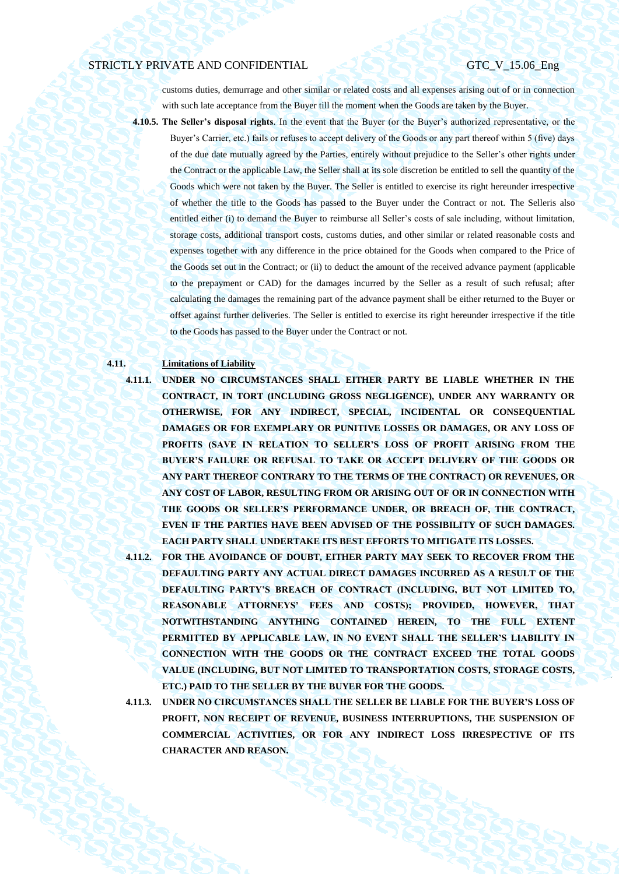customs duties, demurrage and other similar or related costs and all expenses arising out of or in connection with such late acceptance from the Buyer till the moment when the Goods are taken by the Buyer.

- **4.10.5. The Seller's disposal rights**. In the event that the Buyer (or the Buyer's authorized representative, or the
	- Buyer's Carrier, etc.) fails or refuses to accept delivery of the Goods or any part thereof within 5 (five) days of the due date mutually agreed by the Parties, entirely without prejudice to the Seller's other rights under the Contract or the applicable Law, the Seller shall at its sole discretion be entitled to sell the quantity of the Goods which were not taken by the Buyer. The Seller is entitled to exercise its right hereunder irrespective of whether the title to the Goods has passed to the Buyer under the Contract or not. The Selleris also entitled either (i) to demand the Buyer to reimburse all Seller's costs of sale including, without limitation, storage costs, additional transport costs, customs duties, and other similar or related reasonable costs and expenses together with any difference in the price obtained for the Goods when compared to the Price of the Goods set out in the Contract; or (ii) to deduct the amount of the received advance payment (applicable to the prepayment or CAD) for the damages incurred by the Seller as a result of such refusal; after calculating the damages the remaining part of the advance payment shall be either returned to the Buyer or offset against further deliveries. The Seller is entitled to exercise its right hereunder irrespective if the title to the Goods has passed to the Buyer under the Contract or not.

## **4.11. Limitations of Liability**

**4.11.1. UNDER NO CIRCUMSTANCES SHALL EITHER PARTY BE LIABLE WHETHER IN THE CONTRACT, IN TORT (INCLUDING GROSS NEGLIGENCE), UNDER ANY WARRANTY OR OTHERWISE, FOR ANY INDIRECT, SPECIAL, INCIDENTAL OR CONSEQUENTIAL DAMAGES OR FOR EXEMPLARY OR PUNITIVE LOSSES OR DAMAGES, OR ANY LOSS OF PROFITS (SAVE IN RELATION TO SELLER'S LOSS OF PROFIT ARISING FROM THE BUYER'S FAILURE OR REFUSAL TO TAKE OR ACCEPT DELIVERY OF THE GOODS OR ANY PART THEREOF CONTRARY TO THE TERMS OF THE CONTRACT) OR REVENUES, OR ANY COST OF LABOR, RESULTING FROM OR ARISING OUT OF OR IN CONNECTION WITH THE GOODS OR SELLER'S PERFORMANCE UNDER, OR BREACH OF, THE CONTRACT, EVEN IF THE PARTIES HAVE BEEN ADVISED OF THE POSSIBILITY OF SUCH DAMAGES. EACH PARTY SHALL UNDERTAKE ITS BEST EFFORTS TO MITIGATE ITS LOSSES.**

**4.11.2. FOR THE AVOIDANCE OF DOUBT, EITHER PARTY MAY SEEK TO RECOVER FROM THE DEFAULTING PARTY ANY ACTUAL DIRECT DAMAGES INCURRED AS A RESULT OF THE DEFAULTING PARTY'S BREACH OF CONTRACT (INCLUDING, BUT NOT LIMITED TO, REASONABLE ATTORNEYS' FEES AND COSTS); PROVIDED, HOWEVER, THAT NOTWITHSTANDING ANYTHING CONTAINED HEREIN, TO THE FULL EXTENT**  PERMITTED BY APPLICABLE LAW, IN NO EVENT SHALL THE SELLER'S LIABILITY IN **CONNECTION WITH THE GOODS OR THE CONTRACT EXCEED THE TOTAL GOODS VALUE (INCLUDING, BUT NOT LIMITED TO TRANSPORTATION COSTS, STORAGE COSTS, ETC.) PAID TO THE SELLER BY THE BUYER FOR THE GOODS.**

**4.11.3. UNDER NO CIRCUMSTANCES SHALL THE SELLER BE LIABLE FOR THE BUYER'S LOSS OF PROFIT, NON RECEIPT OF REVENUE, BUSINESS INTERRUPTIONS, THE SUSPENSION OF COMMERCIAL ACTIVITIES, OR FOR ANY INDIRECT LOSS IRRESPECTIVE OF ITS CHARACTER AND REASON.**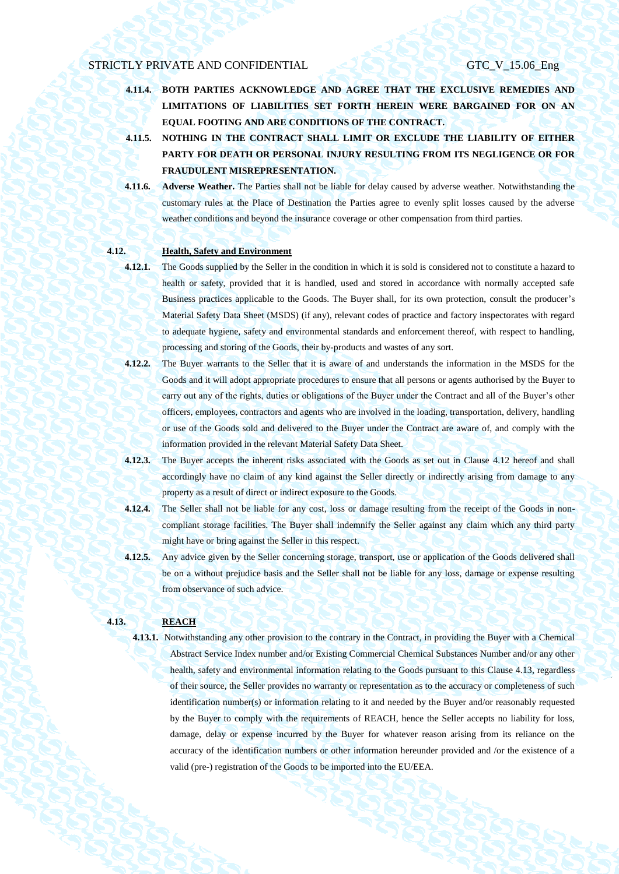- **4.11.4. BOTH PARTIES ACKNOWLEDGE AND AGREE THAT THE EXCLUSIVE REMEDIES AND LIMITATIONS OF LIABILITIES SET FORTH HEREIN WERE BARGAINED FOR ON AN EQUAL FOOTING AND ARE CONDITIONS OF THE CONTRACT.**
- **4.11.5. NOTHING IN THE CONTRACT SHALL LIMIT OR EXCLUDE THE LIABILITY OF EITHER PARTY FOR DEATH OR PERSONAL INJURY RESULTING FROM ITS NEGLIGENCE OR FOR FRAUDULENT MISREPRESENTATION.**
- **4.11.6. Adverse Weather.** The Parties shall not be liable for delay caused by adverse weather. Notwithstanding the customary rules at the Place of Destination the Parties agree to evenly split losses caused by the adverse weather conditions and beyond the insurance coverage or other compensation from third parties.

# **4.12. Health, Safety and Environment**

- <span id="page-40-0"></span>
	- **4.12.1.** The Goods supplied by the Seller in the condition in which it is sold is considered not to constitute a hazard to health or safety, provided that it is handled, used and stored in accordance with normally accepted safe Business practices applicable to the Goods. The Buyer shall, for its own protection, consult the producer's Material Safety Data Sheet (MSDS) (if any), relevant codes of practice and factory inspectorates with regard to adequate hygiene, safety and environmental standards and enforcement thereof, with respect to handling, processing and storing of the Goods, their by-products and wastes of any sort.
	- **4.12.2.** The Buyer warrants to the Seller that it is aware of and understands the information in the MSDS for the Goods and it will adopt appropriate procedures to ensure that all persons or agents authorised by the Buyer to carry out any of the rights, duties or obligations of the Buyer under the Contract and all of the Buyer's other officers, employees, contractors and agents who are involved in the loading, transportation, delivery, handling or use of the Goods sold and delivered to the Buyer under the Contract are aware of, and comply with the information provided in the relevant Material Safety Data Sheet.
- **4.12.3.** The Buyer accepts the inherent risks associated with the Goods as set out in Clause [4.12](#page-40-0) hereof and shall accordingly have no claim of any kind against the Seller directly or indirectly arising from damage to any property as a result of direct or indirect exposure to the Goods.
- **4.12.4.** The Seller shall not be liable for any cost, loss or damage resulting from the receipt of the Goods in noncompliant storage facilities. The Buyer shall indemnify the Seller against any claim which any third party might have or bring against the Seller in this respect.
- **4.12.5.** Any advice given by the Seller concerning storage, transport, use or application of the Goods delivered shall be on a without prejudice basis and the Seller shall not be liable for any loss, damage or expense resulting from observance of such advice.

# <span id="page-40-1"></span>**4.13. REACH**

**4.13.1.** Notwithstanding any other provision to the contrary in the Contract, in providing the Buyer with a Chemical Abstract Service Index number and/or Existing Commercial Chemical Substances Number and/or any other health, safety and environmental information relating to the Goods pursuant to this Clause [4.13,](#page-40-1) regardless of their source, the Seller provides no warranty or representation as to the accuracy or completeness of such identification number(s) or information relating to it and needed by the Buyer and/or reasonably requested by the Buyer to comply with the requirements of REACH, hence the Seller accepts no liability for loss, damage, delay or expense incurred by the Buyer for whatever reason arising from its reliance on the accuracy of the identification numbers or other information hereunder provided and /or the existence of a valid (pre-) registration of the Goods to be imported into the EU/EEA.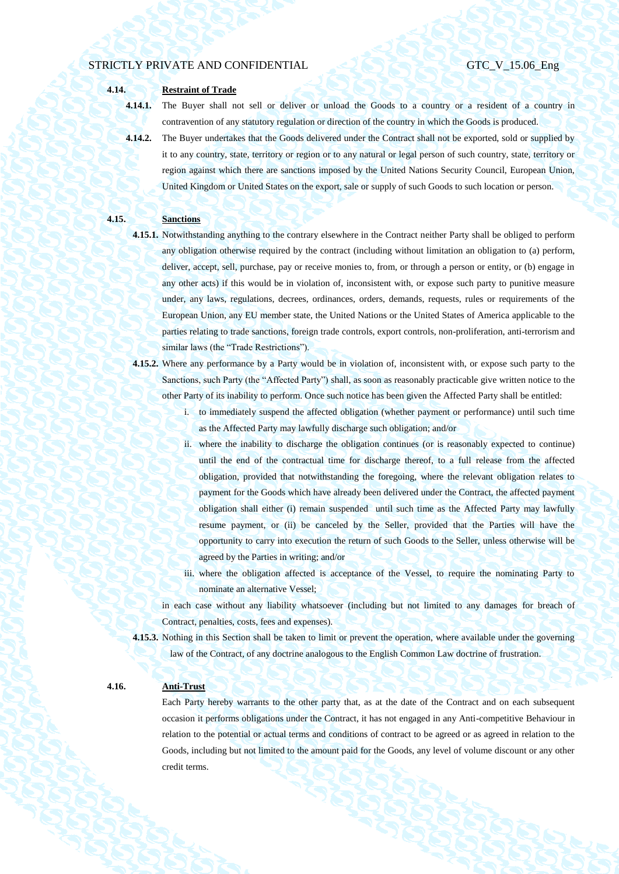**4.14. Restraint of Trade**

**4.14.1.** The Buyer shall not sell or deliver or unload the Goods to a country or a resident of a country in contravention of any statutory regulation or direction of the country in which the Goods is produced.

**4.14.2.** The Buyer undertakes that the Goods delivered under the Contract shall not be exported, sold or supplied by it to any country, state, territory or region or to any natural or legal person of such country, state, territory or region against which there are sanctions imposed by the United Nations Security Council, European Union, United Kingdom or United States on the export, sale or supply of such Goods to such location or person.

### **4.15. Sanctions**

- **4.15.1.** Notwithstanding anything to the contrary elsewhere in the Contract neither Party shall be obliged to perform any obligation otherwise required by the contract (including without limitation an obligation to (a) perform, deliver, accept, sell, purchase, pay or receive monies to, from, or through a person or entity, or (b) engage in any other acts) if this would be in violation of, inconsistent with, or expose such party to punitive measure under, any laws, regulations, decrees, ordinances, orders, demands, requests, rules or requirements of the European Union, any EU member state, the United Nations or the United States of America applicable to the parties relating to trade sanctions, foreign trade controls, export controls, non-proliferation, anti-terrorism and similar laws (the "Trade Restrictions").
- **4.15.2.** Where any performance by a Party would be in violation of, inconsistent with, or expose such party to the Sanctions, such Party (the "Affected Party") shall, as soon as reasonably practicable give written notice to the other Party of its inability to perform. Once such notice has been given the Affected Party shall be entitled:
	- i. to immediately suspend the affected obligation (whether payment or performance) until such time as the Affected Party may lawfully discharge such obligation; and/or
	- ii. where the inability to discharge the obligation continues (or is reasonably expected to continue) until the end of the contractual time for discharge thereof, to a full release from the affected obligation, provided that notwithstanding the foregoing, where the relevant obligation relates to payment for the Goods which have already been delivered under the Contract, the affected payment obligation shall either (i) remain suspended until such time as the Affected Party may lawfully resume payment, or (ii) be canceled by the Seller, provided that the Parties will have the opportunity to carry into execution the return of such Goods to the Seller, unless otherwise will be agreed by the Parties in writing; and/or
	- iii. where the obligation affected is acceptance of the Vessel, to require the nominating Party to nominate an alternative Vessel;

in each case without any liability whatsoever (including but not limited to any damages for breach of Contract, penalties, costs, fees and expenses).

**4.15.3.** Nothing in this Section shall be taken to limit or prevent the operation, where available under the governing law of the Contract, of any doctrine analogous to the English Common Law doctrine of frustration.

# **4.16. Anti-Trust**

Each Party hereby warrants to the other party that, as at the date of the Contract and on each subsequent occasion it performs obligations under the Contract, it has not engaged in any Anti-competitive Behaviour in relation to the potential or actual terms and conditions of contract to be agreed or as agreed in relation to the Goods, including but not limited to the amount paid for the Goods, any level of volume discount or any other credit terms.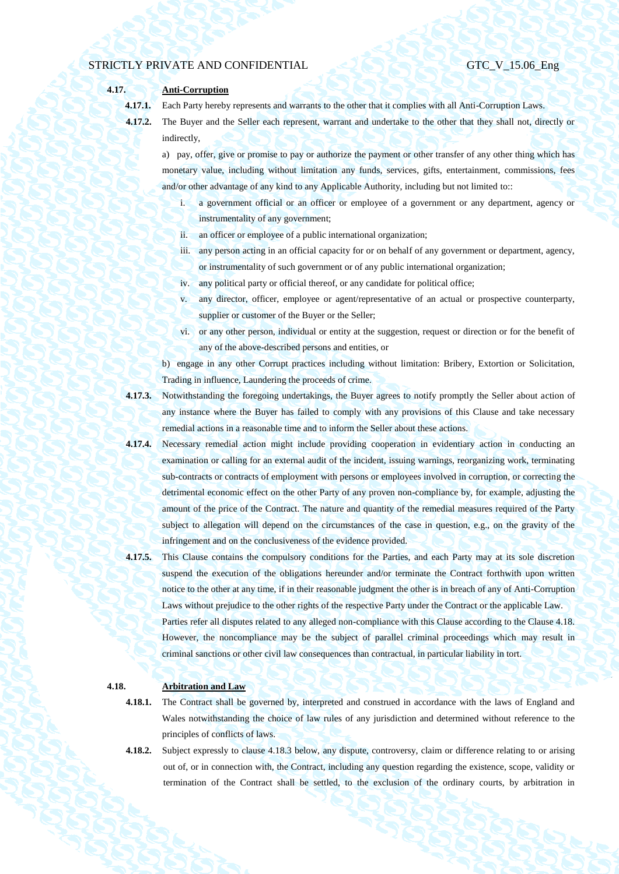# **4.17. Anti-Corruption**

**4.17.1.** Each Party hereby represents and warrants to the other that it complies with all Anti-Corruption Laws.

**4.17.2.** The Buyer and the Seller each represent, warrant and undertake to the other that they shall not, directly or indirectly,

a) pay, offer, give or promise to pay or authorize the payment or other transfer of any other thing which has monetary value, including without limitation any funds, services, gifts, entertainment, commissions, fees and/or other advantage of any kind to any Applicable Authority, including but not limited to::

- a government official or an officer or employee of a government or any department, agency or instrumentality of any government;
- ii. an officer or employee of a public international organization;
- iii. any person acting in an official capacity for or on behalf of any government or department, agency, or instrumentality of such government or of any public international organization;
- iv. any political party or official thereof, or any candidate for political office;
- v. any director, officer, employee or agent/representative of an actual or prospective counterparty, supplier or customer of the Buyer or the Seller;
- vi. or any other person, individual or entity at the suggestion, request or direction or for the benefit of any of the above-described persons and entities, or

b) engage in any other Corrupt practices including without limitation: Bribery, Extortion or Solicitation, Trading in influence, Laundering the proceeds of crime.

- **4.17.3.** Notwithstanding the foregoing undertakings, the Buyer agrees to notify promptly the Seller about action of any instance where the Buyer has failed to comply with any provisions of this Clause and take necessary remedial actions in a reasonable time and to inform the Seller about these actions.
- **4.17.4.** Necessary remedial action might include providing cooperation in evidentiary action in conducting an examination or calling for an external audit of the incident, issuing warnings, reorganizing work, terminating sub-contracts or contracts of employment with persons or employees involved in corruption, or correcting the detrimental economic effect on the other Party of any proven non-compliance by, for example, adjusting the amount of the price of the Contract. The nature and quantity of the remedial measures required of the Party subject to allegation will depend on the circumstances of the case in question, e.g., on the gravity of the infringement and on the conclusiveness of the evidence provided.
- **4.17.5.** This Clause contains the compulsory conditions for the Parties, and each Party may at its sole discretion suspend the execution of the obligations hereunder and/or terminate the Contract forthwith upon written notice to the other at any time, if in their reasonable judgment the other is in breach of any of Anti-Corruption Laws without prejudice to the other rights of the respective Party under the Contract or the applicable Law. Parties refer all disputes related to any alleged non-compliance with this Clause according to the Clause 4.18. However, the noncompliance may be the subject of parallel criminal proceedings which may result in criminal sanctions or other civil law consequences than contractual, in particular liability in tort.

# **4.18. Arbitration and Law**

- **4.18.1.** The Contract shall be governed by, interpreted and construed in accordance with the laws of England and Wales notwithstanding the choice of law rules of any jurisdiction and determined without reference to the principles of conflicts of laws.
- **4.18.2.** Subject expressly to clause 4.18.3 below, any dispute, controversy, claim or difference relating to or arising out of, or in connection with, the Contract, including any question regarding the existence, scope, validity or termination of the Contract shall be settled, to the exclusion of the ordinary courts, by arbitration in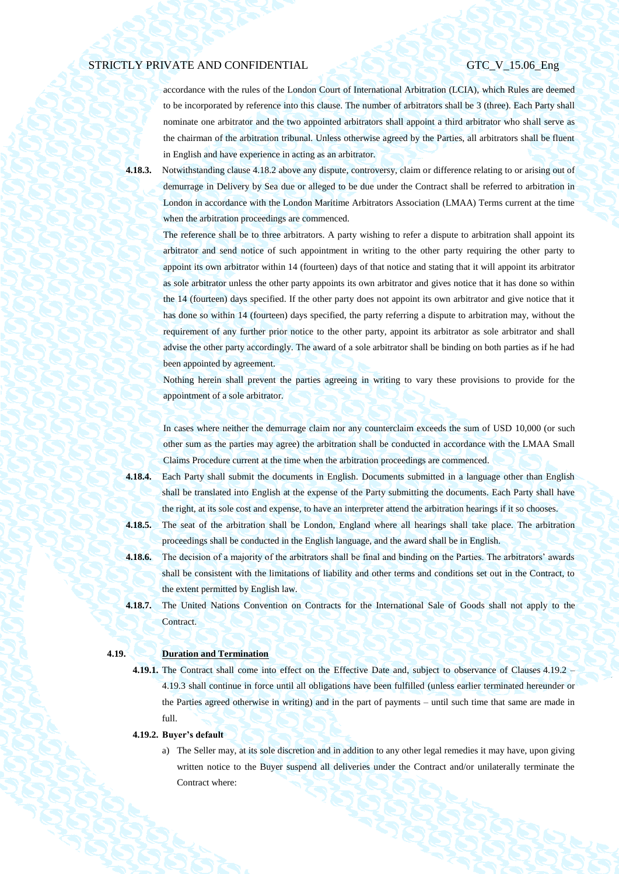accordance with the rules of the London Court of International Arbitration (LCIA), which Rules are deemed to be incorporated by reference into this clause. The number of arbitrators shall be 3 (three). Each Party shall nominate one arbitrator and the two appointed arbitrators shall appoint a third arbitrator who shall serve as the chairman of the arbitration tribunal. Unless otherwise agreed by the Parties, all arbitrators shall be fluent in English and have experience in acting as an arbitrator.

**4.18.3.** Notwithstanding clause 4.18.2 above any dispute, controversy, claim or difference relating to or arising out of demurrage in Delivery by Sea due or alleged to be due under the Contract shall be referred to arbitration in London in accordance with the London Maritime Arbitrators Association (LMAA) Terms current at the time when the arbitration proceedings are commenced.

The reference shall be to three arbitrators. A party wishing to refer a dispute to arbitration shall appoint its arbitrator and send notice of such appointment in writing to the other party requiring the other party to appoint its own arbitrator within 14 (fourteen) days of that notice and stating that it will appoint its arbitrator as sole arbitrator unless the other party appoints its own arbitrator and gives notice that it has done so within the 14 (fourteen) days specified. If the other party does not appoint its own arbitrator and give notice that it has done so within 14 (fourteen) days specified, the party referring a dispute to arbitration may, without the requirement of any further prior notice to the other party, appoint its arbitrator as sole arbitrator and shall advise the other party accordingly. The award of a sole arbitrator shall be binding on both parties as if he had been appointed by agreement.

Nothing herein shall prevent the parties agreeing in writing to vary these provisions to provide for the appointment of a sole arbitrator.

In cases where neither the demurrage claim nor any counterclaim exceeds the sum of USD 10,000 (or such other sum as the parties may agree) the arbitration shall be conducted in accordance with the LMAA Small Claims Procedure current at the time when the arbitration proceedings are commenced.

- **4.18.4.** Each Party shall submit the documents in English. Documents submitted in a language other than English shall be translated into English at the expense of the Party submitting the documents. Each Party shall have the right, at its sole cost and expense, to have an interpreter attend the arbitration hearings if it so chooses.
- **4.18.5.** The seat of the arbitration shall be London, England where all hearings shall take place. The arbitration proceedings shall be conducted in the English language, and the award shall be in English.
- **4.18.6.** The decision of a majority of the arbitrators shall be final and binding on the Parties. The arbitrators' awards shall be consistent with the limitations of liability and other terms and conditions set out in the Contract, to the extent permitted by English law.
- **4.18.7.** The United Nations Convention on Contracts for the International Sale of Goods shall not apply to the Contract.

# **4.19. Duration and Termination**

**4.19.1.** The Contract shall come into effect on the Effective Date and, subject to observance of Clauses [4.19.2](#page-43-0) – [4.19.3](#page-44-1) shall continue in force until all obligations have been fulfilled (unless earlier terminated hereunder or the Parties agreed otherwise in writing) and in the part of payments – until such time that same are made in full.

# <span id="page-43-1"></span><span id="page-43-0"></span>**4.19.2. Buyer's default**

a) The Seller may, at its sole discretion and in addition to any other legal remedies it may have, upon giving written notice to the Buyer suspend all deliveries under the Contract and/or unilaterally terminate the Contract where: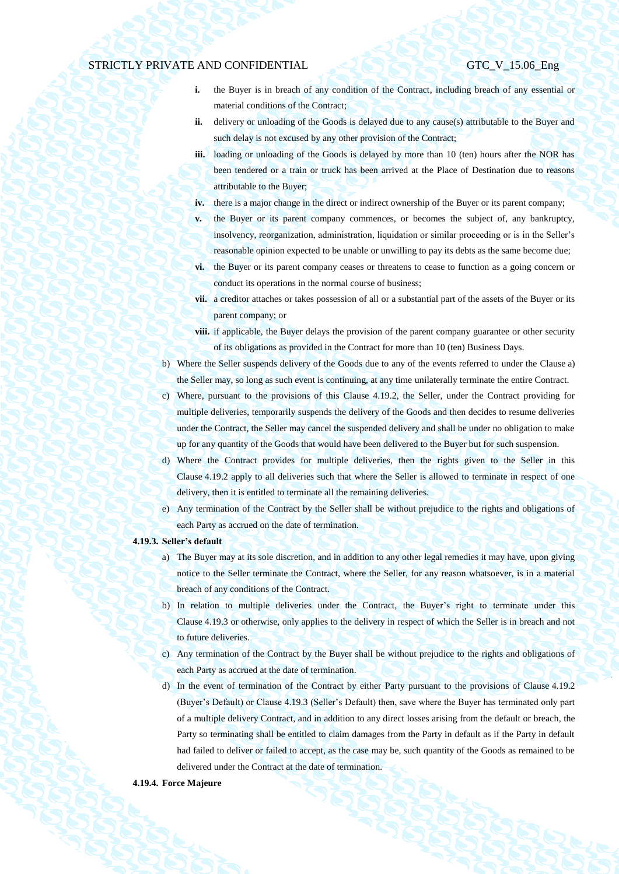- **i.** the Buyer is in breach of any condition of the Contract, including breach of any essential or material conditions of the Contract;
- **ii.** delivery or unloading of the Goods is delayed due to any cause(s) attributable to the Buyer and such delay is not excused by any other provision of the Contract;
- **iii.** loading or unloading of the Goods is delayed by more than 10 (ten) hours after the NOR has been tendered or a train or truck has been arrived at the Place of Destination due to reasons attributable to the Buyer;
- **iv.** there is a major change in the direct or indirect ownership of the Buyer or its parent company;
- **v.** the Buyer or its parent company commences, or becomes the subject of, any bankruptcy, insolvency, reorganization, administration, liquidation or similar proceeding or is in the Seller's reasonable opinion expected to be unable or unwilling to pay its debts as the same become due;
- **vi.** the Buyer or its parent company ceases or threatens to cease to function as a going concern or conduct its operations in the normal course of business;
- **vii.** a creditor attaches or takes possession of all or a substantial part of the assets of the Buyer or its parent company; or
- **viii.** if applicable, the Buyer delays the provision of the parent company guarantee or other security of its obligations as provided in the Contract for more than 10 (ten) Business Days.
- b) Where the Seller suspends delivery of the Goods due to any of the events referred to under the Clause [a\)](#page-43-1) the Seller may, so long as such event is continuing, at any time unilaterally terminate the entire Contract.
- c) Where, pursuant to the provisions of this Clause [4.19.2,](#page-43-0) the Seller, under the Contract providing for multiple deliveries, temporarily suspends the delivery of the Goods and then decides to resume deliveries under the Contract, the Seller may cancel the suspended delivery and shall be under no obligation to make up for any quantity of the Goods that would have been delivered to the Buyer but for such suspension.
- d) Where the Contract provides for multiple deliveries, then the rights given to the Seller in this Clause [4.19.2](#page-43-0) apply to all deliveries such that where the Seller is allowed to terminate in respect of one delivery, then it is entitled to terminate all the remaining deliveries.
- e) Any termination of the Contract by the Seller shall be without prejudice to the rights and obligations of each Party as accrued on the date of termination.

#### <span id="page-44-1"></span>**4.19.3. Seller's default**

- a) The Buyer may at its sole discretion, and in addition to any other legal remedies it may have, upon giving notice to the Seller terminate the Contract, where the Seller, for any reason whatsoever, is in a material breach of any conditions of the Contract.
- b) In relation to multiple deliveries under the Contract, the Buyer's right to terminate under this Clause [4.19.3](#page-44-1) or otherwise, only applies to the delivery in respect of which the Seller is in breach and not to future deliveries.
- c) Any termination of the Contract by the Buyer shall be without prejudice to the rights and obligations of each Party as accrued at the date of termination.
- d) In the event of termination of the Contract by either Party pursuant to the provisions of Clause [4.19.2](#page-43-0) (Buyer's Default) or Claus[e 4.19.3](#page-44-1) (Seller's Default) then, save where the Buyer has terminated only part of a multiple delivery Contract, and in addition to any direct losses arising from the default or breach, the Party so terminating shall be entitled to claim damages from the Party in default as if the Party in default had failed to deliver or failed to accept, as the case may be, such quantity of the Goods as remained to be delivered under the Contract at the date of termination.

### <span id="page-44-0"></span>**4.19.4. Force Majeure**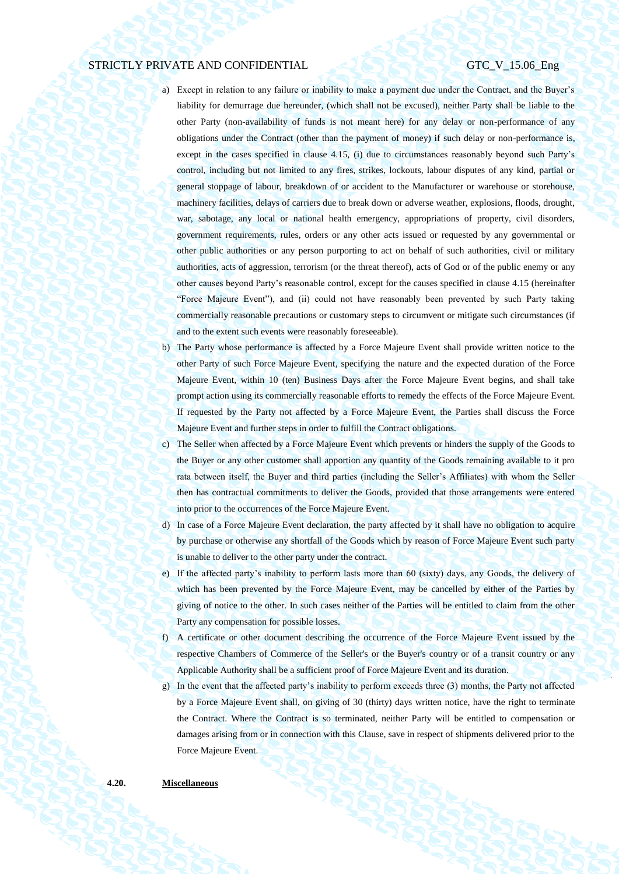- a) Except in relation to any failure or inability to make a payment due under the Contract, and the Buyer's liability for demurrage due hereunder, (which shall not be excused), neither Party shall be liable to the other Party (non-availability of funds is not meant here) for any delay or non-performance of any obligations under the Contract (other than the payment of money) if such delay or non-performance is, except in the cases specified in clause 4.15, (i) due to circumstances reasonably beyond such Party's control, including but not limited to any fires, strikes, lockouts, labour disputes of any kind, partial or general stoppage of labour, breakdown of or accident to the Manufacturer or warehouse or storehouse, machinery facilities, delays of carriers due to break down or adverse weather, explosions, floods, drought, war, sabotage, any local or national health emergency, appropriations of property, civil disorders, government requirements, rules, orders or any other acts issued or requested by any governmental or other public authorities or any person purporting to act on behalf of such authorities, civil or military authorities, acts of aggression, terrorism (or the threat thereof), acts of God or of the public enemy or any other causes beyond Party's reasonable control, except for the causes specified in clause 4.15 (hereinafter "Force Majeure Event"), and (ii) could not have reasonably been prevented by such Party taking commercially reasonable precautions or customary steps to circumvent or mitigate such circumstances (if and to the extent such events were reasonably foreseeable).
- b) The Party whose performance is affected by a Force Majeure Event shall provide written notice to the other Party of such Force Majeure Event, specifying the nature and the expected duration of the Force Majeure Event, within 10 (ten) Business Days after the Force Majeure Event begins, and shall take prompt action using its commercially reasonable efforts to remedy the effects of the Force Majeure Event. If requested by the Party not affected by a Force Majeure Event, the Parties shall discuss the Force Majeure Event and further steps in order to fulfill the Contract obligations.
- c) The Seller when affected by a Force Majeure Event which prevents or hinders the supply of the Goods to the Buyer or any other customer shall apportion any quantity of the Goods remaining available to it pro rata between itself, the Buyer and third parties (including the Seller's Affiliates) with whom the Seller then has contractual commitments to deliver the Goods, provided that those arrangements were entered into prior to the occurrences of the Force Majeure Event.
- d) In case of a Force Majeure Event declaration, the party affected by it shall have no obligation to acquire by purchase or otherwise any shortfall of the Goods which by reason of Force Majeure Event such party is unable to deliver to the other party under the contract.
- e) If the affected party's inability to perform lasts more than 60 (sixty) days, any Goods, the delivery of which has been prevented by the Force Majeure Event, may be cancelled by either of the Parties by giving of notice to the other. In such cases neither of the Parties will be entitled to claim from the other Party any compensation for possible losses.
- f) A certificate or other document describing the occurrence of the Force Majeure Event issued by the respective Chambers of Commerce of the Seller's or the Buyer's country or of a transit country or any Applicable Authority shall be a sufficient proof of Force Majeure Event and its duration.
- g) In the event that the affected party's inability to perform exceeds three (3) months, the Party not affected by a Force Majeure Event shall, on giving of 30 (thirty) days written notice, have the right to terminate the Contract. Where the Contract is so terminated, neither Party will be entitled to compensation or damages arising from or in connection with this Clause, save in respect of shipments delivered prior to the Force Majeure Event.

#### **4.20. Miscellaneous**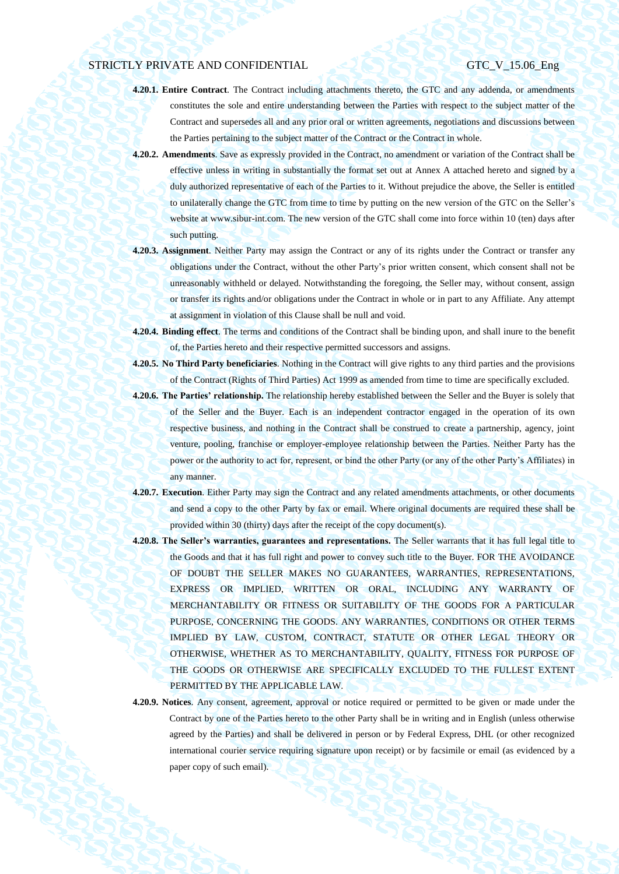- **4.20.1. Entire Contract**. The Contract including attachments thereto, the GTC and any addenda, or amendments constitutes the sole and entire understanding between the Parties with respect to the subject matter of the Contract and supersedes all and any prior oral or written agreements, negotiations and discussions between the Parties pertaining to the subject matter of the Contract or the Contract in whole.
- **4.20.2. Amendments**. Save as expressly provided in the Contract, no amendment or variation of the Contract shall be effective unless in writing in substantially the format set out at Annex A attached hereto and signed by a duly authorized representative of each of the Parties to it. Without prejudice the above, the Seller is entitled to unilaterally change the GTC from time to time by putting on the new version of the GTC on the Seller's website at www.sibur-int.com. The new version of the GTC shall come into force within 10 (ten) days after such putting.
- **4.20.3. Assignment**. Neither Party may assign the Contract or any of its rights under the Contract or transfer any obligations under the Contract, without the other Party's prior written consent, which consent shall not be unreasonably withheld or delayed. Notwithstanding the foregoing, the Seller may, without consent, assign or transfer its rights and/or obligations under the Contract in whole or in part to any Affiliate. Any attempt at assignment in violation of this Clause shall be null and void.
- **4.20.4. Binding effect**. The terms and conditions of the Contract shall be binding upon, and shall inure to the benefit of, the Parties hereto and their respective permitted successors and assigns.
- **4.20.5. No Third Party beneficiaries**. Nothing in the Contract will give rights to any third parties and the provisions of the Contract (Rights of Third Parties) Act 1999 as amended from time to time are specifically excluded.
- **4.20.6. The Parties' relationship.** The relationship hereby established between the Seller and the Buyer is solely that of the Seller and the Buyer. Each is an independent contractor engaged in the operation of its own respective business, and nothing in the Contract shall be construed to create a partnership, agency, joint venture, pooling, franchise or employer-employee relationship between the Parties. Neither Party has the power or the authority to act for, represent, or bind the other Party (or any of the other Party's Affiliates) in any manner.
- **4.20.7. Execution**. Either Party may sign the Contract and any related amendments attachments, or other documents and send a copy to the other Party by fax or email. Where original documents are required these shall be provided within 30 (thirty) days after the receipt of the copy document(s).
- **4.20.8. The Seller's warranties, guarantees and representations.** The Seller warrants that it has full legal title to the Goods and that it has full right and power to convey such title to the Buyer. FOR THE AVOIDANCE OF DOUBT THE SELLER MAKES NO GUARANTEES, WARRANTIES, REPRESENTATIONS, EXPRESS OR IMPLIED, WRITTEN OR ORAL, INCLUDING ANY WARRANTY OF MERCHANTABILITY OR FITNESS OR SUITABILITY OF THE GOODS FOR A PARTICULAR PURPOSE, CONCERNING THE GOODS. ANY WARRANTIES, CONDITIONS OR OTHER TERMS IMPLIED BY LAW, CUSTOM, CONTRACT, STATUTE OR OTHER LEGAL THEORY OR OTHERWISE, WHETHER AS TO MERCHANTABILITY, QUALITY, FITNESS FOR PURPOSE OF THE GOODS OR OTHERWISE ARE SPECIFICALLY EXCLUDED TO THE FULLEST EXTENT PERMITTED BY THE APPLICABLE LAW.
- **4.20.9. Notices**. Any consent, agreement, approval or notice required or permitted to be given or made under the Contract by one of the Parties hereto to the other Party shall be in writing and in English (unless otherwise agreed by the Parties) and shall be delivered in person or by Federal Express, DHL (or other recognized international courier service requiring signature upon receipt) or by facsimile or email (as evidenced by a paper copy of such email).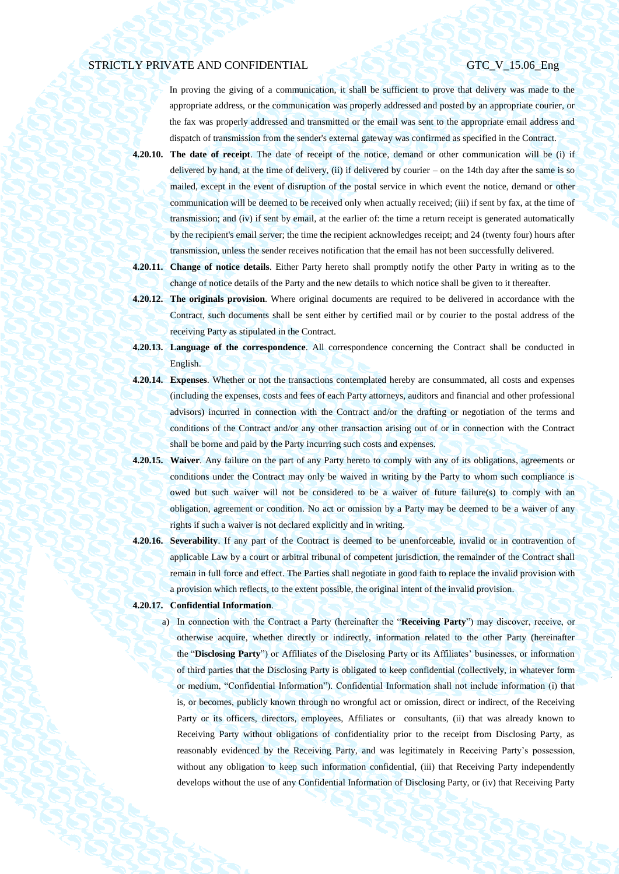In proving the giving of a communication, it shall be sufficient to prove that delivery was made to the appropriate address, or the communication was properly addressed and posted by an appropriate courier, or the fax was properly addressed and transmitted or the email was sent to the appropriate email address and dispatch of transmission from the sender's external gateway was confirmed as specified in the Contract.

- **4.20.10. The date of receipt**. The date of receipt of the notice, demand or other communication will be (i) if delivered by hand, at the time of delivery, (ii) if delivered by courier – on the 14th day after the same is so mailed, except in the event of disruption of the postal service in which event the notice, demand or other communication will be deemed to be received only when actually received; (iii) if sent by fax, at the time of transmission; and (iv) if sent by email, at the earlier of: the time a return receipt is generated automatically by the recipient's email server; the time the recipient acknowledges receipt; and 24 (twenty four) hours after transmission, unless the sender receives notification that the email has not been successfully delivered.
- **4.20.11. Change of notice details**. Either Party hereto shall promptly notify the other Party in writing as to the change of notice details of the Party and the new details to which notice shall be given to it thereafter.
- **4.20.12. The originals provision**. Where original documents are required to be delivered in accordance with the Contract, such documents shall be sent either by certified mail or by courier to the postal address of the receiving Party as stipulated in the Contract.
- **4.20.13. Language of the correspondence**. All correspondence concerning the Contract shall be conducted in English.
- **4.20.14. Expenses**. Whether or not the transactions contemplated hereby are consummated, all costs and expenses (including the expenses, costs and fees of each Party attorneys, auditors and financial and other professional advisors) incurred in connection with the Contract and/or the drafting or negotiation of the terms and conditions of the Contract and/or any other transaction arising out of or in connection with the Contract shall be borne and paid by the Party incurring such costs and expenses.
- **4.20.15. Waiver**. Any failure on the part of any Party hereto to comply with any of its obligations, agreements or conditions under the Contract may only be waived in writing by the Party to whom such compliance is owed but such waiver will not be considered to be a waiver of future failure(s) to comply with an obligation, agreement or condition. No act or omission by a Party may be deemed to be a waiver of any rights if such a waiver is not declared explicitly and in writing.
- **4.20.16. Severability**. If any part of the Contract is deemed to be unenforceable, invalid or in contravention of applicable Law by a court or arbitral tribunal of competent jurisdiction, the remainder of the Contract shall remain in full force and effect. The Parties shall negotiate in good faith to replace the invalid provision with a provision which reflects, to the extent possible, the original intent of the invalid provision.
- **4.20.17. Confidential Information**.
	- a) In connection with the Contract a Party (hereinafter the "**Receiving Party**") may discover, receive, or otherwise acquire, whether directly or indirectly, information related to the other Party (hereinafter the "**Disclosing Party**") or Affiliates of the Disclosing Party or its Affiliates' businesses, or information of third parties that the Disclosing Party is obligated to keep confidential (collectively, in whatever form or medium, "Confidential Information"). Confidential Information shall not include information (i) that is, or becomes, publicly known through no wrongful act or omission, direct or indirect, of the Receiving Party or its officers, directors, employees, Affiliates or consultants, (ii) that was already known to Receiving Party without obligations of confidentiality prior to the receipt from Disclosing Party, as reasonably evidenced by the Receiving Party, and was legitimately in Receiving Party's possession, without any obligation to keep such information confidential, (iii) that Receiving Party independently develops without the use of any Confidential Information of Disclosing Party, or (iv) that Receiving Party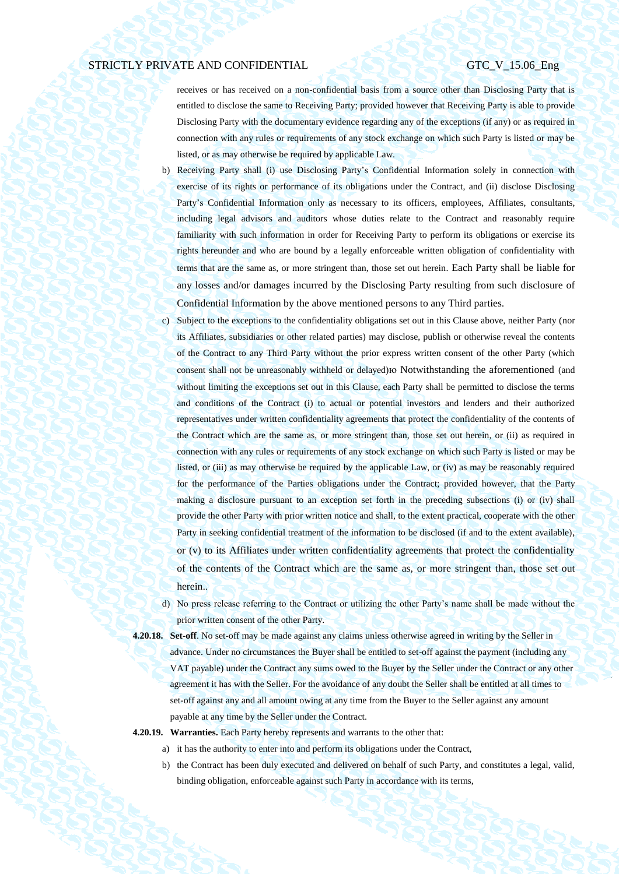receives or has received on a non-confidential basis from a source other than Disclosing Party that is entitled to disclose the same to Receiving Party; provided however that Receiving Party is able to provide Disclosing Party with the documentary evidence regarding any of the exceptions (if any) or as required in connection with any rules or requirements of any stock exchange on which such Party is listed or may be listed, or as may otherwise be required by applicable Law.

- b) Receiving Party shall (i) use Disclosing Party's Confidential Information solely in connection with exercise of its rights or performance of its obligations under the Contract, and (ii) disclose Disclosing Party's Confidential Information only as necessary to its officers, employees, Affiliates, consultants, including legal advisors and auditors whose duties relate to the Contract and reasonably require familiarity with such information in order for Receiving Party to perform its obligations or exercise its rights hereunder and who are bound by a legally enforceable written obligation of confidentiality with terms that are the same as, or more stringent than, those set out herein. Each Party shall be liable for any losses and/or damages incurred by the Disclosing Party resulting from such disclosure of Confidential Information by the above mentioned persons to any Third parties.
- c) Subject to the exceptions to the confidentiality obligations set out in this Clause above, neither Party (nor its Affiliates, subsidiaries or other related parties) may disclose, publish or otherwise reveal the contents of the Contract to any Third Party without the prior express written consent of the other Party (which consent shall not be unreasonably withheld or delayed)ю Notwithstanding the aforementioned (and without limiting the exceptions set out in this Clause, each Party shall be permitted to disclose the terms and conditions of the Contract (i) to actual or potential investors and lenders and their authorized representatives under written confidentiality agreements that protect the confidentiality of the contents of the Contract which are the same as, or more stringent than, those set out herein, or (ii) as required in connection with any rules or requirements of any stock exchange on which such Party is listed or may be listed, or (iii) as may otherwise be required by the applicable Law, or (iv) as may be reasonably required for the performance of the Parties obligations under the Contract; provided however, that the Party making a disclosure pursuant to an exception set forth in the preceding subsections (i) or (iv) shall provide the other Party with prior written notice and shall, to the extent practical, cooperate with the other Party in seeking confidential treatment of the information to be disclosed (if and to the extent available), or (v) to its Affiliates under written confidentiality agreements that protect the confidentiality of the contents of the Contract which are the same as, or more stringent than, those set out herein..
- d) No press release referring to the Contract or utilizing the other Party's name shall be made without the prior written consent of the other Party.

**4.20.18. Set-off**. No set-off may be made against any claims unless otherwise agreed in writing by the Seller in advance. Under no circumstances the Buyer shall be entitled to set-off against the payment (including any VAT payable) under the Contract any sums owed to the Buyer by the Seller under the Contract or any other agreement it has with the Seller. For the avoidance of any doubt the Seller shall be entitled at all times to set-off against any and all amount owing at any time from the Buyer to the Seller against any amount payable at any time by the Seller under the Contract.

### **4.20.19. Warranties.** Each Party hereby represents and warrants to the other that:

- a) it has the authority to enter into and perform its obligations under the Contract,
- b) the Contract has been duly executed and delivered on behalf of such Party, and constitutes a legal, valid, binding obligation, enforceable against such Party in accordance with its terms,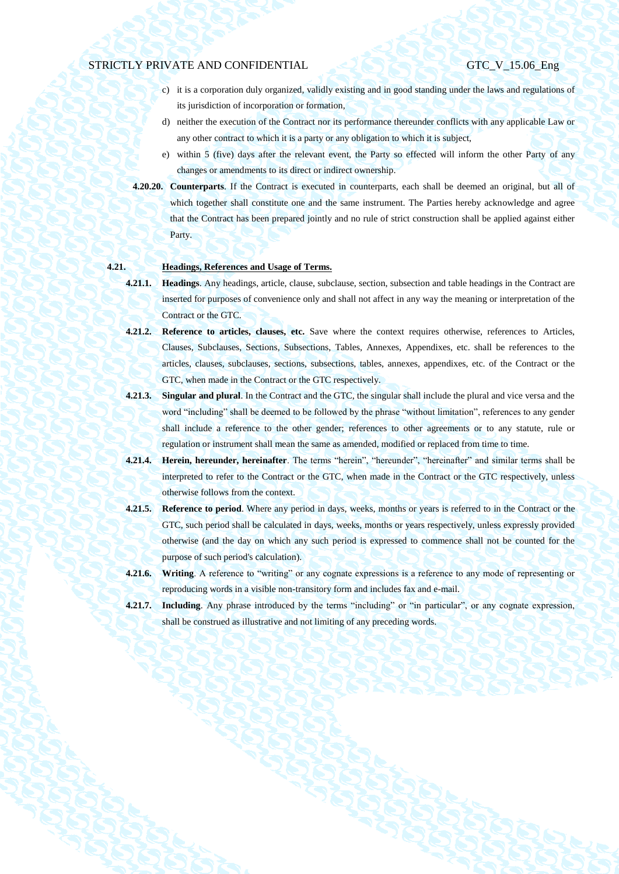- c) it is a corporation duly organized, validly existing and in good standing under the laws and regulations of its jurisdiction of incorporation or formation,
- d) neither the execution of the Contract nor its performance thereunder conflicts with any applicable Law or any other contract to which it is a party or any obligation to which it is subject,
- e) within 5 (five) days after the relevant event, the Party so effected will inform the other Party of any changes or amendments to its direct or indirect ownership.
- **4.20.20. Counterparts**. If the Contract is executed in counterparts, each shall be deemed an original, but all of which together shall constitute one and the same instrument. The Parties hereby acknowledge and agree that the Contract has been prepared jointly and no rule of strict construction shall be applied against either Party.

# **4.21. Headings, References and Usage of Terms.**

# **4.21.1. Headings**. Any headings, article, clause, subclause, section, subsection and table headings in the Contract are inserted for purposes of convenience only and shall not affect in any way the meaning or interpretation of the Contract or the GTC.

- **4.21.2. Reference to articles, clauses, etc.** Save where the context requires otherwise, references to Articles, Clauses, Subclauses, Sections, Subsections, Tables, Annexes, Appendixes, etc. shall be references to the articles, clauses, subclauses, sections, subsections, tables, annexes, appendixes, etc. of the Contract or the GTC, when made in the Contract or the GTC respectively.
- **4.21.3. Singular and plural**. In the Contract and the GTC, the singular shall include the plural and vice versa and the word "including" shall be deemed to be followed by the phrase "without limitation", references to any gender shall include a reference to the other gender; references to other agreements or to any statute, rule or regulation or instrument shall mean the same as amended, modified or replaced from time to time.
- **4.21.4. Herein, hereunder, hereinafter**. The terms "herein", "hereunder", "hereinafter" and similar terms shall be interpreted to refer to the Contract or the GTC, when made in the Contract or the GTC respectively, unless otherwise follows from the context.
- **4.21.5. Reference to period**. Where any period in days, weeks, months or years is referred to in the Contract or the GTC, such period shall be calculated in days, weeks, months or years respectively, unless expressly provided otherwise (and the day on which any such period is expressed to commence shall not be counted for the purpose of such period's calculation).
- **4.21.6. Writing**. A reference to "writing" or any cognate expressions is a reference to any mode of representing or reproducing words in a visible non-transitory form and includes fax and e-mail.
- **4.21.7. Including**. Any phrase introduced by the terms "including" or "in particular", or any cognate expression, shall be construed as illustrative and not limiting of any preceding words.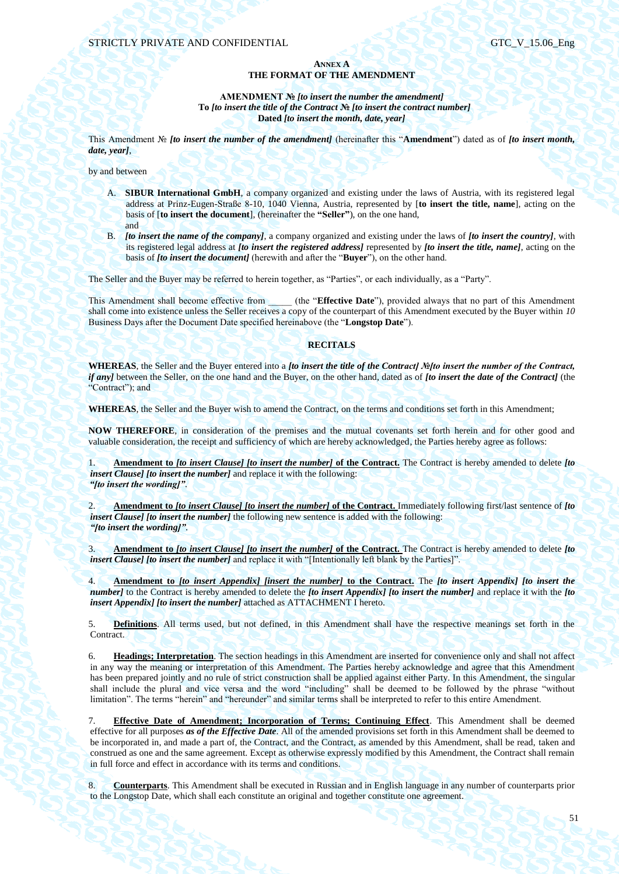## **ANNEX A THE FORMAT OF THE AMENDMENT**

**AMENDMENT №** *[to insert the number the amendment]* **To** *[to insert the title of the Contract* **№** *[to insert the contract number]* **Dated** *[to insert the month, date, year]*

This Amendment № *[to insert the number of the amendment]* (hereinafter this "**Amendment**") dated as of *[to insert month, date, year]*,

by and between

- A. **SIBUR International GmbH**, a company organized and existing under the laws of Austria, with its registered legal address at Prinz-Eugen-Straße 8-10, 1040 Vienna, Austria, represented by [**to insert the title, name**], acting on the basis of [**to insert the document**], (hereinafter the **"Seller"**), on the one hand, and
- B. *[to insert the name of the company]*, a company organized and existing under the laws of *[to insert the country]*, with its registered legal address at *[to insert the registered address]* represented by *[to insert the title, name]*, acting on the basis of *[to insert the document]* (herewith and after the "**Buyer**"), on the other hand.

The Seller and the Buyer may be referred to herein together, as "Parties", or each individually, as a "Party".

This Amendment shall become effective from (the "**Effective Date**"), provided always that no part of this Amendment shall come into existence unless the Seller receives a copy of the counterpart of this Amendment executed by the Buyer within *10* Business Days after the Document Date specified hereinabove (the "**Longstop Date**").

## **RECITALS**

**WHEREAS**, the Seller and the Buyer entered into a *[to insert the title of the Contract] №[to insert the number of the Contract, if any]* between the Seller, on the one hand and the Buyer, on the other hand, dated as of *[to insert the date of the Contract]* (the "Contract"); and

**WHEREAS**, the Seller and the Buyer wish to amend the Contract, on the terms and conditions set forth in this Amendment;

**NOW THEREFORE**, in consideration of the premises and the mutual covenants set forth herein and for other good and valuable consideration, the receipt and sufficiency of which are hereby acknowledged, the Parties hereby agree as follows:

1. **Amendment to** *[to insert Clause] [to insert the number]* **of the Contract.** The Contract is hereby amended to delete *[to insert Clause] [to insert the number]* and replace it with the following: *"[to insert the wording]"*.

2. **Amendment to** *[to insert Clause] [to insert the number]* **of the Contract.** Immediately following first/last sentence of *[to insert Clause] [to insert the number]* the following new sentence is added with the following: *"[to insert the wording]"*.

3. **Amendment to** *[to insert Clause] [to insert the number]* **of the Contract.** The Contract is hereby amended to delete *[to insert Clause] [to insert the number]* and replace it with "[Intentionally left blank by the Parties]".

4. **Amendment to** *[to insert Appendix] [insert the number]* **to the Contract.** The *[to insert Appendix] [to insert the number]* to the Contract is hereby amended to delete the *[to insert Appendix] [to insert the number]* and replace it with the *[to insert Appendix] [to insert the number]* attached as ATTACHMENT I hereto.

5. **Definitions**. All terms used, but not defined, in this Amendment shall have the respective meanings set forth in the Contract.

6. **Headings; Interpretation**. The section headings in this Amendment are inserted for convenience only and shall not affect in any way the meaning or interpretation of this Amendment. The Parties hereby acknowledge and agree that this Amendment has been prepared jointly and no rule of strict construction shall be applied against either Party. In this Amendment, the singular shall include the plural and vice versa and the word "including" shall be deemed to be followed by the phrase "without limitation". The terms "herein" and "hereunder" and similar terms shall be interpreted to refer to this entire Amendment.

7. **Effective Date of Amendment; Incorporation of Terms; Continuing Effect**. This Amendment shall be deemed effective for all purposes *as of the Effective Date*. All of the amended provisions set forth in this Amendment shall be deemed to be incorporated in, and made a part of, the Contract, and the Contract, as amended by this Amendment, shall be read, taken and construed as one and the same agreement. Except as otherwise expressly modified by this Amendment, the Contract shall remain in full force and effect in accordance with its terms and conditions.

8. **Counterparts**. This Amendment shall be executed in Russian and in English language in any number of counterparts prior to the Longstop Date, which shall each constitute an original and together constitute one agreement.